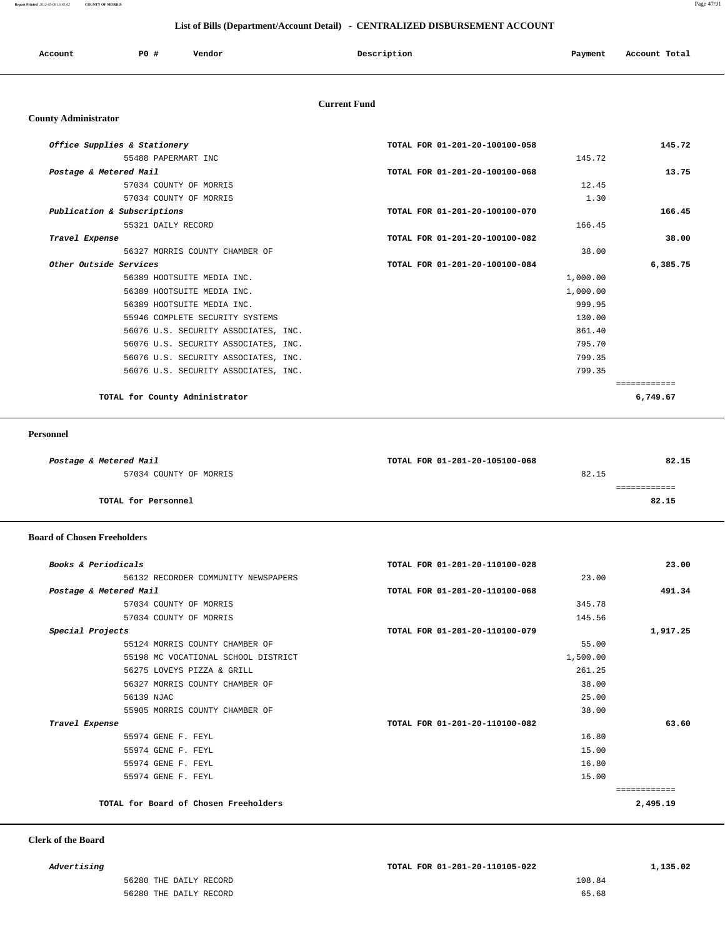**Report Printed** *2012-05-08 16:45:02* **COUNTY OF MORRIS** Page 47/91

### **List of Bills (Department/Account Detail) - CENTRALIZED DISBURSEMENT ACCOUNT**

| Account | PO# | Vendor | Description | Payment | Account Total |
|---------|-----|--------|-------------|---------|---------------|
|         |     |        |             |         |               |

#### **Current Fund**

#### **County Administrator**

| 145.72   | TOTAL FOR 01-201-20-100100-058 | Office Supplies & Stationery         |
|----------|--------------------------------|--------------------------------------|
|          | 145.72                         | 55488 PAPERMART INC                  |
| 13.75    | TOTAL FOR 01-201-20-100100-068 | Postage & Metered Mail               |
|          | 12.45                          | 57034 COUNTY OF MORRIS               |
|          | 1.30                           | 57034 COUNTY OF MORRIS               |
| 166.45   | TOTAL FOR 01-201-20-100100-070 | Publication & Subscriptions          |
|          | 166.45                         | 55321 DAILY RECORD                   |
| 38.00    | TOTAL FOR 01-201-20-100100-082 | Travel Expense                       |
|          | 38.00                          | 56327 MORRIS COUNTY CHAMBER OF       |
| 6,385.75 | TOTAL FOR 01-201-20-100100-084 | Other Outside Services               |
|          | 1,000.00                       | 56389 HOOTSUITE MEDIA INC.           |
|          | 1,000.00                       | 56389 HOOTSUITE MEDIA INC.           |
|          | 999.95                         | 56389 HOOTSUITE MEDIA INC.           |
|          | 130.00                         | 55946 COMPLETE SECURITY SYSTEMS      |
|          | 861.40                         | 56076 U.S. SECURITY ASSOCIATES, INC. |
|          | 795.70                         | 56076 U.S. SECURITY ASSOCIATES, INC. |
|          | 799.35                         | 56076 U.S. SECURITY ASSOCIATES, INC. |
|          | 799.35                         | 56076 U.S. SECURITY ASSOCIATES, INC. |
|          |                                |                                      |
| 6,749.67 |                                | TOTAL for County Administrator       |

#### **Personnel**

| Postage & Metered Mail     | TOTAL FOR 01-201-20-105100-068 | 82.15 |
|----------------------------|--------------------------------|-------|
| 57034 COUNTY OF MORRIS     | 82.15                          |       |
|                            |                                |       |
| <b>TOTAL for Personnel</b> |                                | 82.15 |
|                            |                                |       |

#### **Board of Chosen Freeholders**

| TOTAL FOR 01-201-20-110100-028 | Books & Periodicals                   |
|--------------------------------|---------------------------------------|
| 23.00                          | 56132 RECORDER COMMUNITY NEWSPAPERS   |
| TOTAL FOR 01-201-20-110100-068 | Postage & Metered Mail                |
| 345.78                         | 57034 COUNTY OF MORRIS                |
| 145.56                         | 57034 COUNTY OF MORRIS                |
| TOTAL FOR 01-201-20-110100-079 | Special Projects                      |
| 55.00                          | 55124 MORRIS COUNTY CHAMBER OF        |
| 1,500.00                       | 55198 MC VOCATIONAL SCHOOL DISTRICT   |
| 261.25                         | 56275 LOVEYS PIZZA & GRILL            |
| 38.00                          | 56327 MORRIS COUNTY CHAMBER OF        |
| 25.00                          | 56139 NJAC                            |
| 38.00                          | 55905 MORRIS COUNTY CHAMBER OF        |
| TOTAL FOR 01-201-20-110100-082 | Travel Expense                        |
| 16.80                          | 55974 GENE F. FEYL                    |
| 15.00                          | 55974 GENE F. FEYL                    |
| 16.80                          | 55974 GENE F. FEYL                    |
| 15.00                          | 55974 GENE F. FEYL                    |
|                                |                                       |
|                                | TOTAL for Board of Chosen Freeholders |
|                                |                                       |

### **Clerk of the Board**

| 56280 THE DAILY RECORD | 108.84        |
|------------------------|---------------|
| $\sim$ $\sim$ $\sim$   | .             |
| 56280 THE DAILY RECORD | $\sim$ $\sim$ |
|                        | 65.68         |
|                        | .             |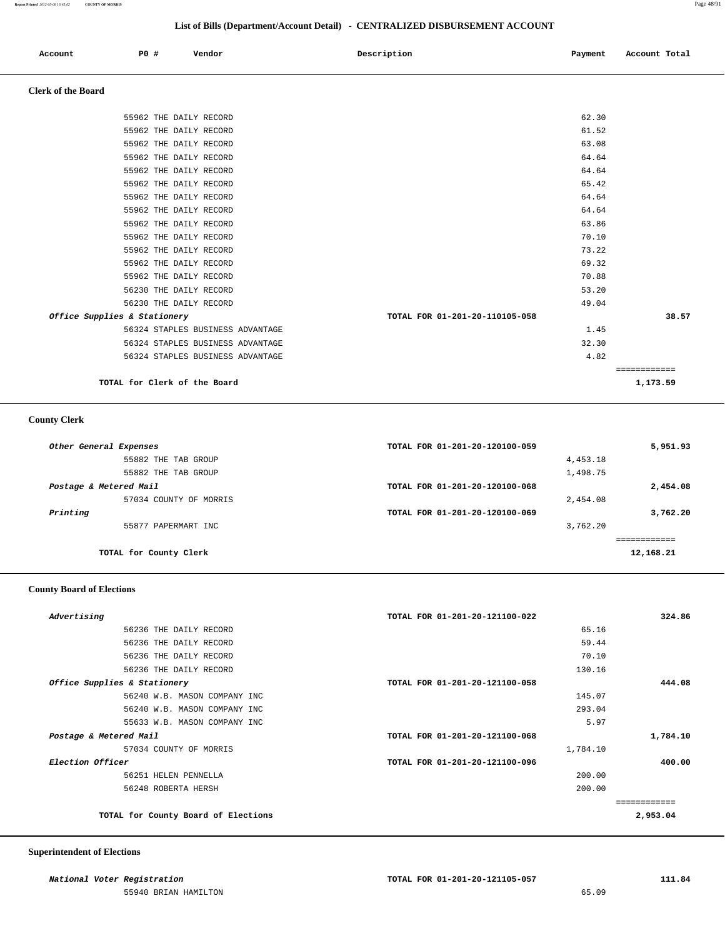|  |  | Account | P0 # | Vendor | Description | Payment | Account Total |
|--|--|---------|------|--------|-------------|---------|---------------|
|--|--|---------|------|--------|-------------|---------|---------------|

### **Clerk of the Board**

| 55962 THE DAILY RECORD<br>56230 THE DAILY RECORD<br>56230 THE DAILY RECORD<br>Office Supplies & Stationery<br>56324 STAPLES BUSINESS ADVANTAGE | 70.88<br>53.20<br>49.04<br>TOTAL FOR 01-201-20-110105-058<br>1.45 | 38.57 |
|------------------------------------------------------------------------------------------------------------------------------------------------|-------------------------------------------------------------------|-------|
|                                                                                                                                                |                                                                   |       |
|                                                                                                                                                |                                                                   |       |
|                                                                                                                                                |                                                                   |       |
|                                                                                                                                                |                                                                   |       |
| 55962 THE DAILY RECORD                                                                                                                         |                                                                   |       |
| 55962 THE DAILY RECORD                                                                                                                         | 73.22                                                             |       |
| 55962 THE DAILY RECORD                                                                                                                         | 70.10                                                             |       |
| 55962 THE DAILY RECORD                                                                                                                         | 63.86                                                             |       |
| 55962 THE DAILY RECORD                                                                                                                         | 64.64                                                             |       |
| 55962 THE DAILY RECORD                                                                                                                         | 64.64                                                             |       |
| 55962 THE DAILY RECORD                                                                                                                         | 65.42                                                             |       |
| 55962 THE DAILY RECORD                                                                                                                         | 64.64                                                             |       |
| 55962 THE DAILY RECORD                                                                                                                         | 64.64                                                             |       |
| 55962 THE DAILY RECORD                                                                                                                         | 63.08                                                             |       |
| 55962 THE DAILY RECORD                                                                                                                         | 61.52                                                             |       |
| 55962 THE DAILY RECORD                                                                                                                         | 62.30                                                             |       |
|                                                                                                                                                |                                                                   | 69.32 |

### **County Clerk**

| Other General Expenses | TOTAL FOR 01-201-20-120100-059 |          | 5,951.93  |
|------------------------|--------------------------------|----------|-----------|
| 55882 THE TAB GROUP    |                                | 4,453.18 |           |
| 55882 THE TAB GROUP    |                                | 1,498.75 |           |
| Postage & Metered Mail | TOTAL FOR 01-201-20-120100-068 |          | 2,454.08  |
| 57034 COUNTY OF MORRIS |                                | 2,454.08 |           |
| Printing               | TOTAL FOR 01-201-20-120100-069 |          | 3,762.20  |
| 55877 PAPERMART INC    |                                | 3,762.20 |           |
|                        |                                |          |           |
| TOTAL for County Clerk |                                |          | 12,168.21 |
|                        |                                |          |           |

### **County Board of Elections**

| TOTAL FOR 01-201-20-121100-022 | 324.86   |
|--------------------------------|----------|
| 65.16                          |          |
| 59.44                          |          |
| 70.10                          |          |
| 130.16                         |          |
| TOTAL FOR 01-201-20-121100-058 | 444.08   |
| 145.07                         |          |
| 293.04                         |          |
| 5.97                           |          |
| TOTAL FOR 01-201-20-121100-068 | 1,784.10 |
| 1,784.10                       |          |
| TOTAL FOR 01-201-20-121100-096 | 400.00   |
| 200.00                         |          |
| 200.00                         |          |
|                                |          |
|                                | 2,953.04 |
|                                |          |

#### **Superintendent of Elections**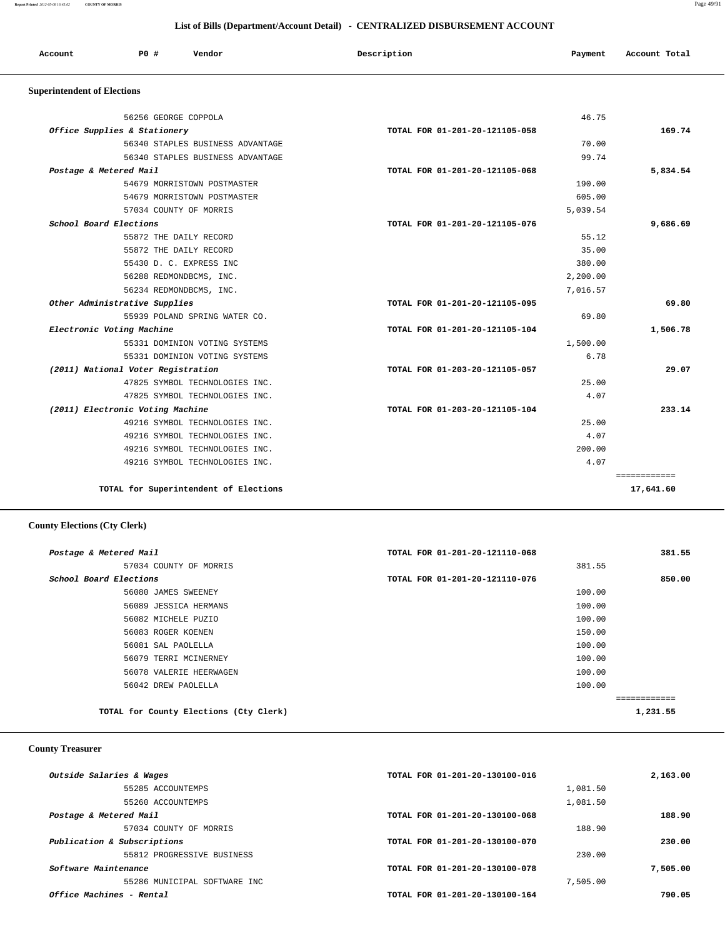**Report Printed** *2012-05-08 16:45:02* **COUNTY OF MORRIS** Page 49/91

| List of Bills (Department/Account Detail) - CENTRALIZED DISBURSEMENT ACCOUNT |                                    |                                  |                                |          |               |
|------------------------------------------------------------------------------|------------------------------------|----------------------------------|--------------------------------|----------|---------------|
| Account                                                                      | P0#                                | Vendor                           | Description                    | Payment  | Account Total |
| <b>Superintendent of Elections</b>                                           |                                    |                                  |                                |          |               |
|                                                                              | 56256 GEORGE COPPOLA               |                                  |                                | 46.75    |               |
|                                                                              | Office Supplies & Stationery       |                                  | TOTAL FOR 01-201-20-121105-058 |          | 169.74        |
|                                                                              |                                    | 56340 STAPLES BUSINESS ADVANTAGE |                                | 70.00    |               |
|                                                                              |                                    | 56340 STAPLES BUSINESS ADVANTAGE |                                | 99.74    |               |
| Postage & Metered Mail                                                       |                                    |                                  | TOTAL FOR 01-201-20-121105-068 |          | 5,834.54      |
|                                                                              |                                    | 54679 MORRISTOWN POSTMASTER      |                                | 190.00   |               |
|                                                                              |                                    | 54679 MORRISTOWN POSTMASTER      |                                | 605.00   |               |
|                                                                              | 57034 COUNTY OF MORRIS             |                                  |                                | 5,039.54 |               |
| School Board Elections                                                       |                                    |                                  | TOTAL FOR 01-201-20-121105-076 |          | 9,686.69      |
|                                                                              | 55872 THE DAILY RECORD             |                                  |                                | 55.12    |               |
|                                                                              | 55872 THE DAILY RECORD             |                                  |                                | 35.00    |               |
|                                                                              |                                    | 55430 D. C. EXPRESS INC          |                                | 380.00   |               |
|                                                                              |                                    | 56288 REDMONDBCMS, INC.          |                                | 2,200.00 |               |
|                                                                              |                                    | 56234 REDMONDBCMS, INC.          |                                | 7,016.57 |               |
|                                                                              | Other Administrative Supplies      |                                  | TOTAL FOR 01-201-20-121105-095 |          | 69.80         |
|                                                                              |                                    | 55939 POLAND SPRING WATER CO.    |                                | 69.80    |               |
|                                                                              | Electronic Voting Machine          |                                  | TOTAL FOR 01-201-20-121105-104 |          | 1,506.78      |
|                                                                              |                                    | 55331 DOMINION VOTING SYSTEMS    |                                | 1,500.00 |               |
|                                                                              |                                    | 55331 DOMINION VOTING SYSTEMS    |                                | 6.78     |               |
|                                                                              | (2011) National Voter Registration |                                  | TOTAL FOR 01-203-20-121105-057 |          | 29.07         |
|                                                                              |                                    | 47825 SYMBOL TECHNOLOGIES INC.   |                                | 25.00    |               |
|                                                                              |                                    | 47825 SYMBOL TECHNOLOGIES INC.   |                                | 4.07     |               |
|                                                                              | (2011) Electronic Voting Machine   |                                  | TOTAL FOR 01-203-20-121105-104 |          | 233.14        |
|                                                                              |                                    | 49216 SYMBOL TECHNOLOGIES INC.   |                                | 25.00    |               |
|                                                                              |                                    | 49216 SYMBOL TECHNOLOGIES INC.   |                                | 4.07     |               |
|                                                                              |                                    | 49216 SYMBOL TECHNOLOGIES INC.   |                                | 200.00   |               |
|                                                                              |                                    | 49216 SYMBOL TECHNOLOGIES INC.   |                                | 4.07     |               |

**TOTAL for Superintendent of Elections 17,641.60**

# **County Elections (Cty Clerk)**

| Postage & Metered Mail                 | TOTAL FOR 01-201-20-121110-068 | 381.55      |
|----------------------------------------|--------------------------------|-------------|
| 57034 COUNTY OF MORRIS                 | 381.55                         |             |
| School Board Elections                 | TOTAL FOR 01-201-20-121110-076 | 850.00      |
| 56080 JAMES SWEENEY                    | 100.00                         |             |
| 56089 JESSICA HERMANS                  | 100.00                         |             |
| 56082 MICHELE PUZIO                    | 100.00                         |             |
| 56083 ROGER KOENEN                     | 150.00                         |             |
| 56081 SAL PAOLELLA                     | 100.00                         |             |
| 56079 TERRI MCINERNEY                  | 100.00                         |             |
| 56078 VALERIE HEERWAGEN                | 100.00                         |             |
| 56042 DREW PAOLELLA                    | 100.00                         |             |
|                                        |                                | =========== |
| TOTAL for County Elections (Cty Clerk) |                                | 1,231.55    |
|                                        |                                |             |

============

# **County Treasurer**

| Outside Salaries & Wages     | TOTAL FOR 01-201-20-130100-016 | 2,163.00 |
|------------------------------|--------------------------------|----------|
| 55285 ACCOUNTEMPS            | 1,081.50                       |          |
| 55260 ACCOUNTEMPS            | 1,081.50                       |          |
| Postage & Metered Mail       | TOTAL FOR 01-201-20-130100-068 | 188.90   |
| 57034 COUNTY OF MORRIS       | 188.90                         |          |
| Publication & Subscriptions  | TOTAL FOR 01-201-20-130100-070 | 230.00   |
| 55812 PROGRESSIVE BUSINESS   | 230.00                         |          |
| Software Maintenance         | TOTAL FOR 01-201-20-130100-078 | 7,505.00 |
| 55286 MUNICIPAL SOFTWARE INC | 7,505.00                       |          |
| Office Machines - Rental     | TOTAL FOR 01-201-20-130100-164 | 790.05   |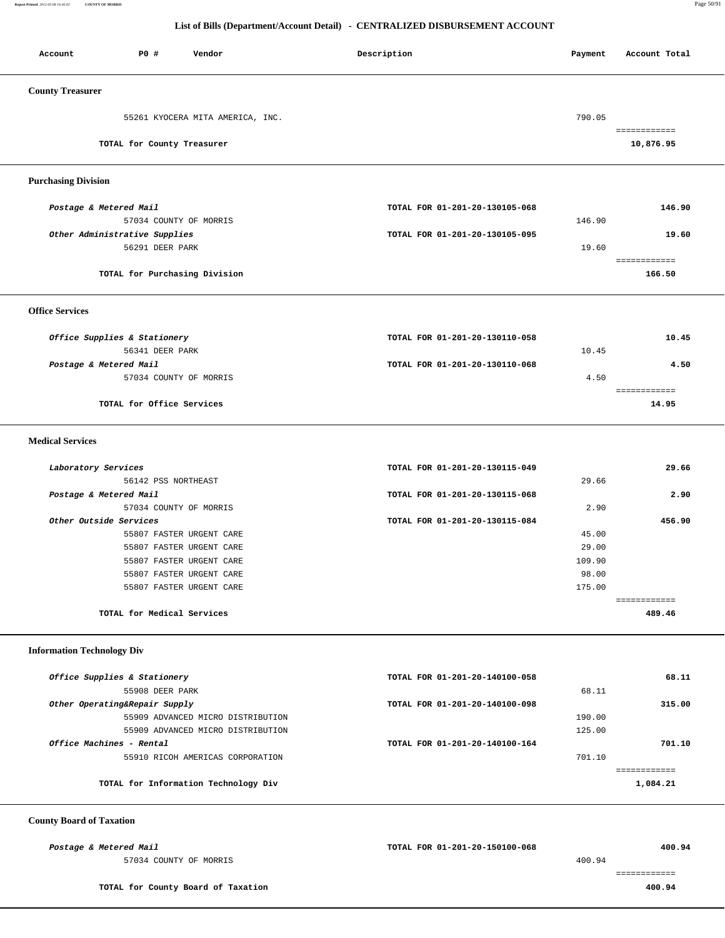**Report Printed** *2012-05-08 16:45:02* **COUNTY OF MORRIS** Page 50/91

### **List of Bills (Department/Account Detail) - CENTRALIZED DISBURSEMENT ACCOUNT**

| P0 #<br>Vendor<br>Account         | Description                    | Payment | Account Total          |
|-----------------------------------|--------------------------------|---------|------------------------|
| <b>County Treasurer</b>           |                                |         |                        |
| 55261 KYOCERA MITA AMERICA, INC.  |                                | 790.05  |                        |
|                                   |                                |         | ============           |
| TOTAL for County Treasurer        |                                |         | 10,876.95              |
| <b>Purchasing Division</b>        |                                |         |                        |
| Postage & Metered Mail            | TOTAL FOR 01-201-20-130105-068 |         | 146.90                 |
| 57034 COUNTY OF MORRIS            |                                | 146.90  |                        |
| Other Administrative Supplies     | TOTAL FOR 01-201-20-130105-095 |         | 19.60                  |
| 56291 DEER PARK                   |                                | 19.60   |                        |
|                                   |                                |         | ============           |
| TOTAL for Purchasing Division     |                                |         | 166.50                 |
| <b>Office Services</b>            |                                |         |                        |
| Office Supplies & Stationery      | TOTAL FOR 01-201-20-130110-058 |         | 10.45                  |
| 56341 DEER PARK                   |                                | 10.45   |                        |
| Postage & Metered Mail            | TOTAL FOR 01-201-20-130110-068 |         | 4.50                   |
| 57034 COUNTY OF MORRIS            |                                | 4.50    |                        |
|                                   |                                |         | ============           |
| TOTAL for Office Services         |                                |         | 14.95                  |
| <b>Medical Services</b>           |                                |         |                        |
| Laboratory Services               | TOTAL FOR 01-201-20-130115-049 |         | 29.66                  |
| 56142 PSS NORTHEAST               |                                | 29.66   |                        |
| Postage & Metered Mail            | TOTAL FOR 01-201-20-130115-068 |         | 2.90                   |
| 57034 COUNTY OF MORRIS            |                                | 2.90    |                        |
| Other Outside Services            | TOTAL FOR 01-201-20-130115-084 |         | 456.90                 |
| 55807 FASTER URGENT CARE          |                                | 45.00   |                        |
| 55807 FASTER URGENT CARE          |                                | 29.00   |                        |
| 55807 FASTER URGENT CARE          |                                | 109.90  |                        |
| 55807 FASTER URGENT CARE          |                                | 98.00   |                        |
| 55807 FASTER URGENT CARE          |                                | 175.00  |                        |
| TOTAL for Medical Services        |                                |         | ============<br>489.46 |
| <b>Information Technology Div</b> |                                |         |                        |
| Office Supplies & Stationery      | TOTAL FOR 01-201-20-140100-058 |         | 68.11                  |
| 55908 DEER PARK                   |                                | 68.11   |                        |
| Other Operating&Repair Supply     | TOTAL FOR 01-201-20-140100-098 |         | 315.00                 |
| 55909 ADVANCED MICRO DISTRIBUTION |                                | 190.00  |                        |
| 55909 ADVANCED MICRO DISTRIBUTION |                                | 125.00  |                        |
| Office Machines - Rental          | TOTAL FOR 01-201-20-140100-164 |         | 701.10                 |
| 55910 RICOH AMERICAS CORPORATION  |                                | 701.10  |                        |
|                                   |                                |         | ============           |
|                                   |                                |         | 1,084.21               |

============

 **County Board of Taxation** 

57034 COUNTY OF MORRIS 400.94

 **Postage & Metered Mail TOTAL FOR 01-201-20-150100-068 400.94**

**TOTAL for County Board of Taxation 400.94**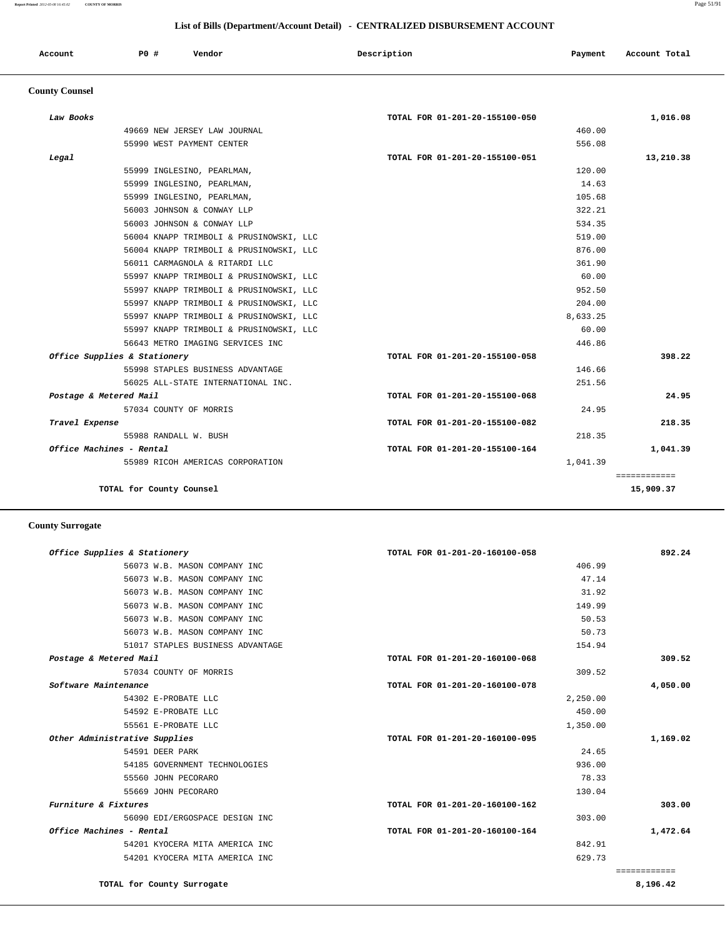#### **Report Printed** *2012-05-08 16:45:02* **COUNTY OF MORRIS** Page 51/91

 **List of Bills (Department/Account Detail) - CENTRALIZED DISBURSEMENT ACCOUNT**

| Account | PO <sub>1</sub> | Vendor<br>. | Description<br>$\sim$ $\sim$<br>. | Payment | Total<br>Account<br>. |
|---------|-----------------|-------------|-----------------------------------|---------|-----------------------|
|         |                 |             |                                   |         |                       |

# **County Counsel**

| Law Books                    |                                         | TOTAL FOR 01-201-20-155100-050 | 1,016.08                  |
|------------------------------|-----------------------------------------|--------------------------------|---------------------------|
|                              | 49669 NEW JERSEY LAW JOURNAL            | 460.00                         |                           |
|                              | 55990 WEST PAYMENT CENTER               | 556.08                         |                           |
| Legal                        |                                         | TOTAL FOR 01-201-20-155100-051 | 13,210.38                 |
|                              | 55999 INGLESINO, PEARLMAN,              | 120.00                         |                           |
|                              | 55999 INGLESINO, PEARLMAN,              | 14.63                          |                           |
|                              | 55999 INGLESINO, PEARLMAN,              | 105.68                         |                           |
|                              | 56003 JOHNSON & CONWAY LLP              | 322.21                         |                           |
|                              | 56003 JOHNSON & CONWAY LLP              | 534.35                         |                           |
|                              | 56004 KNAPP TRIMBOLI & PRUSINOWSKI, LLC | 519.00                         |                           |
|                              | 56004 KNAPP TRIMBOLI & PRUSINOWSKI, LLC | 876.00                         |                           |
|                              | 56011 CARMAGNOLA & RITARDI LLC          | 361.90                         |                           |
|                              | 55997 KNAPP TRIMBOLI & PRUSINOWSKI, LLC | 60.00                          |                           |
|                              | 55997 KNAPP TRIMBOLI & PRUSINOWSKI, LLC | 952.50                         |                           |
|                              | 55997 KNAPP TRIMBOLI & PRUSINOWSKI, LLC | 204.00                         |                           |
|                              | 55997 KNAPP TRIMBOLI & PRUSINOWSKI, LLC | 8,633.25                       |                           |
|                              | 55997 KNAPP TRIMBOLI & PRUSINOWSKI, LLC | 60.00                          |                           |
|                              | 56643 METRO IMAGING SERVICES INC        | 446.86                         |                           |
| Office Supplies & Stationery |                                         | TOTAL FOR 01-201-20-155100-058 | 398.22                    |
|                              | 55998 STAPLES BUSINESS ADVANTAGE        | 146.66                         |                           |
|                              | 56025 ALL-STATE INTERNATIONAL INC.      | 251.56                         |                           |
| Postage & Metered Mail       |                                         | TOTAL FOR 01-201-20-155100-068 | 24.95                     |
|                              | 57034 COUNTY OF MORRIS                  | 24.95                          |                           |
| Travel Expense               |                                         | TOTAL FOR 01-201-20-155100-082 | 218.35                    |
|                              | 55988 RANDALL W. BUSH                   | 218.35                         |                           |
| Office Machines - Rental     |                                         | TOTAL FOR 01-201-20-155100-164 | 1,041.39                  |
|                              | 55989 RICOH AMERICAS CORPORATION        | 1,041.39                       |                           |
|                              | TOTAL for County Counsel                |                                | ============<br>15,909.37 |

# **County Surrogate**

| Office Supplies & Stationery  |                                  | TOTAL FOR 01-201-20-160100-058 | 892.24                   |
|-------------------------------|----------------------------------|--------------------------------|--------------------------|
|                               | 56073 W.B. MASON COMPANY INC     | 406.99                         |                          |
|                               | 56073 W.B. MASON COMPANY INC     | 47.14                          |                          |
|                               | 56073 W.B. MASON COMPANY INC     | 31.92                          |                          |
|                               | 56073 W.B. MASON COMPANY INC     | 149.99                         |                          |
|                               | 56073 W.B. MASON COMPANY INC     | 50.53                          |                          |
|                               | 56073 W.B. MASON COMPANY INC     | 50.73                          |                          |
|                               | 51017 STAPLES BUSINESS ADVANTAGE | 154.94                         |                          |
| Postage & Metered Mail        |                                  | TOTAL FOR 01-201-20-160100-068 | 309.52                   |
|                               | 57034 COUNTY OF MORRIS           | 309.52                         |                          |
| Software Maintenance          |                                  | TOTAL FOR 01-201-20-160100-078 | 4,050.00                 |
|                               | 54302 E-PROBATE LLC              | 2,250.00                       |                          |
|                               | 54592 E-PROBATE LLC              | 450.00                         |                          |
|                               | 55561 E-PROBATE LLC              | 1,350.00                       |                          |
| Other Administrative Supplies |                                  | TOTAL FOR 01-201-20-160100-095 | 1,169.02                 |
|                               | 54591 DEER PARK                  | 24.65                          |                          |
|                               | 54185 GOVERNMENT TECHNOLOGIES    | 936.00                         |                          |
|                               | 55560 JOHN PECORARO              | 78.33                          |                          |
|                               | 55669 JOHN PECORARO              | 130.04                         |                          |
| Furniture & Fixtures          |                                  | TOTAL FOR 01-201-20-160100-162 | 303.00                   |
|                               | 56090 EDI/ERGOSPACE DESIGN INC   | 303.00                         |                          |
| Office Machines - Rental      |                                  | TOTAL FOR 01-201-20-160100-164 | 1,472.64                 |
|                               | 54201 KYOCERA MITA AMERICA INC   | 842.91                         |                          |
|                               | 54201 KYOCERA MITA AMERICA INC   | 629.73                         |                          |
|                               | TOTAL for County Surrogate       |                                | ============<br>8,196.42 |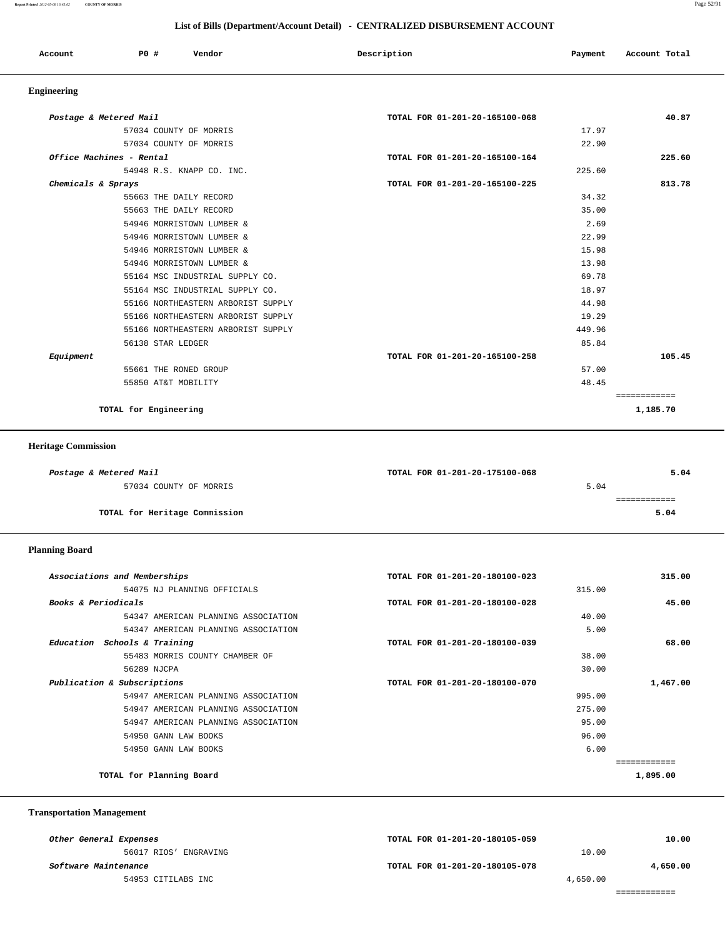**Report Printed** *2012-05-08 16:45:02* **COUNTY OF MORRIS** Page 52/91

### **List of Bills (Department/Account Detail) - CENTRALIZED DISBURSEMENT ACCOUNT**

| Account | <b>PO #</b> | Vendor | Description | Payment | Account Total |
|---------|-------------|--------|-------------|---------|---------------|
|         |             |        |             |         |               |

# **Engineering**

| Postage & Metered Mail             | TOTAL FOR 01-201-20-165100-068 | 40.87        |
|------------------------------------|--------------------------------|--------------|
| 57034 COUNTY OF MORRIS             | 17.97                          |              |
| 57034 COUNTY OF MORRIS             | 22.90                          |              |
| Office Machines - Rental           | TOTAL FOR 01-201-20-165100-164 | 225.60       |
| 54948 R.S. KNAPP CO. INC.          | 225.60                         |              |
| Chemicals & Sprays                 | TOTAL FOR 01-201-20-165100-225 | 813.78       |
| 55663 THE DAILY RECORD             | 34.32                          |              |
| 55663 THE DAILY RECORD             | 35.00                          |              |
| 54946 MORRISTOWN LUMBER &          | 2.69                           |              |
| 54946 MORRISTOWN LUMBER &          | 22.99                          |              |
| 54946 MORRISTOWN LUMBER &          | 15.98                          |              |
| 54946 MORRISTOWN LUMBER &          | 13.98                          |              |
| 55164 MSC INDUSTRIAL SUPPLY CO.    | 69.78                          |              |
| 55164 MSC INDUSTRIAL SUPPLY CO.    | 18.97                          |              |
| 55166 NORTHEASTERN ARBORIST SUPPLY | 44.98                          |              |
| 55166 NORTHEASTERN ARBORIST SUPPLY | 19.29                          |              |
| 55166 NORTHEASTERN ARBORIST SUPPLY | 449.96                         |              |
| 56138 STAR LEDGER                  | 85.84                          |              |
| Equipment                          | TOTAL FOR 01-201-20-165100-258 | 105.45       |
| 55661 THE RONED GROUP              | 57.00                          |              |
| 55850 AT&T MOBILITY                | 48.45                          |              |
|                                    |                                | ============ |
| TOTAL for Engineering              |                                | 1,185.70     |

### **Heritage Commission**

| Postage & Metered Mail        | TOTAL FOR 01-201-20-175100-068 | 5.04 |
|-------------------------------|--------------------------------|------|
| 57034 COUNTY OF MORRIS        | 5.04                           |      |
|                               |                                |      |
| TOTAL for Heritage Commission |                                | 5.04 |
|                               |                                |      |

### **Planning Board**

| Associations and Memberships        | TOTAL FOR 01-201-20-180100-023 | 315.00   |
|-------------------------------------|--------------------------------|----------|
| 54075 NJ PLANNING OFFICIALS         | 315.00                         |          |
| Books & Periodicals                 | TOTAL FOR 01-201-20-180100-028 | 45.00    |
| 54347 AMERICAN PLANNING ASSOCIATION | 40.00                          |          |
| 54347 AMERICAN PLANNING ASSOCIATION | 5.00                           |          |
| Education Schools & Training        | TOTAL FOR 01-201-20-180100-039 | 68.00    |
| 55483 MORRIS COUNTY CHAMBER OF      | 38.00                          |          |
| 56289 NJCPA                         | 30.00                          |          |
| Publication & Subscriptions         | TOTAL FOR 01-201-20-180100-070 | 1,467.00 |
| 54947 AMERICAN PLANNING ASSOCIATION | 995.00                         |          |
| 54947 AMERICAN PLANNING ASSOCIATION | 275.00                         |          |
| 54947 AMERICAN PLANNING ASSOCIATION | 95.00                          |          |
| 54950 GANN LAW BOOKS                | 96.00                          |          |
| 54950 GANN LAW BOOKS                | 6.00                           |          |
|                                     |                                |          |
| TOTAL for Planning Board            |                                | 1,895.00 |

### **Transportation Management**

| Other General Expenses      | TOTAL FOR 01-201-20-180105-059 |          | 10.00    |
|-----------------------------|--------------------------------|----------|----------|
| 56017 RIOS' ENGRAVING       |                                | 10.00    |          |
| <i>Software Maintenance</i> | TOTAL FOR 01-201-20-180105-078 |          | 4,650.00 |
| 54953 CITILABS INC          |                                | 4,650.00 |          |
|                             |                                |          |          |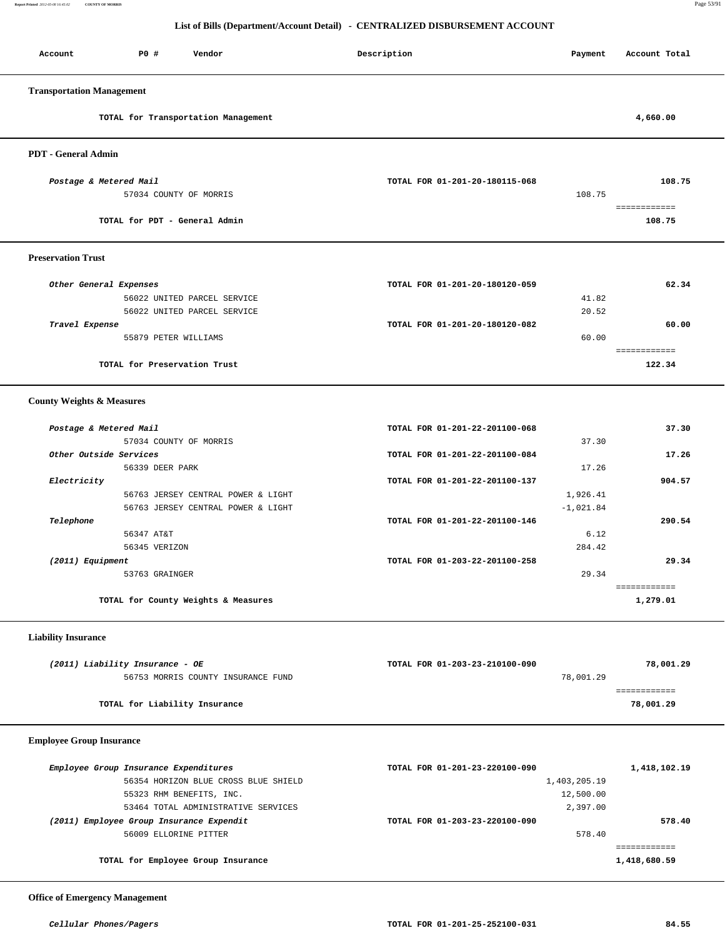**Report Printed** *2012-05-08 16:45:02* **COUNTY OF MORRIS** Page 53/91

### **List of Bills (Department/Account Detail) - CENTRALIZED DISBURSEMENT ACCOUNT**

| Account                              | P0 #<br>Vendor                      | Description                    | Payment | Account Total |
|--------------------------------------|-------------------------------------|--------------------------------|---------|---------------|
| <b>Transportation Management</b>     |                                     |                                |         |               |
|                                      | TOTAL for Transportation Management |                                |         | 4,660.00      |
| <b>PDT</b> - General Admin           |                                     |                                |         |               |
|                                      | Postage & Metered Mail              | TOTAL FOR 01-201-20-180115-068 |         | 108.75        |
|                                      | 57034 COUNTY OF MORRIS              |                                | 108.75  |               |
|                                      |                                     |                                |         | ============  |
|                                      | TOTAL for PDT - General Admin       |                                |         | 108.75        |
| <b>Preservation Trust</b>            |                                     |                                |         |               |
|                                      | Other General Expenses              | TOTAL FOR 01-201-20-180120-059 |         | 62.34         |
|                                      | 56022 UNITED PARCEL SERVICE         |                                | 41.82   |               |
|                                      | 56022 UNITED PARCEL SERVICE         |                                | 20.52   |               |
| Travel Expense                       |                                     | TOTAL FOR 01-201-20-180120-082 |         | 60.00         |
|                                      | 55879 PETER WILLIAMS                |                                | 60.00   | ============  |
|                                      | TOTAL for Preservation Trust        |                                |         | 122.34        |
| <b>County Weights &amp; Measures</b> |                                     |                                |         |               |
|                                      | Postage & Metered Mail              | TOTAL FOR 01-201-22-201100-068 |         | 37.30         |
|                                      | 57034 COUNTY OF MORRIS              |                                | 37.30   |               |
|                                      | Other Outside Services              | TOTAL FOR 01-201-22-201100-084 |         | 17.26         |
|                                      | 56339 DEER PARK                     |                                | 17.26   |               |

| <b>Liability Insurance</b> |
|----------------------------|
|----------------------------|

| (2011) Liability Insurance - OE    | TOTAL FOR 01-203-23-210100-090 | 78,001.29 |
|------------------------------------|--------------------------------|-----------|
| 56753 MORRIS COUNTY INSURANCE FUND | 78,001.29                      |           |
| TOTAL for Liability Insurance      |                                | 78,001.29 |

 **Electricity TOTAL FOR 01-201-22-201100-137 904.57** 56763 JERSEY CENTRAL POWER & LIGHT 1,926.41 56763 JERSEY CENTRAL POWER & LIGHT  $-1,021.84$  **Telephone TOTAL FOR 01-201-22-201100-146 290.54**

 56345 VERIZON 284.42  **(2011) Equipment TOTAL FOR 01-203-22-201100-258 29.34** 53763 GRAINGER 29.34

**TOTAL for County Weights & Measures 1,279.01**

============

56347 AT&T 6.12

 **Employee Group Insurance** 

| Employee Group Insurance Expenditures    | TOTAL FOR 01-201-23-220100-090 | 1,418,102.19 |
|------------------------------------------|--------------------------------|--------------|
| 56354 HORIZON BLUE CROSS BLUE SHIELD     | 1,403,205.19                   |              |
| 55323 RHM BENEFITS, INC.                 | 12,500.00                      |              |
| 53464 TOTAL ADMINISTRATIVE SERVICES      | 2,397.00                       |              |
| (2011) Employee Group Insurance Expendit | TOTAL FOR 01-203-23-220100-090 | 578.40       |
| 56009 ELLORINE PITTER                    | 578.40                         |              |
|                                          |                                |              |
| TOTAL for Employee Group Insurance       |                                | 1,418,680.59 |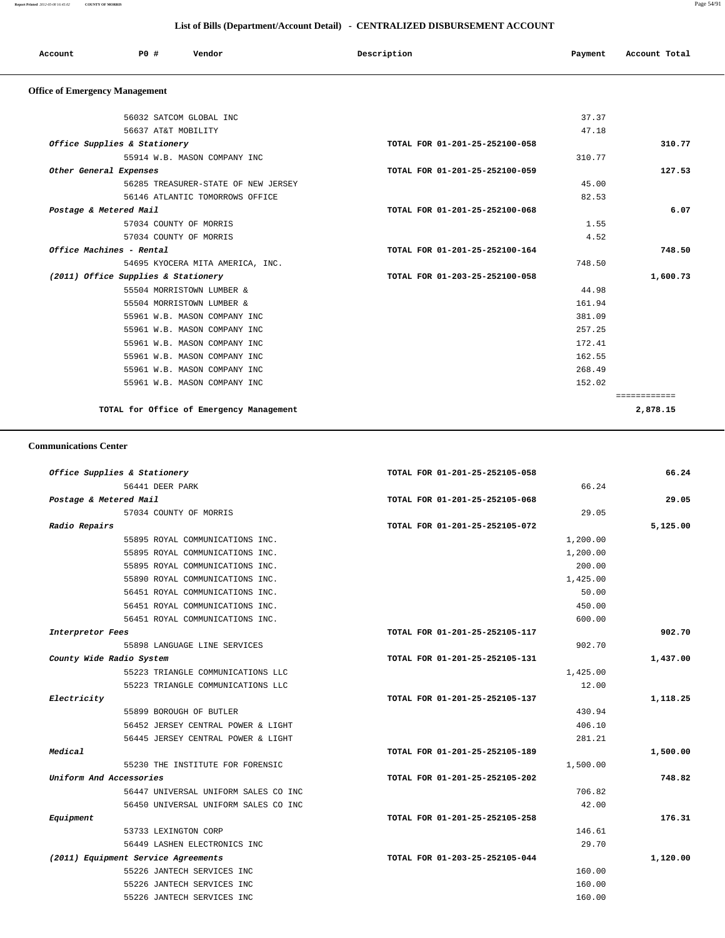| Account                               | P0 #                         | Vendor                              | Description                    | Payment | Account Total |
|---------------------------------------|------------------------------|-------------------------------------|--------------------------------|---------|---------------|
| <b>Office of Emergency Management</b> |                              |                                     |                                |         |               |
|                                       | 56032 SATCOM GLOBAL INC      |                                     |                                | 37.37   |               |
|                                       | 56637 AT&T MOBILITY          |                                     |                                | 47.18   |               |
|                                       | Office Supplies & Stationery |                                     | TOTAL FOR 01-201-25-252100-058 |         | 310.77        |
|                                       |                              | 55914 W.B. MASON COMPANY INC        |                                | 310.77  |               |
| Other General Expenses                |                              |                                     | TOTAL FOR 01-201-25-252100-059 |         | 127.53        |
|                                       |                              | 56285 TREASURER-STATE OF NEW JERSEY |                                | 45.00   |               |
|                                       |                              | 56146 ATLANTIC TOMORROWS OFFICE     |                                | 82.53   |               |
| Postage & Metered Mail                |                              |                                     | TOTAL FOR 01-201-25-252100-068 |         | 6.07          |
|                                       | 57034 COUNTY OF MORRIS       |                                     |                                | 1.55    |               |
|                                       | 57034 COUNTY OF MORRIS       |                                     |                                | 4.52    |               |

 **Office Machines - Rental TOTAL FOR 01-201-25-252100-164 748.50** 54695 KYOCERA MITA AMERICA, INC. 748.50  **(2011) Office Supplies & Stationery TOTAL FOR 01-203-25-252100-058 1,600.73** 55504 MORRISTOWN LUMBER & 44.98 55504 MORRISTOWN LUMBER & 161.94 55961 W.B. MASON COMPANY INC 381.09 55961 W.B. MASON COMPANY INC 257.25 55961 W.B. MASON COMPANY INC 172.41 55961 W.B. MASON COMPANY INC 162.55 55961 W.B. MASON COMPANY INC 268.49 55961 W.B. MASON COMPANY INC 152.02

============

**TOTAL for Office of Emergency Management 2,878.15**

#### **Communications Center**

| 66.24    | TOTAL FOR 01-201-25-252105-058 | Office Supplies & Stationery         |
|----------|--------------------------------|--------------------------------------|
|          | 66.24                          | 56441 DEER PARK                      |
| 29.05    | TOTAL FOR 01-201-25-252105-068 | Postage & Metered Mail               |
|          | 29.05                          | 57034 COUNTY OF MORRIS               |
| 5,125.00 | TOTAL FOR 01-201-25-252105-072 | Radio Repairs                        |
|          | 1,200.00                       | 55895 ROYAL COMMUNICATIONS INC.      |
|          | 1,200.00                       | 55895 ROYAL COMMUNICATIONS INC.      |
|          | 200.00                         | 55895 ROYAL COMMUNICATIONS INC.      |
|          | 1,425.00                       | 55890 ROYAL COMMUNICATIONS INC.      |
|          | 50.00                          | 56451 ROYAL COMMUNICATIONS INC.      |
|          | 450.00                         | 56451 ROYAL COMMUNICATIONS INC.      |
|          | 600.00                         | 56451 ROYAL COMMUNICATIONS INC.      |
| 902.70   | TOTAL FOR 01-201-25-252105-117 | Interpretor Fees                     |
|          | 902.70                         | 55898 LANGUAGE LINE SERVICES         |
| 1,437.00 | TOTAL FOR 01-201-25-252105-131 | County Wide Radio System             |
|          | 1,425.00                       | 55223 TRIANGLE COMMUNICATIONS LLC    |
|          | 12.00                          | 55223 TRIANGLE COMMUNICATIONS LLC    |
| 1,118.25 | TOTAL FOR 01-201-25-252105-137 | Electricity                          |
|          | 430.94                         | 55899 BOROUGH OF BUTLER              |
|          | 406.10                         | 56452 JERSEY CENTRAL POWER & LIGHT   |
|          | 281.21                         | 56445 JERSEY CENTRAL POWER & LIGHT   |
| 1,500.00 | TOTAL FOR 01-201-25-252105-189 | Medical                              |
|          | 1,500.00                       | 55230 THE INSTITUTE FOR FORENSIC     |
| 748.82   | TOTAL FOR 01-201-25-252105-202 | Uniform And Accessories              |
|          | 706.82                         | 56447 UNIVERSAL UNIFORM SALES CO INC |
|          | 42.00                          | 56450 UNIVERSAL UNIFORM SALES CO INC |
| 176.31   | TOTAL FOR 01-201-25-252105-258 | Equipment                            |
|          | 146.61                         | 53733 LEXINGTON CORP                 |
|          | 29.70                          | 56449 LASHEN ELECTRONICS INC         |
| 1,120.00 | TOTAL FOR 01-203-25-252105-044 | (2011) Equipment Service Agreements  |
|          | 160.00                         | 55226 JANTECH SERVICES INC           |
|          | 160.00                         | 55226 JANTECH SERVICES INC           |
|          | 160.00                         | 55226 JANTECH SERVICES INC           |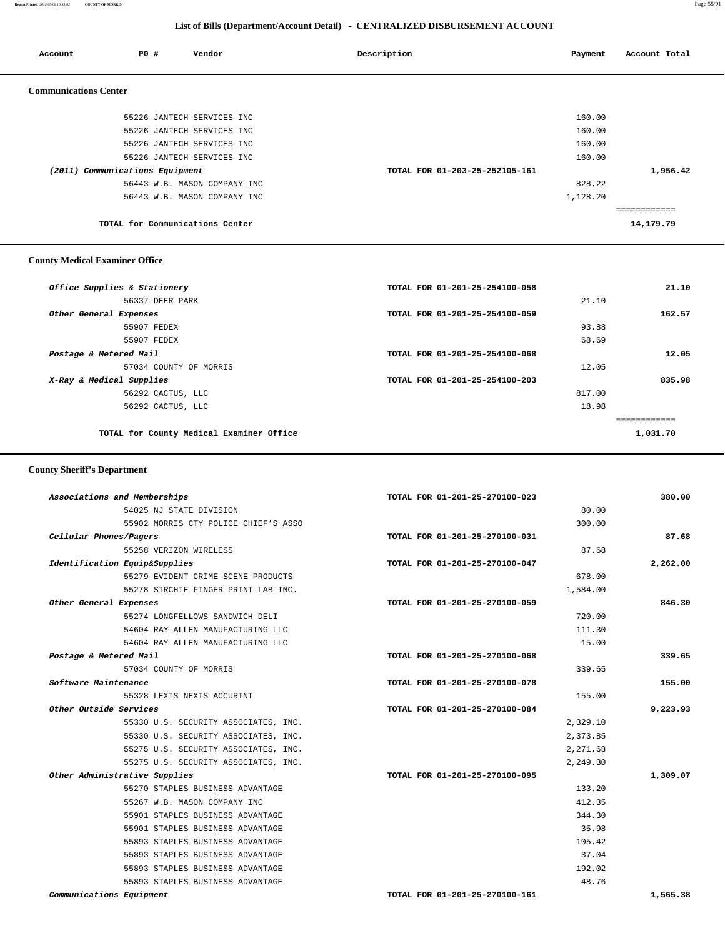**Report Printed** *2012-05-08 16:45:02* **COUNTY OF MORRIS** Page 55/91

### **List of Bills (Department/Account Detail) - CENTRALIZED DISBURSEMENT ACCOUNT**

| Account                      | PO#                             | Vendor                          | Description                    | Payment  | Account Total |
|------------------------------|---------------------------------|---------------------------------|--------------------------------|----------|---------------|
| <b>Communications Center</b> |                                 |                                 |                                |          |               |
|                              |                                 | 55226 JANTECH SERVICES INC      |                                | 160.00   |               |
|                              |                                 | 55226 JANTECH SERVICES INC      |                                | 160.00   |               |
|                              |                                 | 55226 JANTECH SERVICES INC      |                                | 160.00   |               |
|                              |                                 | 55226 JANTECH SERVICES INC      |                                | 160.00   |               |
|                              | (2011) Communications Equipment |                                 | TOTAL FOR 01-203-25-252105-161 |          | 1,956.42      |
|                              |                                 | 56443 W.B. MASON COMPANY INC    |                                | 828.22   |               |
|                              |                                 | 56443 W.B. MASON COMPANY INC    |                                | 1,128.20 |               |
|                              |                                 |                                 |                                |          |               |
|                              |                                 | TOTAL for Communications Center |                                |          | 14,179.79     |

### **County Medical Examiner Office**

| Office Supplies & Stationery             | TOTAL FOR 01-201-25-254100-058 |        | 21.10        |
|------------------------------------------|--------------------------------|--------|--------------|
| 56337 DEER PARK                          |                                | 21.10  |              |
| Other General Expenses                   | TOTAL FOR 01-201-25-254100-059 |        | 162.57       |
| 55907 FEDEX                              |                                | 93.88  |              |
| 55907 FEDEX                              |                                | 68.69  |              |
| Postage & Metered Mail                   | TOTAL FOR 01-201-25-254100-068 |        | 12.05        |
| 57034 COUNTY OF MORRIS                   |                                | 12.05  |              |
| X-Ray & Medical Supplies                 | TOTAL FOR 01-201-25-254100-203 |        | 835.98       |
| 56292 CACTUS, LLC                        |                                | 817.00 |              |
| 56292 CACTUS, LLC                        |                                | 18.98  |              |
|                                          |                                |        | ------------ |
| TOTAL for County Medical Examiner Office |                                |        | 1,031.70     |
|                                          |                                |        |              |

### **County Sheriff's Department**

| Associations and Memberships         | TOTAL FOR 01-201-25-270100-023 | 380.00   |
|--------------------------------------|--------------------------------|----------|
| 54025 NJ STATE DIVISION              | 80.00                          |          |
| 55902 MORRIS CTY POLICE CHIEF'S ASSO | 300.00                         |          |
| Cellular Phones/Pagers               | TOTAL FOR 01-201-25-270100-031 | 87.68    |
| 55258 VERIZON WIRELESS               | 87.68                          |          |
| Identification Equip&Supplies        | TOTAL FOR 01-201-25-270100-047 | 2,262.00 |
| 55279 EVIDENT CRIME SCENE PRODUCTS   | 678.00                         |          |
| 55278 SIRCHIE FINGER PRINT LAB INC.  | 1,584.00                       |          |
| Other General Expenses               | TOTAL FOR 01-201-25-270100-059 | 846.30   |
| 55274 LONGFELLOWS SANDWICH DELI      | 720.00                         |          |
| 54604 RAY ALLEN MANUFACTURING LLC    | 111.30                         |          |
| 54604 RAY ALLEN MANUFACTURING LLC    | 15.00                          |          |
| Postage & Metered Mail               | TOTAL FOR 01-201-25-270100-068 | 339.65   |
| 57034 COUNTY OF MORRIS               | 339.65                         |          |
| Software Maintenance                 | TOTAL FOR 01-201-25-270100-078 | 155.00   |
| 55328 LEXIS NEXIS ACCURINT           | 155.00                         |          |
| Other Outside Services               | TOTAL FOR 01-201-25-270100-084 | 9,223.93 |
| 55330 U.S. SECURITY ASSOCIATES, INC. | 2,329.10                       |          |
| 55330 U.S. SECURITY ASSOCIATES, INC. | 2,373.85                       |          |
| 55275 U.S. SECURITY ASSOCIATES, INC. | 2,271.68                       |          |
| 55275 U.S. SECURITY ASSOCIATES, INC. | 2,249.30                       |          |
| Other Administrative Supplies        | TOTAL FOR 01-201-25-270100-095 | 1,309.07 |
| 55270 STAPLES BUSINESS ADVANTAGE     | 133.20                         |          |
| 55267 W.B. MASON COMPANY INC         | 412.35                         |          |
| 55901 STAPLES BUSINESS ADVANTAGE     | 344.30                         |          |
| 55901 STAPLES BUSINESS ADVANTAGE     | 35.98                          |          |
| 55893 STAPLES BUSINESS ADVANTAGE     | 105.42                         |          |
| 55893 STAPLES BUSINESS ADVANTAGE     | 37.04                          |          |
| 55893 STAPLES BUSINESS ADVANTAGE     | 192.02                         |          |
| 55893 STAPLES BUSINESS ADVANTAGE     | 48.76                          |          |
| Communications Equipment             | TOTAL FOR 01-201-25-270100-161 | 1,565.38 |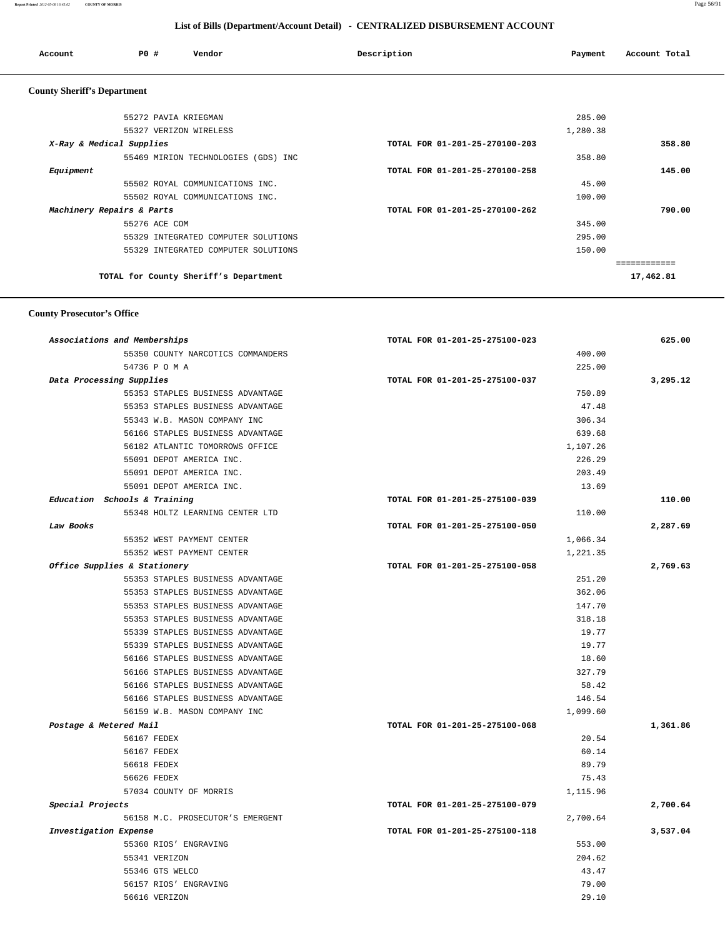| Account                            | <b>PO #</b>            | Vendor | Description | Payment  | Account Total |
|------------------------------------|------------------------|--------|-------------|----------|---------------|
| <b>County Sheriff's Department</b> |                        |        |             |          |               |
|                                    | 55272 PAVIA KRIEGMAN   |        |             | 285.00   |               |
|                                    | EEQOR THREROM MERREROO |        |             | 1.000.20 |               |

| 55327 VERIZON WIRELESS                | 1,280.38                       |           |
|---------------------------------------|--------------------------------|-----------|
| X-Ray & Medical Supplies              | TOTAL FOR 01-201-25-270100-203 | 358.80    |
| 55469 MIRION TECHNOLOGIES (GDS) INC   | 358.80                         |           |
| Equipment                             | TOTAL FOR 01-201-25-270100-258 | 145.00    |
| 55502 ROYAL COMMUNICATIONS INC.       | 45.00                          |           |
| 55502 ROYAL COMMUNICATIONS INC.       | 100.00                         |           |
| Machinery Repairs & Parts             | TOTAL FOR 01-201-25-270100-262 | 790.00    |
| 55276 ACE COM                         | 345.00                         |           |
| 55329 INTEGRATED COMPUTER SOLUTIONS   | 295.00                         |           |
| 55329 INTEGRATED COMPUTER SOLUTIONS   | 150.00                         |           |
|                                       |                                |           |
| TOTAL for County Sheriff's Department |                                | 17,462.81 |
|                                       |                                |           |

### **County Prosecutor's Office**

| Associations and Memberships      | TOTAL FOR 01-201-25-275100-023 | 625.00   |
|-----------------------------------|--------------------------------|----------|
| 55350 COUNTY NARCOTICS COMMANDERS | 400.00                         |          |
| 54736 P O M A                     | 225.00                         |          |
| Data Processing Supplies          | TOTAL FOR 01-201-25-275100-037 | 3,295.12 |
| 55353 STAPLES BUSINESS ADVANTAGE  | 750.89                         |          |
| 55353 STAPLES BUSINESS ADVANTAGE  | 47.48                          |          |
| 55343 W.B. MASON COMPANY INC      | 306.34                         |          |
| 56166 STAPLES BUSINESS ADVANTAGE  | 639.68                         |          |
| 56182 ATLANTIC TOMORROWS OFFICE   | 1,107.26                       |          |
| 55091 DEPOT AMERICA INC.          | 226.29                         |          |
| 55091 DEPOT AMERICA INC.          | 203.49                         |          |
| 55091 DEPOT AMERICA INC.          | 13.69                          |          |
| Education Schools & Training      | TOTAL FOR 01-201-25-275100-039 | 110.00   |
| 55348 HOLTZ LEARNING CENTER LTD   | 110.00                         |          |
| Law Books                         | TOTAL FOR 01-201-25-275100-050 | 2,287.69 |
| 55352 WEST PAYMENT CENTER         | 1,066.34                       |          |
| 55352 WEST PAYMENT CENTER         | 1,221.35                       |          |
| Office Supplies & Stationery      | TOTAL FOR 01-201-25-275100-058 | 2,769.63 |
| 55353 STAPLES BUSINESS ADVANTAGE  | 251.20                         |          |
| 55353 STAPLES BUSINESS ADVANTAGE  | 362.06                         |          |
| 55353 STAPLES BUSINESS ADVANTAGE  | 147.70                         |          |
| 55353 STAPLES BUSINESS ADVANTAGE  | 318.18                         |          |
| 55339 STAPLES BUSINESS ADVANTAGE  | 19.77                          |          |
| 55339 STAPLES BUSINESS ADVANTAGE  | 19.77                          |          |
| 56166 STAPLES BUSINESS ADVANTAGE  | 18.60                          |          |
| 56166 STAPLES BUSINESS ADVANTAGE  | 327.79                         |          |
| 56166 STAPLES BUSINESS ADVANTAGE  | 58.42                          |          |
| 56166 STAPLES BUSINESS ADVANTAGE  | 146.54                         |          |
| 56159 W.B. MASON COMPANY INC      | 1,099.60                       |          |
| Postage & Metered Mail            | TOTAL FOR 01-201-25-275100-068 | 1,361.86 |
| 56167 FEDEX                       | 20.54                          |          |
| 56167 FEDEX                       | 60.14                          |          |
| 56618 FEDEX                       | 89.79                          |          |
| 56626 FEDEX                       | 75.43                          |          |
| 57034 COUNTY OF MORRIS            | 1,115.96                       |          |
| Special Projects                  | TOTAL FOR 01-201-25-275100-079 | 2,700.64 |
| 56158 M.C. PROSECUTOR'S EMERGENT  | 2,700.64                       |          |
| Investigation Expense             | TOTAL FOR 01-201-25-275100-118 | 3,537.04 |
| 55360 RIOS' ENGRAVING             | 553.00                         |          |
| 55341 VERIZON                     | 204.62                         |          |
| 55346 GTS WELCO                   | 43.47                          |          |
| 56157 RIOS' ENGRAVING             | 79.00                          |          |
| 56616 VERIZON                     | 29.10                          |          |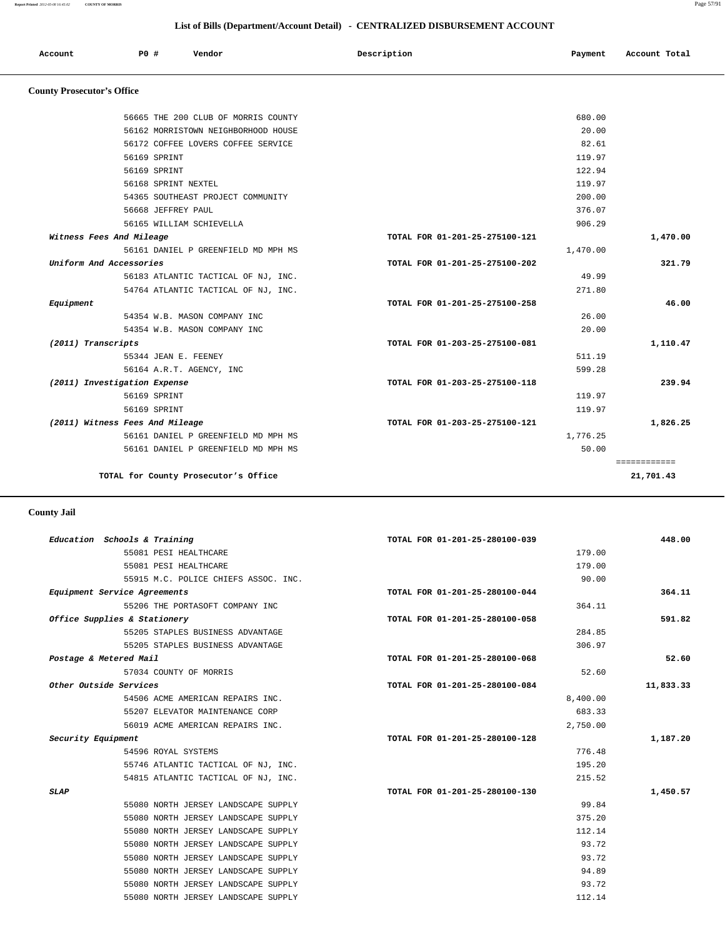**Report Printed** *2012-05-08 16:45:02* **COUNTY OF MORRIS** Page 57/91

|                                   | List of Bills (Department/Account Detail) - CENTRALIZED DISBURSEMENT ACCOUNT |                                     |                                |          |               |
|-----------------------------------|------------------------------------------------------------------------------|-------------------------------------|--------------------------------|----------|---------------|
| Account                           | PO#                                                                          | Vendor                              | Description                    | Payment  | Account Total |
| <b>County Prosecutor's Office</b> |                                                                              |                                     |                                |          |               |
|                                   |                                                                              | 56665 THE 200 CLUB OF MORRIS COUNTY |                                | 680.00   |               |
|                                   |                                                                              | 56162 MORRISTOWN NEIGHBORHOOD HOUSE |                                | 20.00    |               |
|                                   |                                                                              | 56172 COFFEE LOVERS COFFEE SERVICE  |                                | 82.61    |               |
|                                   | 56169 SPRINT                                                                 |                                     |                                | 119.97   |               |
|                                   | 56169 SPRINT                                                                 |                                     |                                | 122.94   |               |
|                                   | 56168 SPRINT NEXTEL                                                          |                                     |                                | 119.97   |               |
|                                   |                                                                              | 54365 SOUTHEAST PROJECT COMMUNITY   |                                | 200.00   |               |
|                                   | 56668 JEFFREY PAUL                                                           |                                     |                                | 376.07   |               |
|                                   |                                                                              | 56165 WILLIAM SCHIEVELLA            |                                | 906.29   |               |
|                                   | Witness Fees And Mileage                                                     |                                     | TOTAL FOR 01-201-25-275100-121 |          | 1,470.00      |
|                                   |                                                                              | 56161 DANIEL P GREENFIELD MD MPH MS |                                | 1,470.00 |               |
|                                   | Uniform And Accessories                                                      |                                     | TOTAL FOR 01-201-25-275100-202 |          | 321.79        |
|                                   |                                                                              | 56183 ATLANTIC TACTICAL OF NJ, INC. |                                | 49.99    |               |
|                                   |                                                                              | 54764 ATLANTIC TACTICAL OF NJ, INC. |                                | 271.80   |               |
| Equipment                         |                                                                              |                                     | TOTAL FOR 01-201-25-275100-258 |          | 46.00         |
|                                   |                                                                              | 54354 W.B. MASON COMPANY INC        |                                | 26.00    |               |
|                                   |                                                                              | 54354 W.B. MASON COMPANY INC        |                                | 20.00    |               |
| (2011) Transcripts                |                                                                              |                                     | TOTAL FOR 01-203-25-275100-081 |          | 1,110.47      |

 55344 JEAN E. FEENEY 511.19 56164 A.R.T. AGENCY, INC 599.28  **(2011) Investigation Expense TOTAL FOR 01-203-25-275100-118 239.94** 56169 SPRINT 119.97 56169 SPRINT 119.97  **(2011) Witness Fees And Mileage TOTAL FOR 01-203-25-275100-121 1,826.25** 56161 DANIEL P GREENFIELD MD MPH MS 1,776.25 56161 DANIEL P GREENFIELD MD MPH MS 50.00

============

**TOTAL for County Prosecutor's Office 21,701.43**

|                        | Education Schools & Training         | TOTAL FOR 01-201-25-280100-039 | 448.00    |
|------------------------|--------------------------------------|--------------------------------|-----------|
|                        | 55081 PESI HEALTHCARE                | 179.00                         |           |
|                        | 55081 PESI HEALTHCARE                | 179.00                         |           |
|                        | 55915 M.C. POLICE CHIEFS ASSOC. INC. | 90.00                          |           |
|                        | Equipment Service Agreements         | TOTAL FOR 01-201-25-280100-044 | 364.11    |
|                        | 55206 THE PORTASOFT COMPANY INC      | 364.11                         |           |
|                        | Office Supplies & Stationery         | TOTAL FOR 01-201-25-280100-058 | 591.82    |
|                        | 55205 STAPLES BUSINESS ADVANTAGE     | 284.85                         |           |
|                        | 55205 STAPLES BUSINESS ADVANTAGE     | 306.97                         |           |
| Postage & Metered Mail |                                      | TOTAL FOR 01-201-25-280100-068 | 52.60     |
|                        | 57034 COUNTY OF MORRIS               | 52.60                          |           |
| Other Outside Services |                                      | TOTAL FOR 01-201-25-280100-084 | 11,833.33 |
|                        | 54506 ACME AMERICAN REPAIRS INC.     | 8,400.00                       |           |
|                        | 55207 ELEVATOR MAINTENANCE CORP      | 683.33                         |           |
|                        | 56019 ACME AMERICAN REPAIRS INC.     | 2,750.00                       |           |
| Security Equipment     |                                      | TOTAL FOR 01-201-25-280100-128 | 1,187.20  |
|                        | 54596 ROYAL SYSTEMS                  | 776.48                         |           |
|                        | 55746 ATLANTIC TACTICAL OF NJ, INC.  | 195.20                         |           |
|                        | 54815 ATLANTIC TACTICAL OF NJ, INC.  | 215.52                         |           |
| <b>SLAP</b>            |                                      | TOTAL FOR 01-201-25-280100-130 | 1,450.57  |
|                        | 55080 NORTH JERSEY LANDSCAPE SUPPLY  | 99.84                          |           |
|                        | 55080 NORTH JERSEY LANDSCAPE SUPPLY  | 375.20                         |           |
|                        | 55080 NORTH JERSEY LANDSCAPE SUPPLY  | 112.14                         |           |
|                        | 55080 NORTH JERSEY LANDSCAPE SUPPLY  | 93.72                          |           |
|                        | 55080 NORTH JERSEY LANDSCAPE SUPPLY  | 93.72                          |           |
|                        | 55080 NORTH JERSEY LANDSCAPE SUPPLY  | 94.89                          |           |
|                        | 55080 NORTH JERSEY LANDSCAPE SUPPLY  | 93.72                          |           |
|                        | 55080 NORTH JERSEY LANDSCAPE SUPPLY  | 112.14                         |           |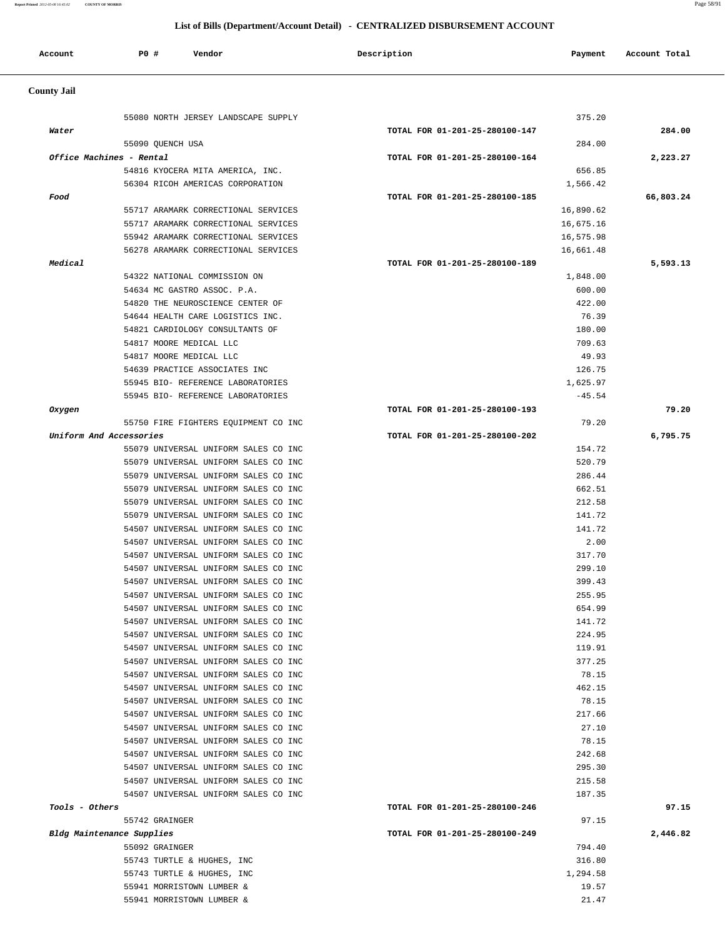**Report Printed** *2012-05-08 16:45:02* **COUNTY OF MORRIS** Page 58/91

# **List of Bills (Department/Account Detail) - CENTRALIZED DISBURSEMENT ACCOUNT**

| Account            | PO#<br>Vendor                                                                | Description                    | Payment                | Account Total |
|--------------------|------------------------------------------------------------------------------|--------------------------------|------------------------|---------------|
| <b>County Jail</b> |                                                                              |                                |                        |               |
| Water              | 55080 NORTH JERSEY LANDSCAPE SUPPLY                                          | TOTAL FOR 01-201-25-280100-147 | 375.20                 | 284.00        |
|                    | 55090 QUENCH USA                                                             |                                | 284.00                 |               |
|                    | Office Machines - Rental                                                     | TOTAL FOR 01-201-25-280100-164 |                        | 2,223.27      |
|                    | 54816 KYOCERA MITA AMERICA, INC.                                             |                                | 656.85                 |               |
|                    | 56304 RICOH AMERICAS CORPORATION                                             |                                | 1,566.42               |               |
| Food               |                                                                              | TOTAL FOR 01-201-25-280100-185 |                        | 66,803.24     |
|                    | 55717 ARAMARK CORRECTIONAL SERVICES                                          |                                | 16,890.62              |               |
|                    | 55717 ARAMARK CORRECTIONAL SERVICES<br>55942 ARAMARK CORRECTIONAL SERVICES   |                                | 16,675.16<br>16,575.98 |               |
|                    | 56278 ARAMARK CORRECTIONAL SERVICES                                          |                                | 16,661.48              |               |
| Medical            |                                                                              | TOTAL FOR 01-201-25-280100-189 |                        | 5,593.13      |
|                    | 54322 NATIONAL COMMISSION ON                                                 |                                | 1,848.00               |               |
|                    | 54634 MC GASTRO ASSOC. P.A.                                                  |                                | 600.00                 |               |
|                    | 54820 THE NEUROSCIENCE CENTER OF                                             |                                | 422.00                 |               |
|                    | 54644 HEALTH CARE LOGISTICS INC.                                             |                                | 76.39                  |               |
|                    | 54821 CARDIOLOGY CONSULTANTS OF                                              |                                | 180.00                 |               |
|                    | 54817 MOORE MEDICAL LLC                                                      |                                | 709.63                 |               |
|                    | 54817 MOORE MEDICAL LLC                                                      |                                | 49.93                  |               |
|                    | 54639 PRACTICE ASSOCIATES INC                                                |                                | 126.75                 |               |
|                    | 55945 BIO- REFERENCE LABORATORIES                                            |                                | 1,625.97               |               |
|                    | 55945 BIO- REFERENCE LABORATORIES                                            |                                | $-45.54$               |               |
| Oxygen             |                                                                              | TOTAL FOR 01-201-25-280100-193 |                        | 79.20         |
|                    | 55750 FIRE FIGHTERS EQUIPMENT CO INC                                         |                                | 79.20                  |               |
|                    | Uniform And Accessories                                                      | TOTAL FOR 01-201-25-280100-202 |                        | 6,795.75      |
|                    | 55079 UNIVERSAL UNIFORM SALES CO INC                                         |                                | 154.72                 |               |
|                    | 55079 UNIVERSAL UNIFORM SALES CO INC<br>55079 UNIVERSAL UNIFORM SALES CO INC |                                | 520.79<br>286.44       |               |
|                    | 55079 UNIVERSAL UNIFORM SALES CO INC                                         |                                | 662.51                 |               |
|                    | 55079 UNIVERSAL UNIFORM SALES CO INC                                         |                                | 212.58                 |               |
|                    | 55079 UNIVERSAL UNIFORM SALES CO INC                                         |                                | 141.72                 |               |
|                    | 54507 UNIVERSAL UNIFORM SALES CO INC                                         |                                | 141.72                 |               |
|                    | 54507 UNIVERSAL UNIFORM SALES CO INC                                         |                                | 2.00                   |               |
|                    | 54507 UNIVERSAL UNIFORM SALES CO INC                                         |                                | 317.70                 |               |
|                    | 54507 UNIVERSAL UNIFORM SALES CO INC                                         |                                | 299.10                 |               |
|                    | 54507 UNIVERSAL UNIFORM SALES CO INC                                         |                                | 399.43                 |               |
|                    | 54507 UNIVERSAL UNIFORM SALES CO INC                                         |                                | 255.95                 |               |
|                    | 54507 UNIVERSAL UNIFORM SALES CO INC                                         |                                | 654.99                 |               |
|                    | 54507 UNIVERSAL UNIFORM SALES CO INC                                         |                                | 141.72                 |               |
|                    | 54507 UNIVERSAL UNIFORM SALES CO INC                                         |                                | 224.95                 |               |
|                    | 54507 UNIVERSAL UNIFORM SALES CO INC                                         |                                | 119.91                 |               |
|                    | 54507 UNIVERSAL UNIFORM SALES CO INC                                         |                                | 377.25                 |               |
|                    | 54507 UNIVERSAL UNIFORM SALES CO INC                                         |                                | 78.15                  |               |
|                    | 54507 UNIVERSAL UNIFORM SALES CO INC<br>54507 UNIVERSAL UNIFORM SALES CO INC |                                | 462.15<br>78.15        |               |
|                    | 54507 UNIVERSAL UNIFORM SALES CO INC                                         |                                | 217.66                 |               |
|                    | 54507 UNIVERSAL UNIFORM SALES CO INC                                         |                                | 27.10                  |               |
|                    | 54507 UNIVERSAL UNIFORM SALES CO INC                                         |                                | 78.15                  |               |
|                    | 54507 UNIVERSAL UNIFORM SALES CO INC                                         |                                | 242.68                 |               |
|                    | 54507 UNIVERSAL UNIFORM SALES CO INC                                         |                                | 295.30                 |               |
|                    | 54507 UNIVERSAL UNIFORM SALES CO INC                                         |                                | 215.58                 |               |
|                    | 54507 UNIVERSAL UNIFORM SALES CO INC                                         |                                | 187.35                 |               |
| Tools - Others     |                                                                              | TOTAL FOR 01-201-25-280100-246 |                        | 97.15         |
|                    | 55742 GRAINGER                                                               |                                | 97.15                  |               |
|                    | Bldg Maintenance Supplies                                                    | TOTAL FOR 01-201-25-280100-249 |                        | 2,446.82      |
|                    | 55092 GRAINGER                                                               |                                | 794.40                 |               |
|                    | 55743 TURTLE & HUGHES, INC                                                   |                                | 316.80                 |               |
|                    | 55743 TURTLE & HUGHES, INC                                                   |                                | 1,294.58               |               |
|                    | 55941 MORRISTOWN LUMBER &                                                    |                                | 19.57                  |               |
|                    | 55941 MORRISTOWN LUMBER &                                                    |                                | 21.47                  |               |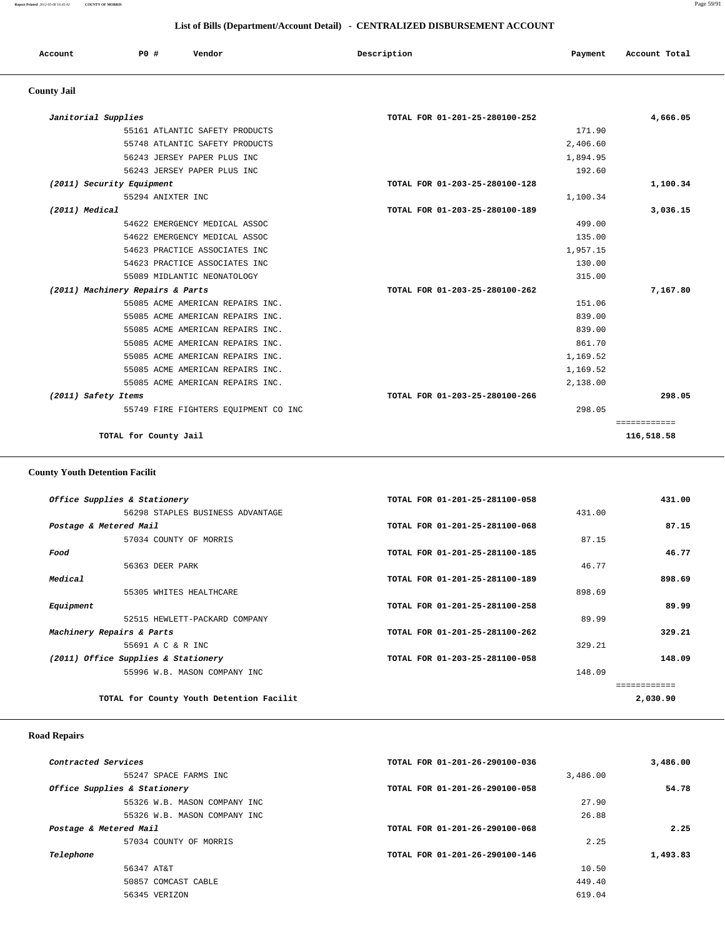**Report Printed** *2012-05-08 16:45:02* **COUNTY OF MORRIS** Page 59/91

### **List of Bills (Department/Account Detail) - CENTRALIZED DISBURSEMENT ACCOUNT**

| Account | PO# | Vendor | Description | Payment | Total<br>Account<br>. |
|---------|-----|--------|-------------|---------|-----------------------|
|         |     |        |             |         |                       |

# **County Jail**

| Janitorial Supplies                  | TOTAL FOR 01-201-25-280100-252 | 4,666.05     |
|--------------------------------------|--------------------------------|--------------|
| 55161 ATLANTIC SAFETY PRODUCTS       | 171.90                         |              |
| 55748 ATLANTIC SAFETY PRODUCTS       | 2,406.60                       |              |
| 56243 JERSEY PAPER PLUS INC          | 1,894.95                       |              |
| 56243 JERSEY PAPER PLUS INC          | 192.60                         |              |
| (2011) Security Equipment            | TOTAL FOR 01-203-25-280100-128 | 1,100.34     |
| 55294 ANIXTER INC                    | 1,100.34                       |              |
| (2011) Medical                       | TOTAL FOR 01-203-25-280100-189 | 3,036.15     |
| 54622 EMERGENCY MEDICAL ASSOC        | 499.00                         |              |
| 54622 EMERGENCY MEDICAL ASSOC        | 135.00                         |              |
| 54623 PRACTICE ASSOCIATES INC        | 1,957.15                       |              |
| 54623 PRACTICE ASSOCIATES INC        | 130.00                         |              |
| 55089 MIDLANTIC NEONATOLOGY          | 315.00                         |              |
| (2011) Machinery Repairs & Parts     | TOTAL FOR 01-203-25-280100-262 | 7,167.80     |
| 55085 ACME AMERICAN REPAIRS INC.     | 151.06                         |              |
| 55085 ACME AMERICAN REPAIRS INC.     | 839.00                         |              |
| 55085 ACME AMERICAN REPAIRS INC.     | 839.00                         |              |
| 55085 ACME AMERICAN REPAIRS INC.     | 861.70                         |              |
| 55085 ACME AMERICAN REPAIRS INC.     | 1,169.52                       |              |
| 55085 ACME AMERICAN REPAIRS INC.     | 1,169.52                       |              |
| 55085 ACME AMERICAN REPAIRS INC.     | 2,138.00                       |              |
| (2011) Safety Items                  | TOTAL FOR 01-203-25-280100-266 | 298.05       |
| 55749 FIRE FIGHTERS EQUIPMENT CO INC | 298.05                         |              |
|                                      |                                | ============ |
| TOTAL for County Jail                |                                | 116,518.58   |

# **County Youth Detention Facilit**

|                        | Office Supplies & Stationery             | TOTAL FOR 01-201-25-281100-058 |        | 431.00   |
|------------------------|------------------------------------------|--------------------------------|--------|----------|
|                        | 56298 STAPLES BUSINESS ADVANTAGE         |                                | 431.00 |          |
| Postage & Metered Mail |                                          | TOTAL FOR 01-201-25-281100-068 |        | 87.15    |
|                        | 57034 COUNTY OF MORRIS                   |                                | 87.15  |          |
| Food                   |                                          | TOTAL FOR 01-201-25-281100-185 |        | 46.77    |
|                        | 56363 DEER PARK                          |                                | 46.77  |          |
| Medical                |                                          | TOTAL FOR 01-201-25-281100-189 |        | 898.69   |
|                        | 55305 WHITES HEALTHCARE                  |                                | 898.69 |          |
| Equipment              |                                          | TOTAL FOR 01-201-25-281100-258 |        | 89.99    |
|                        | 52515 HEWLETT-PACKARD COMPANY            |                                | 89.99  |          |
|                        | Machinery Repairs & Parts                | TOTAL FOR 01-201-25-281100-262 |        | 329.21   |
|                        | 55691 A C & R INC                        |                                | 329.21 |          |
|                        | (2011) Office Supplies & Stationery      | TOTAL FOR 01-203-25-281100-058 |        | 148.09   |
|                        | 55996 W.B. MASON COMPANY INC             |                                | 148.09 |          |
|                        |                                          |                                |        |          |
|                        | TOTAL for County Youth Detention Facilit |                                |        | 2,030.90 |
|                        |                                          |                                |        |          |

### **Road Repairs**

| 3,486.00 | TOTAL FOR 01-201-26-290100-036 | Contracted Services          |
|----------|--------------------------------|------------------------------|
|          | 3,486.00                       | 55247 SPACE FARMS INC        |
| 54.78    | TOTAL FOR 01-201-26-290100-058 | Office Supplies & Stationery |
|          | 27.90                          | 55326 W.B. MASON COMPANY INC |
|          | 26.88                          | 55326 W.B. MASON COMPANY INC |
| 2.25     | TOTAL FOR 01-201-26-290100-068 | Postage & Metered Mail       |
|          | 2.25                           | 57034 COUNTY OF MORRIS       |
| 1,493.83 | TOTAL FOR 01-201-26-290100-146 | Telephone                    |
|          | 10.50                          | 56347 AT&T                   |
|          | 449.40                         | 50857 COMCAST CABLE          |
|          | 619.04                         | 56345 VERIZON                |
|          |                                |                              |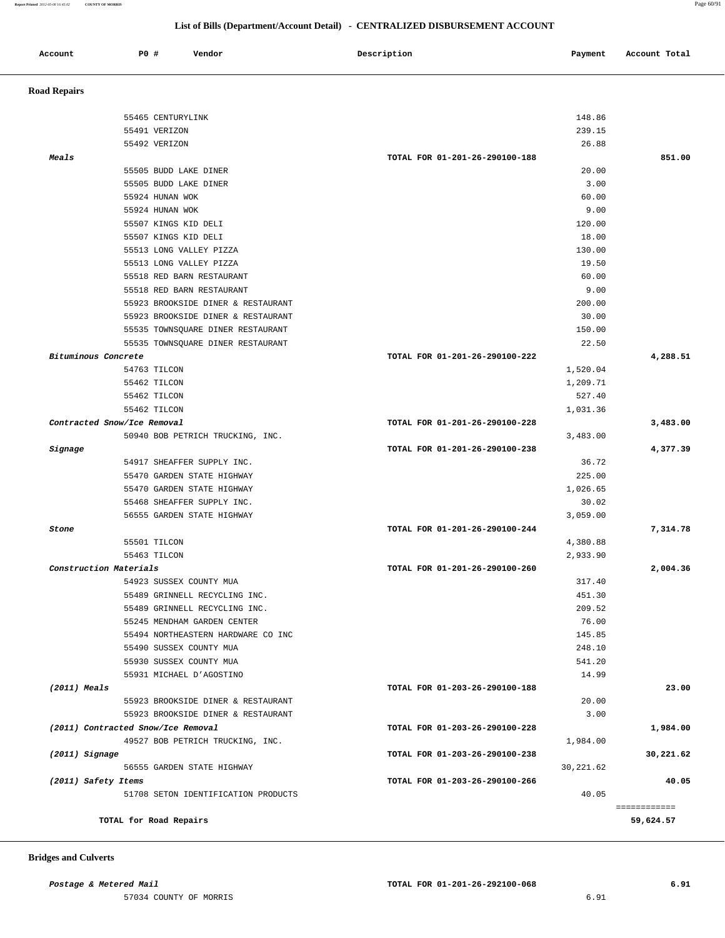**Report Printed** *2012-05-08 16:45:02* **COUNTY OF MORRIS** Page 60/91

### **List of Bills (Department/Account Detail) - CENTRALIZED DISBURSEMENT ACCOUNT**

| Account                     | <b>PO #</b> | Vendor                                                       | Description                    | Payment          | Account Total |
|-----------------------------|-------------|--------------------------------------------------------------|--------------------------------|------------------|---------------|
| <b>Road Repairs</b>         |             |                                                              |                                |                  |               |
|                             |             | 55465 CENTURYLINK                                            |                                | 148.86           |               |
|                             |             | 55491 VERIZON                                                |                                | 239.15           |               |
|                             |             | 55492 VERIZON                                                |                                | 26.88            |               |
| Meals                       |             |                                                              | TOTAL FOR 01-201-26-290100-188 |                  | 851.00        |
|                             |             | 55505 BUDD LAKE DINER                                        |                                | 20.00            |               |
|                             |             | 55505 BUDD LAKE DINER                                        |                                | 3.00             |               |
|                             |             | 55924 HUNAN WOK                                              |                                | 60.00            |               |
|                             |             | 55924 HUNAN WOK                                              |                                | 9.00             |               |
|                             |             | 55507 KINGS KID DELI                                         |                                | 120.00           |               |
|                             |             | 55507 KINGS KID DELI                                         |                                | 18.00            |               |
|                             |             | 55513 LONG VALLEY PIZZA                                      |                                | 130.00           |               |
|                             |             | 55513 LONG VALLEY PIZZA                                      |                                | 19.50            |               |
|                             |             | 55518 RED BARN RESTAURANT                                    |                                | 60.00            |               |
|                             |             | 55518 RED BARN RESTAURANT                                    |                                | 9.00             |               |
|                             |             | 55923 BROOKSIDE DINER & RESTAURANT                           |                                | 200.00           |               |
|                             |             | 55923 BROOKSIDE DINER & RESTAURANT                           |                                | 30.00            |               |
|                             |             | 55535 TOWNSQUARE DINER RESTAURANT                            |                                | 150.00           |               |
|                             |             | 55535 TOWNSQUARE DINER RESTAURANT                            |                                | 22.50            |               |
| Bituminous Concrete         |             |                                                              | TOTAL FOR 01-201-26-290100-222 |                  | 4,288.51      |
|                             |             | 54763 TILCON                                                 |                                | 1,520.04         |               |
|                             |             | 55462 TILCON                                                 |                                | 1,209.71         |               |
|                             |             | 55462 TILCON                                                 |                                | 527.40           |               |
|                             |             | 55462 TILCON                                                 |                                | 1,031.36         |               |
| Contracted Snow/Ice Removal |             |                                                              | TOTAL FOR 01-201-26-290100-228 |                  | 3,483.00      |
|                             |             | 50940 BOB PETRICH TRUCKING, INC.                             |                                | 3,483.00         |               |
| Signage                     |             |                                                              | TOTAL FOR 01-201-26-290100-238 |                  | 4,377.39      |
|                             |             | 54917 SHEAFFER SUPPLY INC.                                   |                                | 36.72            |               |
|                             |             | 55470 GARDEN STATE HIGHWAY                                   |                                | 225.00           |               |
|                             |             | 55470 GARDEN STATE HIGHWAY                                   |                                | 1,026.65         |               |
|                             |             | 55468 SHEAFFER SUPPLY INC.                                   |                                | 30.02            |               |
|                             |             | 56555 GARDEN STATE HIGHWAY                                   |                                | 3,059.00         |               |
| Stone                       |             |                                                              | TOTAL FOR 01-201-26-290100-244 |                  | 7,314.78      |
|                             |             | 55501 TILCON                                                 |                                | 4,380.88         |               |
|                             |             | 55463 TILCON                                                 |                                | 2,933.90         |               |
| Construction Materials      |             |                                                              | TOTAL FOR 01-201-26-290100-260 |                  | 2,004.36      |
|                             |             | 54923 SUSSEX COUNTY MUA                                      |                                | 317.40           |               |
|                             |             | 55489 GRINNELL RECYCLING INC.                                |                                | 451.30<br>209.52 |               |
|                             |             | 55489 GRINNELL RECYCLING INC.<br>55245 MENDHAM GARDEN CENTER |                                | 76.00            |               |
|                             |             | 55494 NORTHEASTERN HARDWARE CO INC                           |                                | 145.85           |               |
|                             |             | 55490 SUSSEX COUNTY MUA                                      |                                | 248.10           |               |
|                             |             | 55930 SUSSEX COUNTY MUA                                      |                                | 541.20           |               |
|                             |             | 55931 MICHAEL D'AGOSTINO                                     |                                | 14.99            |               |
| $(2011)$ Meals              |             |                                                              | TOTAL FOR 01-203-26-290100-188 |                  | 23.00         |
|                             |             | 55923 BROOKSIDE DINER & RESTAURANT                           |                                | 20.00            |               |
|                             |             | 55923 BROOKSIDE DINER & RESTAURANT                           |                                | 3.00             |               |
|                             |             | (2011) Contracted Snow/Ice Removal                           | TOTAL FOR 01-203-26-290100-228 |                  | 1,984.00      |
|                             |             | 49527 BOB PETRICH TRUCKING, INC.                             |                                | 1,984.00         |               |
| $(2011)$ Signage            |             |                                                              | TOTAL FOR 01-203-26-290100-238 |                  | 30,221.62     |
|                             |             | 56555 GARDEN STATE HIGHWAY                                   |                                | 30,221.62        |               |
|                             |             |                                                              |                                |                  |               |
| (2011) Safety Items         |             |                                                              | TOTAL FOR 01-203-26-290100-266 |                  | 40.05         |

### **Bridges and Culverts**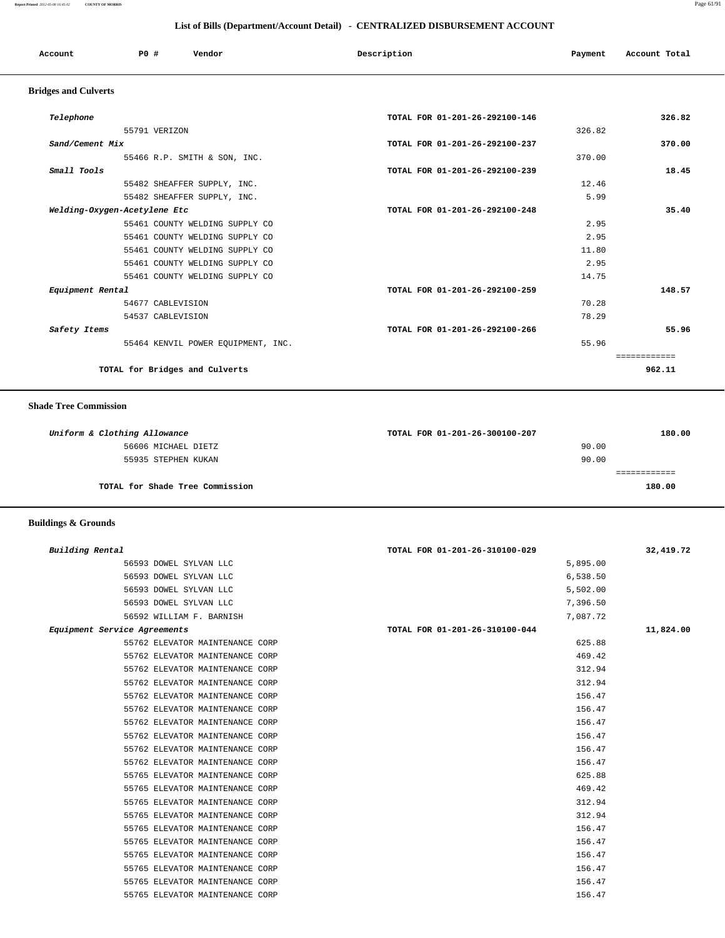| Account    | PO# | Vendor | Description | Payment | Account Total |
|------------|-----|--------|-------------|---------|---------------|
| .<br>- - - |     |        |             |         |               |

### **Bridges and Culverts**

| Telephone                          | TOTAL FOR 01-201-26-292100-146 | 326.82       |
|------------------------------------|--------------------------------|--------------|
| 55791 VERIZON                      | 326.82                         |              |
| Sand/Cement Mix                    | TOTAL FOR 01-201-26-292100-237 | 370.00       |
| 55466 R.P. SMITH & SON, INC.       | 370.00                         |              |
| Small Tools                        | TOTAL FOR 01-201-26-292100-239 | 18.45        |
| 55482 SHEAFFER SUPPLY, INC.        | 12.46                          |              |
| 55482 SHEAFFER SUPPLY, INC.        | 5.99                           |              |
| Welding-Oxygen-Acetylene Etc       | TOTAL FOR 01-201-26-292100-248 | 35.40        |
| 55461 COUNTY WELDING SUPPLY CO     | 2.95                           |              |
| 55461 COUNTY WELDING SUPPLY CO     | 2.95                           |              |
| 55461 COUNTY WELDING SUPPLY CO     | 11.80                          |              |
| 55461 COUNTY WELDING SUPPLY CO     | 2.95                           |              |
| 55461 COUNTY WELDING SUPPLY CO     | 14.75                          |              |
| Equipment Rental                   | TOTAL FOR 01-201-26-292100-259 | 148.57       |
| 54677 CABLEVISION                  | 70.28                          |              |
| 54537 CABLEVISION                  | 78.29                          |              |
| Safety Items                       | TOTAL FOR 01-201-26-292100-266 | 55.96        |
| 55464 KENVIL POWER EQUIPMENT, INC. | 55.96                          |              |
|                                    |                                | ------------ |
| TOTAL for Bridges and Culverts     |                                | 962.11       |

#### **Shade Tree Commission**

| Uniform & Clothing Allowance    | TOTAL FOR 01-201-26-300100-207 | 180.00 |
|---------------------------------|--------------------------------|--------|
| 56606 MICHAEL DIETZ             | 90.00                          |        |
| 55935 STEPHEN KUKAN             | 90.00                          |        |
|                                 |                                |        |
| TOTAL for Shade Tree Commission |                                | 180.00 |

### **Buildings & Grounds**

| Building Rental              |                                 | TOTAL FOR 01-201-26-310100-029 |          | 32,419.72 |
|------------------------------|---------------------------------|--------------------------------|----------|-----------|
|                              | 56593 DOWEL SYLVAN LLC          |                                | 5,895.00 |           |
|                              | 56593 DOWEL SYLVAN LLC          |                                | 6,538.50 |           |
|                              | 56593 DOWEL SYLVAN LLC          |                                | 5,502.00 |           |
|                              | 56593 DOWEL SYLVAN LLC          |                                | 7,396.50 |           |
|                              | 56592 WILLIAM F. BARNISH        |                                | 7,087.72 |           |
| Equipment Service Agreements |                                 | TOTAL FOR 01-201-26-310100-044 |          | 11,824.00 |
|                              | 55762 ELEVATOR MAINTENANCE CORP |                                | 625.88   |           |
|                              | 55762 ELEVATOR MAINTENANCE CORP |                                | 469.42   |           |
|                              | 55762 ELEVATOR MAINTENANCE CORP |                                | 312.94   |           |
|                              | 55762 ELEVATOR MAINTENANCE CORP |                                | 312.94   |           |
|                              | 55762 ELEVATOR MAINTENANCE CORP |                                | 156.47   |           |
|                              | 55762 ELEVATOR MAINTENANCE CORP |                                | 156.47   |           |
|                              | 55762 ELEVATOR MAINTENANCE CORP |                                | 156.47   |           |
|                              | 55762 ELEVATOR MAINTENANCE CORP |                                | 156.47   |           |
|                              | 55762 ELEVATOR MAINTENANCE CORP |                                | 156.47   |           |
|                              | 55762 ELEVATOR MAINTENANCE CORP |                                | 156.47   |           |
|                              | 55765 ELEVATOR MAINTENANCE CORP |                                | 625.88   |           |
|                              | 55765 ELEVATOR MAINTENANCE CORP |                                | 469.42   |           |
|                              | 55765 ELEVATOR MAINTENANCE CORP |                                | 312.94   |           |
|                              | 55765 ELEVATOR MAINTENANCE CORP |                                | 312.94   |           |
|                              | 55765 ELEVATOR MAINTENANCE CORP |                                | 156.47   |           |
|                              | 55765 ELEVATOR MAINTENANCE CORP |                                | 156.47   |           |
|                              | 55765 ELEVATOR MAINTENANCE CORP |                                | 156.47   |           |
|                              | 55765 ELEVATOR MAINTENANCE CORP |                                | 156.47   |           |
|                              | 55765 ELEVATOR MAINTENANCE CORP |                                | 156.47   |           |
|                              | 55765 ELEVATOR MAINTENANCE CORP |                                | 156.47   |           |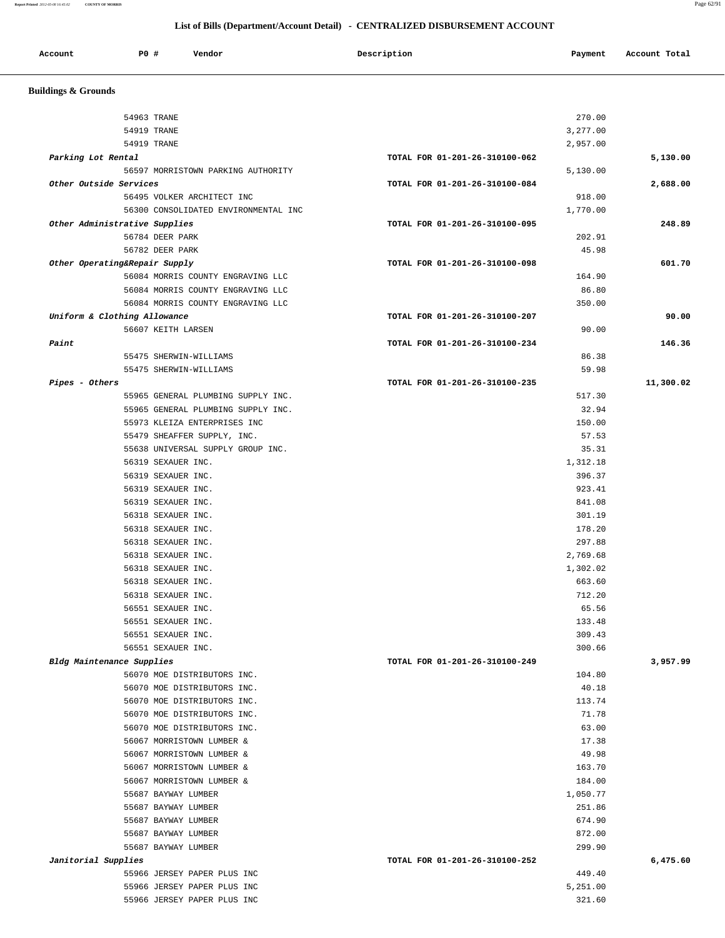| Account | P0 # | Vendor<br>. | Description | Payment | Account Total |
|---------|------|-------------|-------------|---------|---------------|
|         |      |             |             |         |               |

 **Buildings & Grounds** 

| 54963 TRANE                          | 270.00                         |           |
|--------------------------------------|--------------------------------|-----------|
| 54919 TRANE                          | 3,277.00                       |           |
| 54919 TRANE                          | 2,957.00                       |           |
| Parking Lot Rental                   | TOTAL FOR 01-201-26-310100-062 | 5,130.00  |
| 56597 MORRISTOWN PARKING AUTHORITY   | 5,130.00                       |           |
| Other Outside Services               | TOTAL FOR 01-201-26-310100-084 | 2,688.00  |
| 56495 VOLKER ARCHITECT INC           | 918.00                         |           |
| 56300 CONSOLIDATED ENVIRONMENTAL INC | 1,770.00                       |           |
| Other Administrative Supplies        | TOTAL FOR 01-201-26-310100-095 | 248.89    |
| 56784 DEER PARK                      | 202.91                         |           |
| 56782 DEER PARK                      | 45.98                          |           |
| Other Operating&Repair Supply        | TOTAL FOR 01-201-26-310100-098 | 601.70    |
| 56084 MORRIS COUNTY ENGRAVING LLC    | 164.90                         |           |
| 56084 MORRIS COUNTY ENGRAVING LLC    | 86.80                          |           |
| 56084 MORRIS COUNTY ENGRAVING LLC    | 350.00                         |           |
| Uniform & Clothing Allowance         | TOTAL FOR 01-201-26-310100-207 |           |
| 56607 KEITH LARSEN                   | 90.00                          |           |
| Paint                                | TOTAL FOR 01-201-26-310100-234 | 146.36    |
| 55475 SHERWIN-WILLIAMS               | 86.38                          |           |
| 55475 SHERWIN-WILLIAMS               | 59.98                          |           |
| Pipes - Others                       | TOTAL FOR 01-201-26-310100-235 | 11,300.02 |
| 55965 GENERAL PLUMBING SUPPLY INC.   | 517.30                         |           |
| 55965 GENERAL PLUMBING SUPPLY INC.   | 32.94                          |           |
| 55973 KLEIZA ENTERPRISES INC         | 150.00                         |           |
| 55479 SHEAFFER SUPPLY, INC.          | 57.53                          |           |
| 55638 UNIVERSAL SUPPLY GROUP INC.    | 35.31                          |           |
| 56319 SEXAUER INC.                   | 1,312.18                       |           |
| 56319 SEXAUER INC.                   | 396.37                         |           |
| 56319 SEXAUER INC.                   | 923.41                         |           |
| 56319 SEXAUER INC.                   | 841.08                         |           |
| 56318 SEXAUER INC.                   | 301.19                         |           |
| 56318 SEXAUER INC.                   | 178.20                         |           |
| 56318 SEXAUER INC.                   | 297.88                         |           |
| 56318 SEXAUER INC.                   | 2,769.68                       |           |
| 56318 SEXAUER INC.                   | 1,302.02                       |           |
| 56318 SEXAUER INC.                   | 663.60                         |           |
| 56318 SEXAUER INC.                   | 712.20                         |           |
| 56551 SEXAUER INC.                   | 65.56                          |           |
| 56551 SEXAUER INC.                   | 133.48                         |           |
| 56551 SEXAUER INC.                   | 309.43                         |           |
| 56551 SEXAUER INC.                   | 300.66                         |           |
| Bldg Maintenance Supplies            | TOTAL FOR 01-201-26-310100-249 | 3,957.99  |
| 56070 MOE DISTRIBUTORS INC.          | 104.80                         |           |
| 56070 MOE DISTRIBUTORS INC.          | 40.18                          |           |
| 56070 MOE DISTRIBUTORS INC.          | 113.74                         |           |
| 56070 MOE DISTRIBUTORS INC.          | 71.78                          |           |
| 56070 MOE DISTRIBUTORS INC.          | 63.00                          |           |
| 56067 MORRISTOWN LUMBER &            | 17.38                          |           |
| 56067 MORRISTOWN LUMBER &            | 49.98                          |           |
| 56067 MORRISTOWN LUMBER &            | 163.70                         |           |
| 56067 MORRISTOWN LUMBER &            | 184.00                         |           |
| 55687 BAYWAY LUMBER                  | 1,050.77                       |           |
| 55687 BAYWAY LUMBER                  | 251.86                         |           |
| 55687 BAYWAY LUMBER                  | 674.90                         |           |
| 55687 BAYWAY LUMBER                  | 872.00                         |           |
| 55687 BAYWAY LUMBER                  | 299.90                         |           |
| Janitorial Supplies                  | TOTAL FOR 01-201-26-310100-252 | 6,475.60  |
| 55966 JERSEY PAPER PLUS INC          | 449.40                         |           |
| 55966 JERSEY PAPER PLUS INC          | 5,251.00                       |           |
| 55966 JERSEY PAPER PLUS INC          | 321.60                         |           |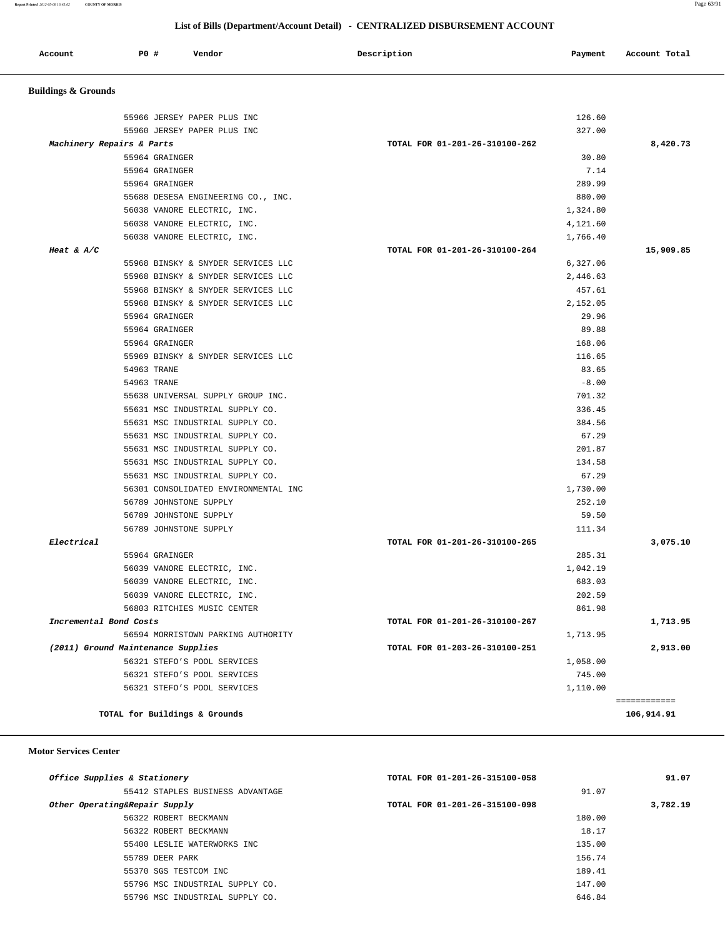| Account<br>. | <b>PO #</b> | Vendor | Description | Payment | Account Total<br>.<br>. |
|--------------|-------------|--------|-------------|---------|-------------------------|
|              |             |        |             |         |                         |

# **Buildings & Grounds**

| 55966 JERSEY PAPER PLUS INC<br>55960 JERSEY PAPER PLUS INC | 126.60<br>327.00                        |                            |
|------------------------------------------------------------|-----------------------------------------|----------------------------|
|                                                            |                                         | 8,420.73                   |
| Machinery Repairs & Parts<br>55964 GRAINGER                | TOTAL FOR 01-201-26-310100-262<br>30.80 |                            |
| 55964 GRAINGER                                             | 7.14                                    |                            |
| 55964 GRAINGER                                             | 289.99                                  |                            |
| 55688 DESESA ENGINEERING CO., INC.                         | 880.00                                  |                            |
| 56038 VANORE ELECTRIC, INC.                                | 1,324.80                                |                            |
| 56038 VANORE ELECTRIC, INC.                                | 4,121.60                                |                            |
| 56038 VANORE ELECTRIC, INC.                                | 1,766.40                                |                            |
| Heat & $A/C$                                               | TOTAL FOR 01-201-26-310100-264          | 15,909.85                  |
| 55968 BINSKY & SNYDER SERVICES LLC                         | 6,327.06                                |                            |
| 55968 BINSKY & SNYDER SERVICES LLC                         | 2,446.63                                |                            |
| 55968 BINSKY & SNYDER SERVICES LLC                         | 457.61                                  |                            |
| 55968 BINSKY & SNYDER SERVICES LLC                         | 2,152.05                                |                            |
| 55964 GRAINGER                                             | 29.96                                   |                            |
| 55964 GRAINGER                                             | 89.88                                   |                            |
| 55964 GRAINGER                                             | 168.06                                  |                            |
| 55969 BINSKY & SNYDER SERVICES LLC                         | 116.65                                  |                            |
| 54963 TRANE                                                | 83.65                                   |                            |
| 54963 TRANE                                                | $-8.00$                                 |                            |
| 55638 UNIVERSAL SUPPLY GROUP INC.                          | 701.32                                  |                            |
| 55631 MSC INDUSTRIAL SUPPLY CO.                            | 336.45                                  |                            |
| 55631 MSC INDUSTRIAL SUPPLY CO.                            | 384.56                                  |                            |
| 55631 MSC INDUSTRIAL SUPPLY CO.                            | 67.29                                   |                            |
| 55631 MSC INDUSTRIAL SUPPLY CO.                            | 201.87                                  |                            |
| 55631 MSC INDUSTRIAL SUPPLY CO.                            | 134.58                                  |                            |
| 55631 MSC INDUSTRIAL SUPPLY CO.                            | 67.29                                   |                            |
| 56301 CONSOLIDATED ENVIRONMENTAL INC                       | 1,730.00                                |                            |
| 56789 JOHNSTONE SUPPLY                                     | 252.10                                  |                            |
| 56789 JOHNSTONE SUPPLY                                     | 59.50                                   |                            |
| 56789 JOHNSTONE SUPPLY                                     | 111.34                                  |                            |
| Electrical                                                 | TOTAL FOR 01-201-26-310100-265          | 3,075.10                   |
| 55964 GRAINGER                                             | 285.31                                  |                            |
| 56039 VANORE ELECTRIC, INC.                                | 1,042.19                                |                            |
| 56039 VANORE ELECTRIC, INC.                                | 683.03                                  |                            |
| 56039 VANORE ELECTRIC, INC.                                | 202.59                                  |                            |
| 56803 RITCHIES MUSIC CENTER                                | 861.98                                  |                            |
| Incremental Bond Costs                                     | TOTAL FOR 01-201-26-310100-267          | 1,713.95                   |
| 56594 MORRISTOWN PARKING AUTHORITY                         | 1,713.95                                |                            |
| (2011) Ground Maintenance Supplies                         | TOTAL FOR 01-203-26-310100-251          | 2,913.00                   |
| 56321 STEFO'S POOL SERVICES                                | 1,058.00                                |                            |
| 56321 STEFO'S POOL SERVICES                                | 745.00                                  |                            |
| 56321 STEFO'S POOL SERVICES                                | 1,110.00                                |                            |
| TOTAL for Buildings & Grounds                              |                                         | ============<br>106,914.91 |
|                                                            |                                         |                            |

#### **Motor Services Center**

| Office Supplies & Stationery     | TOTAL FOR 01-201-26-315100-058 | 91.07    |
|----------------------------------|--------------------------------|----------|
| 55412 STAPLES BUSINESS ADVANTAGE | 91.07                          |          |
| Other Operating&Repair Supply    | TOTAL FOR 01-201-26-315100-098 | 3,782.19 |
| 56322 ROBERT BECKMANN            | 180.00                         |          |
| 56322 ROBERT BECKMANN            | 18.17                          |          |
| 55400 LESLIE WATERWORKS INC      | 135.00                         |          |
| 55789 DEER PARK                  | 156.74                         |          |
| 55370 SGS TESTCOM INC            | 189.41                         |          |
| 55796 MSC INDUSTRIAL SUPPLY CO.  | 147.00                         |          |
| 55796 MSC INDUSTRIAL SUPPLY CO.  | 646.84                         |          |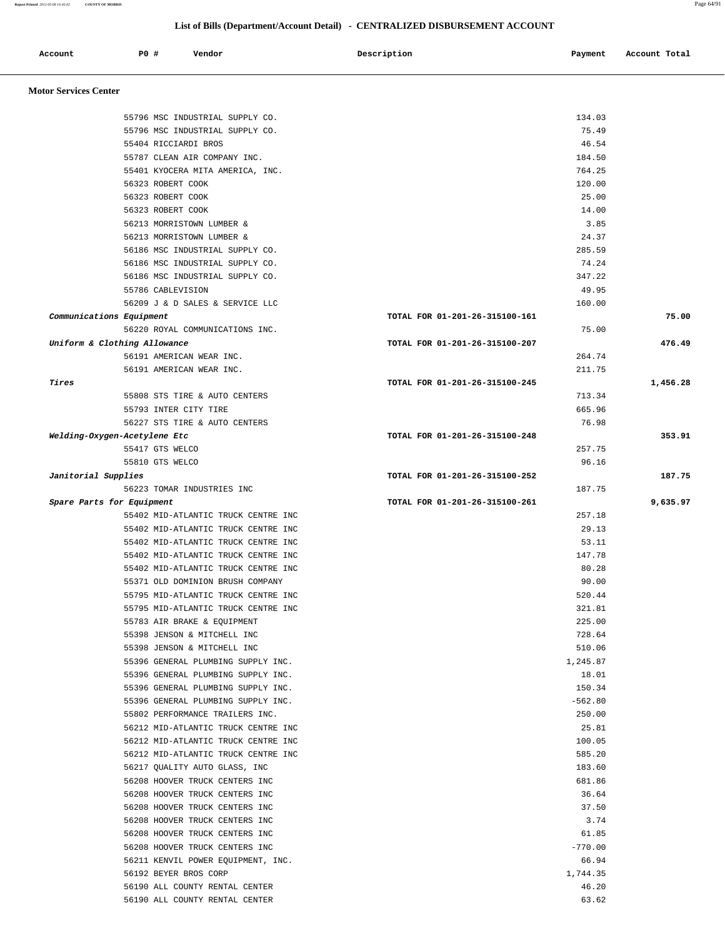**Report Printed** *2012-05-08 16:45:02* **COUNTY OF MORRIS** Page 64/91

#### **List of Bills (Department/Account Detail) - CENTRALIZED DISBURSEMENT ACCOUNT**

|                              |             |                                                                            | List of Bills (Department/Account Detail) - CENTRALIZED DISBURSEMENT ACCOUNT |                  |               |
|------------------------------|-------------|----------------------------------------------------------------------------|------------------------------------------------------------------------------|------------------|---------------|
| Account                      | <b>PO #</b> | Vendor                                                                     | Description                                                                  | Payment          | Account Total |
| <b>Motor Services Center</b> |             |                                                                            |                                                                              |                  |               |
|                              |             | 55796 MSC INDUSTRIAL SUPPLY CO.                                            |                                                                              | 134.03           |               |
|                              |             | 55796 MSC INDUSTRIAL SUPPLY CO.                                            |                                                                              | 75.49            |               |
|                              |             | 55404 RICCIARDI BROS                                                       |                                                                              | 46.54            |               |
|                              |             | 55787 CLEAN AIR COMPANY INC.                                               |                                                                              | 184.50           |               |
|                              |             | 55401 KYOCERA MITA AMERICA, INC.                                           |                                                                              | 764.25           |               |
|                              |             | 56323 ROBERT COOK                                                          |                                                                              | 120.00           |               |
|                              |             | 56323 ROBERT COOK                                                          |                                                                              | 25.00            |               |
|                              |             | 56323 ROBERT COOK                                                          |                                                                              | 14.00            |               |
|                              |             | 56213 MORRISTOWN LUMBER &                                                  |                                                                              | 3.85             |               |
|                              |             | 56213 MORRISTOWN LUMBER &<br>56186 MSC INDUSTRIAL SUPPLY CO.               |                                                                              | 24.37<br>285.59  |               |
|                              |             | 56186 MSC INDUSTRIAL SUPPLY CO.                                            |                                                                              | 74.24            |               |
|                              |             | 56186 MSC INDUSTRIAL SUPPLY CO.                                            |                                                                              | 347.22           |               |
|                              |             | 55786 CABLEVISION                                                          |                                                                              | 49.95            |               |
|                              |             | 56209 J & D SALES & SERVICE LLC                                            |                                                                              | 160.00           |               |
| Communications Equipment     |             |                                                                            | TOTAL FOR 01-201-26-315100-161                                               |                  | 75.00         |
|                              |             | 56220 ROYAL COMMUNICATIONS INC.                                            |                                                                              | 75.00            |               |
| Uniform & Clothing Allowance |             |                                                                            | TOTAL FOR 01-201-26-315100-207                                               |                  | 476.49        |
|                              |             | 56191 AMERICAN WEAR INC.                                                   |                                                                              | 264.74           |               |
|                              |             | 56191 AMERICAN WEAR INC.                                                   |                                                                              | 211.75           |               |
| Tires                        |             |                                                                            | TOTAL FOR 01-201-26-315100-245                                               |                  | 1,456.28      |
|                              |             | 55808 STS TIRE & AUTO CENTERS                                              |                                                                              | 713.34           |               |
|                              |             | 55793 INTER CITY TIRE                                                      |                                                                              | 665.96           |               |
|                              |             | 56227 STS TIRE & AUTO CENTERS                                              | TOTAL FOR 01-201-26-315100-248                                               | 76.98            | 353.91        |
| Welding-Oxygen-Acetylene Etc |             | 55417 GTS WELCO                                                            |                                                                              | 257.75           |               |
|                              |             | 55810 GTS WELCO                                                            |                                                                              | 96.16            |               |
| Janitorial Supplies          |             |                                                                            | TOTAL FOR 01-201-26-315100-252                                               |                  | 187.75        |
|                              |             | 56223 TOMAR INDUSTRIES INC                                                 |                                                                              | 187.75           |               |
| Spare Parts for Equipment    |             |                                                                            | TOTAL FOR 01-201-26-315100-261                                               |                  | 9,635.97      |
|                              |             | 55402 MID-ATLANTIC TRUCK CENTRE INC                                        |                                                                              | 257.18           |               |
|                              |             | 55402 MID-ATLANTIC TRUCK CENTRE INC                                        |                                                                              | 29.13            |               |
|                              |             | 55402 MID-ATLANTIC TRUCK CENTRE INC                                        |                                                                              | 53.11            |               |
|                              |             | 55402 MID-ATLANTIC TRUCK CENTRE INC                                        |                                                                              | 147.78           |               |
|                              |             | 55402 MID-ATLANTIC TRUCK CENTRE INC                                        |                                                                              | 80.28            |               |
|                              |             | 55371 OLD DOMINION BRUSH COMPANY                                           |                                                                              | 90.00            |               |
|                              |             | 55795 MID-ATLANTIC TRUCK CENTRE INC<br>55795 MID-ATLANTIC TRUCK CENTRE INC |                                                                              | 520.44           |               |
|                              |             | 55783 AIR BRAKE & EQUIPMENT                                                |                                                                              | 321.81<br>225.00 |               |
|                              |             | 55398 JENSON & MITCHELL INC                                                |                                                                              | 728.64           |               |
|                              |             | 55398 JENSON & MITCHELL INC                                                |                                                                              | 510.06           |               |
|                              |             | 55396 GENERAL PLUMBING SUPPLY INC.                                         |                                                                              | 1,245.87         |               |
|                              |             | 55396 GENERAL PLUMBING SUPPLY INC.                                         |                                                                              | 18.01            |               |
|                              |             | 55396 GENERAL PLUMBING SUPPLY INC.                                         |                                                                              | 150.34           |               |
|                              |             | 55396 GENERAL PLUMBING SUPPLY INC.                                         |                                                                              | $-562.80$        |               |
|                              |             | 55802 PERFORMANCE TRAILERS INC.                                            |                                                                              | 250.00           |               |
|                              |             | 56212 MID-ATLANTIC TRUCK CENTRE INC                                        |                                                                              | 25.81            |               |
|                              |             | 56212 MID-ATLANTIC TRUCK CENTRE INC                                        |                                                                              | 100.05           |               |
|                              |             | 56212 MID-ATLANTIC TRUCK CENTRE INC                                        |                                                                              | 585.20           |               |
|                              |             | 56217 QUALITY AUTO GLASS, INC                                              |                                                                              | 183.60           |               |
|                              |             | 56208 HOOVER TRUCK CENTERS INC                                             |                                                                              | 681.86           |               |
|                              |             | 56208 HOOVER TRUCK CENTERS INC                                             |                                                                              | 36.64            |               |
|                              |             | 56208 HOOVER TRUCK CENTERS INC                                             |                                                                              | 37.50<br>3.74    |               |
|                              |             | 56208 HOOVER TRUCK CENTERS INC<br>56208 HOOVER TRUCK CENTERS INC           |                                                                              | 61.85            |               |
|                              |             | 56208 HOOVER TRUCK CENTERS INC                                             |                                                                              | $-770.00$        |               |
|                              |             | 56211 KENVIL POWER EQUIPMENT, INC.                                         |                                                                              | 66.94            |               |
|                              |             | 56192 BEYER BROS CORP                                                      |                                                                              | 1,744.35         |               |

 56190 ALL COUNTY RENTAL CENTER 46.20 56190 ALL COUNTY RENTAL CENTER 63.62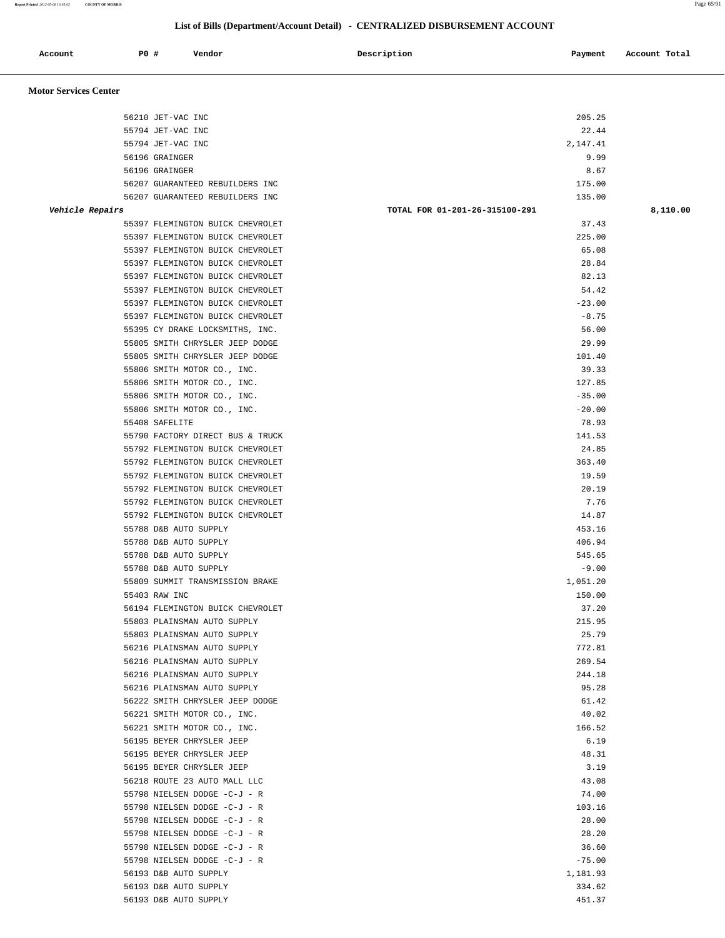| Report Printed 2012-05-08 16:45:02 | <b>COUNTY OF MORRIS</b> |                                  |                                                                              | Page 65/91    |
|------------------------------------|-------------------------|----------------------------------|------------------------------------------------------------------------------|---------------|
|                                    |                         |                                  | List of Bills (Department/Account Detail) - CENTRALIZED DISBURSEMENT ACCOUNT |               |
| Account                            |                         | P0 #<br>Vendor                   | Description<br>Payment                                                       | Account Total |
| <b>Motor Services Center</b>       |                         |                                  |                                                                              |               |
|                                    |                         | 56210 JET-VAC INC                | 205.25                                                                       |               |
|                                    |                         | 55794 JET-VAC INC                | 22.44                                                                        |               |
|                                    |                         | 55794 JET-VAC INC                | 2,147.41                                                                     |               |
|                                    |                         | 56196 GRAINGER                   | 9.99                                                                         |               |
|                                    |                         | 56196 GRAINGER                   | 8.67                                                                         |               |
|                                    |                         | 56207 GUARANTEED REBUILDERS INC  | 175.00                                                                       |               |
|                                    |                         | 56207 GUARANTEED REBUILDERS INC  | 135.00                                                                       |               |
|                                    | Vehicle Repairs         |                                  | TOTAL FOR 01-201-26-315100-291                                               | 8,110.00      |
|                                    |                         | 55397 FLEMINGTON BUICK CHEVROLET | 37.43                                                                        |               |
|                                    |                         | 55397 FLEMINGTON BUICK CHEVROLET | 225.00                                                                       |               |
|                                    |                         | 55397 FLEMINGTON BUICK CHEVROLET | 65.08                                                                        |               |
|                                    |                         | 55397 FLEMINGTON BUICK CHEVROLET | 28.84                                                                        |               |
|                                    |                         | 55397 FLEMINGTON BUICK CHEVROLET | 82.13                                                                        |               |
|                                    |                         | 55397 FLEMINGTON BUICK CHEVROLET | 54.42                                                                        |               |
|                                    |                         | 55397 FLEMINGTON BUICK CHEVROLET | $-23.00$                                                                     |               |
|                                    |                         | 55397 FLEMINGTON BUICK CHEVROLET | $-8.75$                                                                      |               |
|                                    |                         | 55395 CY DRAKE LOCKSMITHS, INC.  | 56.00                                                                        |               |
|                                    |                         | 55805 SMITH CHRYSLER JEEP DODGE  | 29.99                                                                        |               |
|                                    |                         | 55805 SMITH CHRYSLER JEEP DODGE  | 101.40                                                                       |               |
|                                    |                         | 55806 SMITH MOTOR CO., INC.      | 39.33                                                                        |               |
|                                    |                         | 55806 SMITH MOTOR CO., INC.      | 127.85                                                                       |               |
|                                    |                         | 55806 SMITH MOTOR CO., INC.      | $-35.00$                                                                     |               |
|                                    |                         | 55806 SMITH MOTOR CO., INC.      | $-20.00$                                                                     |               |
|                                    |                         | 55408 SAFELITE                   | 78.93                                                                        |               |
|                                    |                         | 55790 FACTORY DIRECT BUS & TRUCK | 141.53                                                                       |               |
|                                    |                         | 55792 FLEMINGTON BUICK CHEVROLET | 24.85                                                                        |               |
|                                    |                         | 55792 FLEMINGTON BUICK CHEVROLET | 363.40                                                                       |               |
|                                    |                         | 55792 FLEMINGTON BUICK CHEVROLET | 19.59                                                                        |               |
|                                    |                         | 55792 FLEMINGTON BUICK CHEVROLET | 20.19                                                                        |               |
|                                    |                         |                                  |                                                                              |               |

 55792 FLEMINGTON BUICK CHEVROLET 7.76 55792 FLEMINGTON BUICK CHEVROLET 14.87 55788 D&B AUTO SUPPLY 453.16 55788 D&B AUTO SUPPLY 406.94 55788 D&B AUTO SUPPLY 545.65 55788 D&B AUTO SUPPLY -9.00 55809 SUMMIT TRANSMISSION BRAKE 1,051.20 55403 RAW INC 150.00 56194 FLEMINGTON BUICK CHEVROLET 37.20 55803 PLAINSMAN AUTO SUPPLY 215.95 55803 PLAINSMAN AUTO SUPPLY 25.79 56216 PLAINSMAN AUTO SUPPLY 772.81 56216 PLAINSMAN AUTO SUPPLY 269.54 56216 PLAINSMAN AUTO SUPPLY 244.18 56216 PLAINSMAN AUTO SUPPLY 95.28 56222 SMITH CHRYSLER JEEP DODGE 61.42 56221 SMITH MOTOR CO., INC. 40.02 56221 SMITH MOTOR CO., INC. 166.52 56195 BEYER CHRYSLER JEEP 6.19 56195 BEYER CHRYSLER JEEP 48.31 56195 BEYER CHRYSLER JEEP 3.19 56218 ROUTE 23 AUTO MALL LLC 43.08 55798 NIELSEN DODGE -C-J - R 74.00 55798 NIELSEN DODGE -C-J - R 103.16 55798 NIELSEN DODGE -C-J - R 28.00 55798 NIELSEN DODGE -C-J - R 28.20 55798 NIELSEN DODGE -C-J - R 36.60 55798 NIELSEN DODGE -C-J - R -75.00 56193 D&B AUTO SUPPLY 1,181.93 56193 D&B AUTO SUPPLY 334.62 56193 D&B AUTO SUPPLY 451.37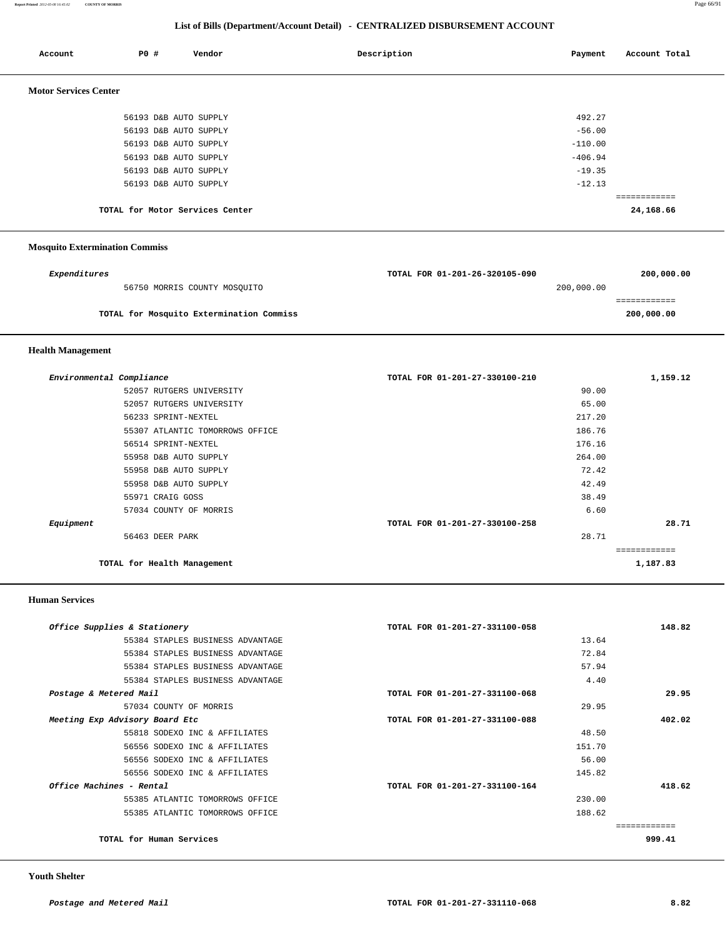| Account                      | <b>PO #</b>           | Vendor                          | Description | Payment   | Account Total |
|------------------------------|-----------------------|---------------------------------|-------------|-----------|---------------|
| <b>Motor Services Center</b> |                       |                                 |             |           |               |
|                              | 56193 D&B AUTO SUPPLY |                                 |             | 492.27    |               |
|                              | 56193 D&B AUTO SUPPLY |                                 |             | $-56.00$  |               |
|                              | 56193 D&B AUTO SUPPLY |                                 |             | $-110.00$ |               |
|                              | 56193 D&B AUTO SUPPLY |                                 |             | $-406.94$ |               |
|                              | 56193 D&B AUTO SUPPLY |                                 |             | $-19.35$  |               |
|                              | 56193 D&B AUTO SUPPLY |                                 |             | $-12.13$  |               |
|                              |                       |                                 |             |           | ============  |
|                              |                       | TOTAL for Motor Services Center |             |           | 24,168.66     |

# **Mosquito Extermination Commiss**

| Expenditures                             | TOTAL FOR 01-201-26-320105-090 | 200,000.00 |
|------------------------------------------|--------------------------------|------------|
| 56750 MORRIS COUNTY MOSOUITO             | 200,000.00                     |            |
|                                          |                                |            |
| TOTAL for Mosquito Extermination Commiss |                                | 200,000.00 |
|                                          |                                |            |

### **Health Management**

| Environmental Compliance |                                 | TOTAL FOR 01-201-27-330100-210 | 1,159.12 |
|--------------------------|---------------------------------|--------------------------------|----------|
|                          | 52057 RUTGERS UNIVERSITY        | 90.00                          |          |
|                          | 52057 RUTGERS UNIVERSITY        | 65.00                          |          |
|                          | 56233 SPRINT-NEXTEL             | 217.20                         |          |
|                          | 55307 ATLANTIC TOMORROWS OFFICE | 186.76                         |          |
|                          | 56514 SPRINT-NEXTEL             | 176.16                         |          |
|                          | 55958 D&B AUTO SUPPLY           | 264.00                         |          |
|                          | 55958 D&B AUTO SUPPLY           | 72.42                          |          |
|                          | 55958 D&B AUTO SUPPLY           | 42.49                          |          |
|                          | 55971 CRAIG GOSS                | 38.49                          |          |
|                          | 57034 COUNTY OF MORRIS          | 6.60                           |          |
| Equipment                |                                 | TOTAL FOR 01-201-27-330100-258 | 28.71    |
|                          | 56463 DEER PARK                 | 28.71                          |          |
|                          |                                 |                                |          |
|                          | TOTAL for Health Management     |                                | 1,187.83 |

#### **Human Services**

| 148.82 | TOTAL FOR 01-201-27-331100-058 | Office Supplies & Stationery     |
|--------|--------------------------------|----------------------------------|
|        | 13.64                          | 55384 STAPLES BUSINESS ADVANTAGE |
|        | 72.84                          | 55384 STAPLES BUSINESS ADVANTAGE |
|        | 57.94                          | 55384 STAPLES BUSINESS ADVANTAGE |
|        | 4.40                           | 55384 STAPLES BUSINESS ADVANTAGE |
| 29.95  | TOTAL FOR 01-201-27-331100-068 | Postage & Metered Mail           |
|        | 29.95                          | 57034 COUNTY OF MORRIS           |
| 402.02 | TOTAL FOR 01-201-27-331100-088 | Meeting Exp Advisory Board Etc   |
|        | 48.50                          | 55818 SODEXO INC & AFFILIATES    |
|        | 151.70                         | 56556 SODEXO INC & AFFILIATES    |
|        | 56.00                          | 56556 SODEXO INC & AFFILIATES    |
|        | 145.82                         | 56556 SODEXO INC & AFFILIATES    |
| 418.62 | TOTAL FOR 01-201-27-331100-164 | Office Machines - Rental         |
|        | 230.00                         | 55385 ATLANTIC TOMORROWS OFFICE  |
|        | 188.62                         | 55385 ATLANTIC TOMORROWS OFFICE  |
|        |                                |                                  |
| 999.41 |                                | TOTAL for Human Services         |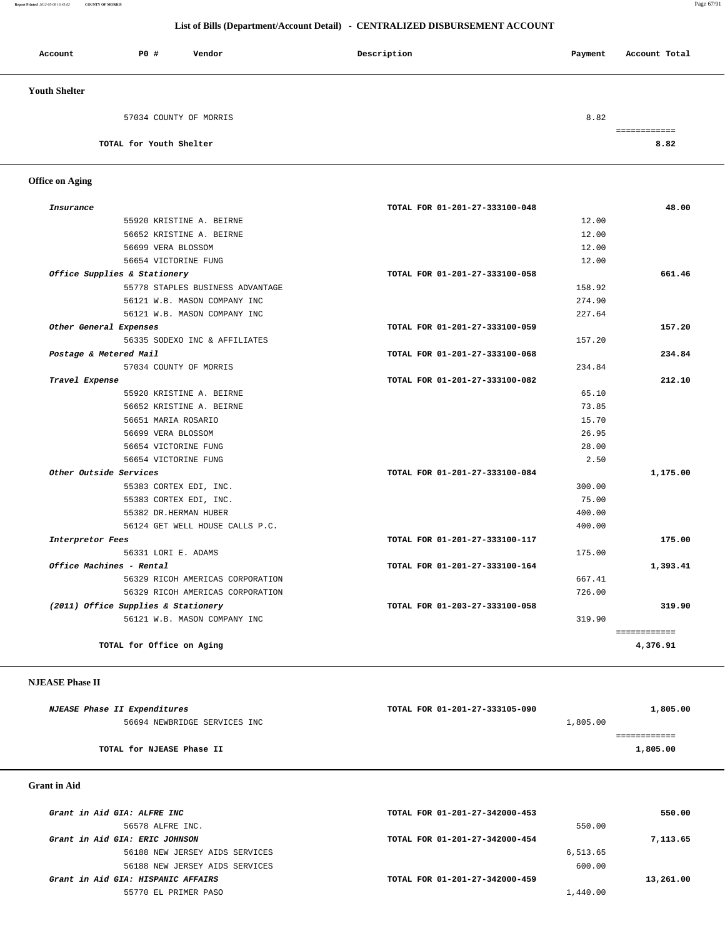#### **Report Printed** *2012-05-08 16:45:02* **COUNTY OF MORRIS** Page 67/91

### **List of Bills (Department/Account Detail) - CENTRALIZED DISBURSEMENT ACCOUNT**

| Account              | PO#                     | Vendor                 | Description | Payment | Account Total |
|----------------------|-------------------------|------------------------|-------------|---------|---------------|
| <b>Youth Shelter</b> |                         |                        |             |         |               |
|                      |                         | 57034 COUNTY OF MORRIS |             | 8.82    |               |
|                      | TOTAL for Youth Shelter |                        |             |         | 8.82          |

 **Office on Aging** 

| Insurance                           | TOTAL FOR 01-201-27-333100-048 | 48.00        |
|-------------------------------------|--------------------------------|--------------|
| 55920 KRISTINE A. BEIRNE            | 12.00                          |              |
| 56652 KRISTINE A. BEIRNE            | 12.00                          |              |
| 56699 VERA BLOSSOM                  | 12.00                          |              |
| 56654 VICTORINE FUNG                | 12.00                          |              |
| Office Supplies & Stationery        | TOTAL FOR 01-201-27-333100-058 | 661.46       |
| 55778 STAPLES BUSINESS ADVANTAGE    | 158.92                         |              |
| 56121 W.B. MASON COMPANY INC        | 274.90                         |              |
| 56121 W.B. MASON COMPANY INC        | 227.64                         |              |
| Other General Expenses              | TOTAL FOR 01-201-27-333100-059 | 157.20       |
| 56335 SODEXO INC & AFFILIATES       | 157.20                         |              |
| Postage & Metered Mail              | TOTAL FOR 01-201-27-333100-068 | 234.84       |
| 57034 COUNTY OF MORRIS              | 234.84                         |              |
| Travel Expense                      | TOTAL FOR 01-201-27-333100-082 | 212.10       |
| 55920 KRISTINE A. BEIRNE            | 65.10                          |              |
| 56652 KRISTINE A. BEIRNE            | 73.85                          |              |
| 56651 MARIA ROSARIO                 | 15.70                          |              |
| 56699 VERA BLOSSOM                  | 26.95                          |              |
| 56654 VICTORINE FUNG                | 28.00                          |              |
| 56654 VICTORINE FUNG                | 2.50                           |              |
| Other Outside Services              | TOTAL FOR 01-201-27-333100-084 | 1,175.00     |
| 55383 CORTEX EDI, INC.              | 300.00                         |              |
| 55383 CORTEX EDI, INC.              | 75.00                          |              |
| 55382 DR.HERMAN HUBER               | 400.00                         |              |
| 56124 GET WELL HOUSE CALLS P.C.     | 400.00                         |              |
| Interpretor Fees                    | TOTAL FOR 01-201-27-333100-117 | 175.00       |
| 56331 LORI E. ADAMS                 | 175.00                         |              |
| Office Machines - Rental            | TOTAL FOR 01-201-27-333100-164 | 1,393.41     |
| 56329 RICOH AMERICAS CORPORATION    | 667.41                         |              |
| 56329 RICOH AMERICAS CORPORATION    | 726.00                         |              |
| (2011) Office Supplies & Stationery | TOTAL FOR 01-203-27-333100-058 | 319.90       |
| 56121 W.B. MASON COMPANY INC        | 319.90                         |              |
|                                     |                                | ============ |
| TOTAL for Office on Aging           |                                | 4,376.91     |

### **NJEASE Phase II**

| <i>NJEASE Phase II Expenditures</i> | TOTAL FOR 01-201-27-333105-090 | 1,805.00 |
|-------------------------------------|--------------------------------|----------|
| 56694 NEWBRIDGE SERVICES INC        | 1,805.00                       |          |
|                                     |                                |          |
| TOTAL for NJEASE Phase II           |                                | 1,805.00 |
|                                     |                                |          |

 **Grant in Aid** 

| Grant in Aid GIA: ALFRE INC        | TOTAL FOR 01-201-27-342000-453 | 550.00    |
|------------------------------------|--------------------------------|-----------|
| 56578 ALFRE INC.                   |                                | 550.00    |
| Grant in Aid GIA: ERIC JOHNSON     | TOTAL FOR 01-201-27-342000-454 | 7,113.65  |
| 56188 NEW JERSEY AIDS SERVICES     | 6,513.65                       |           |
| 56188 NEW JERSEY AIDS SERVICES     |                                | 600.00    |
| Grant in Aid GIA: HISPANIC AFFAIRS | TOTAL FOR 01-201-27-342000-459 | 13,261.00 |
| 55770 EL PRIMER PASO               | 1,440.00                       |           |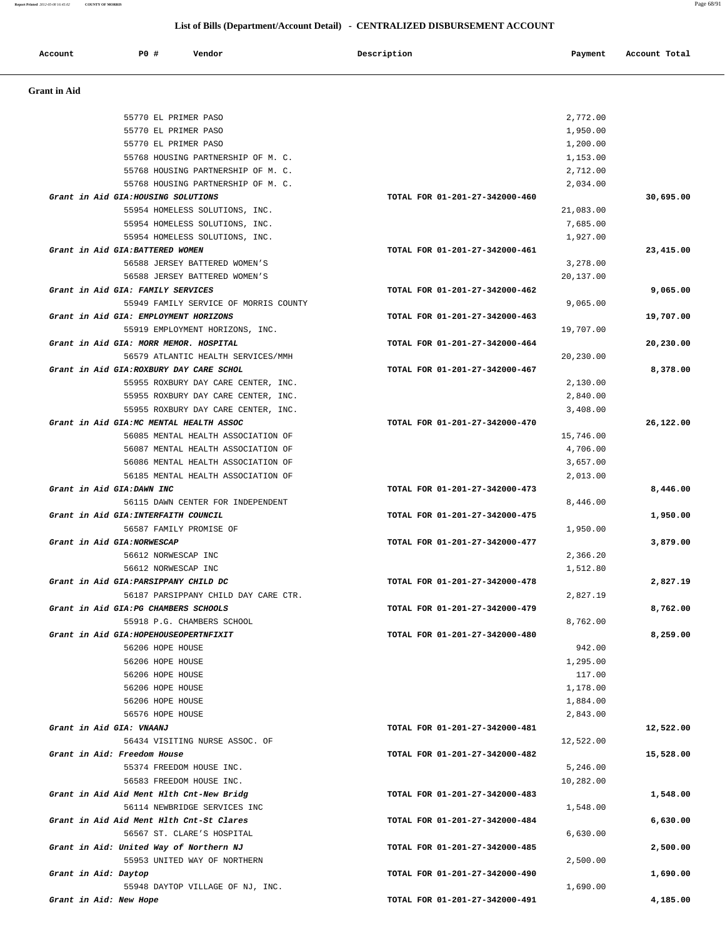**Report Printed** *2012-05-08 16:45:02* **COUNTY OF MORRIS** Page 68/91

# **List of Bills (Department/Account Detail) - CENTRALIZED DISBURSEMENT ACCOUNT**

| Account              | P0 #                              | Vendor                                                                    | Description                    | Payment              | Account Total |
|----------------------|-----------------------------------|---------------------------------------------------------------------------|--------------------------------|----------------------|---------------|
| <b>Grant</b> in Aid  |                                   |                                                                           |                                |                      |               |
|                      |                                   |                                                                           |                                |                      |               |
|                      |                                   | 55770 EL PRIMER PASO                                                      |                                | 2,772.00             |               |
|                      |                                   | 55770 EL PRIMER PASO                                                      |                                | 1,950.00             |               |
|                      |                                   | 55770 EL PRIMER PASO                                                      |                                | 1,200.00             |               |
|                      |                                   | 55768 HOUSING PARTNERSHIP OF M. C.                                        |                                | 1,153.00             |               |
|                      |                                   | 55768 HOUSING PARTNERSHIP OF M. C.                                        |                                | 2,712.00             |               |
|                      |                                   | 55768 HOUSING PARTNERSHIP OF M. C.<br>Grant in Aid GIA: HOUSING SOLUTIONS |                                | 2,034.00             |               |
|                      |                                   | 55954 HOMELESS SOLUTIONS, INC.                                            | TOTAL FOR 01-201-27-342000-460 |                      | 30,695.00     |
|                      |                                   |                                                                           |                                | 21,083.00            |               |
|                      |                                   | 55954 HOMELESS SOLUTIONS, INC.<br>55954 HOMELESS SOLUTIONS, INC.          |                                | 7,685.00<br>1,927.00 |               |
|                      | Grant in Aid GIA: BATTERED WOMEN  |                                                                           | TOTAL FOR 01-201-27-342000-461 |                      | 23,415.00     |
|                      |                                   | 56588 JERSEY BATTERED WOMEN'S                                             |                                | 3,278.00             |               |
|                      |                                   | 56588 JERSEY BATTERED WOMEN'S                                             |                                | 20,137.00            |               |
|                      | Grant in Aid GIA: FAMILY SERVICES |                                                                           | TOTAL FOR 01-201-27-342000-462 |                      | 9,065.00      |
|                      |                                   | 55949 FAMILY SERVICE OF MORRIS COUNTY                                     |                                | 9,065.00             |               |
|                      |                                   | Grant in Aid GIA: EMPLOYMENT HORIZONS                                     | TOTAL FOR 01-201-27-342000-463 |                      | 19,707.00     |
|                      |                                   | 55919 EMPLOYMENT HORIZONS, INC.                                           |                                | 19,707.00            |               |
|                      |                                   | Grant in Aid GIA: MORR MEMOR. HOSPITAL                                    | TOTAL FOR 01-201-27-342000-464 |                      | 20,230.00     |
|                      |                                   | 56579 ATLANTIC HEALTH SERVICES/MMH                                        |                                | 20,230.00            |               |
|                      |                                   | Grant in Aid GIA: ROXBURY DAY CARE SCHOL                                  | TOTAL FOR 01-201-27-342000-467 |                      | 8,378.00      |
|                      |                                   | 55955 ROXBURY DAY CARE CENTER, INC.                                       |                                | 2,130.00             |               |
|                      |                                   | 55955 ROXBURY DAY CARE CENTER, INC.                                       |                                | 2,840.00             |               |
|                      |                                   | 55955 ROXBURY DAY CARE CENTER, INC.                                       |                                | 3,408.00             |               |
|                      |                                   | Grant in Aid GIA: MC MENTAL HEALTH ASSOC                                  | TOTAL FOR 01-201-27-342000-470 |                      | 26,122.00     |
|                      |                                   | 56085 MENTAL HEALTH ASSOCIATION OF                                        |                                | 15,746.00            |               |
|                      |                                   | 56087 MENTAL HEALTH ASSOCIATION OF                                        |                                | 4,706.00             |               |
|                      |                                   | 56086 MENTAL HEALTH ASSOCIATION OF                                        |                                | 3,657.00             |               |
|                      |                                   | 56185 MENTAL HEALTH ASSOCIATION OF                                        |                                | 2,013.00             |               |
|                      | Grant in Aid GIA:DAWN INC         |                                                                           | TOTAL FOR 01-201-27-342000-473 |                      | 8,446.00      |
|                      |                                   | 56115 DAWN CENTER FOR INDEPENDENT                                         |                                | 8,446.00             |               |
|                      |                                   | Grant in Aid GIA: INTERFAITH COUNCIL                                      | TOTAL FOR 01-201-27-342000-475 |                      | 1,950.00      |
|                      |                                   | 56587 FAMILY PROMISE OF                                                   |                                | 1,950.00             |               |
|                      | Grant in Aid GIA:NORWESCAP        |                                                                           | TOTAL FOR 01-201-27-342000-477 |                      | 3,879.00      |
|                      |                                   | 56612 NORWESCAP INC                                                       |                                | 2,366.20             |               |
|                      |                                   | 56612 NORWESCAP INC                                                       |                                | 1,512.80             |               |
|                      |                                   | Grant in Aid GIA: PARSIPPANY CHILD DC                                     | TOTAL FOR 01-201-27-342000-478 |                      | 2,827.19      |
|                      |                                   | 56187 PARSIPPANY CHILD DAY CARE CTR.                                      |                                | 2,827.19             |               |
|                      |                                   | Grant in Aid GIA: PG CHAMBERS SCHOOLS                                     | TOTAL FOR 01-201-27-342000-479 |                      | 8,762.00      |
|                      |                                   | 55918 P.G. CHAMBERS SCHOOL                                                |                                | 8,762.00             |               |
|                      |                                   | Grant in Aid GIA: HOPEHOUSEOPERTNFIXIT                                    | TOTAL FOR 01-201-27-342000-480 |                      | 8,259.00      |
|                      |                                   | 56206 HOPE HOUSE<br>56206 HOPE HOUSE                                      |                                | 942.00<br>1,295.00   |               |
|                      |                                   | 56206 HOPE HOUSE                                                          |                                | 117.00               |               |
|                      |                                   | 56206 HOPE HOUSE                                                          |                                | 1,178.00             |               |
|                      |                                   | 56206 HOPE HOUSE                                                          |                                | 1,884.00             |               |
|                      |                                   | 56576 HOPE HOUSE                                                          |                                | 2,843.00             |               |
|                      | Grant in Aid GIA: VNAANJ          |                                                                           | TOTAL FOR 01-201-27-342000-481 |                      | 12,522.00     |
|                      |                                   | 56434 VISITING NURSE ASSOC. OF                                            |                                | 12,522.00            |               |
|                      | Grant in Aid: Freedom House       |                                                                           | TOTAL FOR 01-201-27-342000-482 |                      | 15,528.00     |
|                      |                                   | 55374 FREEDOM HOUSE INC.                                                  |                                | 5,246.00             |               |
|                      |                                   | 56583 FREEDOM HOUSE INC.                                                  |                                | 10,282.00            |               |
|                      |                                   | Grant in Aid Aid Ment Hlth Cnt-New Bridg                                  | TOTAL FOR 01-201-27-342000-483 |                      | 1,548.00      |
|                      |                                   | 56114 NEWBRIDGE SERVICES INC                                              |                                | 1,548.00             |               |
|                      |                                   | Grant in Aid Aid Ment Hlth Cnt-St Clares                                  | TOTAL FOR 01-201-27-342000-484 |                      | 6,630.00      |
|                      |                                   | 56567 ST. CLARE'S HOSPITAL                                                |                                | 6,630.00             |               |
|                      |                                   | Grant in Aid: United Way of Northern NJ                                   | TOTAL FOR 01-201-27-342000-485 |                      | 2,500.00      |
|                      |                                   | 55953 UNITED WAY OF NORTHERN                                              |                                | 2,500.00             |               |
| Grant in Aid: Daytop |                                   |                                                                           | TOTAL FOR 01-201-27-342000-490 |                      | 1,690.00      |
|                      |                                   | 55948 DAYTOP VILLAGE OF NJ, INC.                                          |                                | 1,690.00             |               |
|                      | Grant in Aid: New Hope            |                                                                           | TOTAL FOR 01-201-27-342000-491 |                      | 4,185.00      |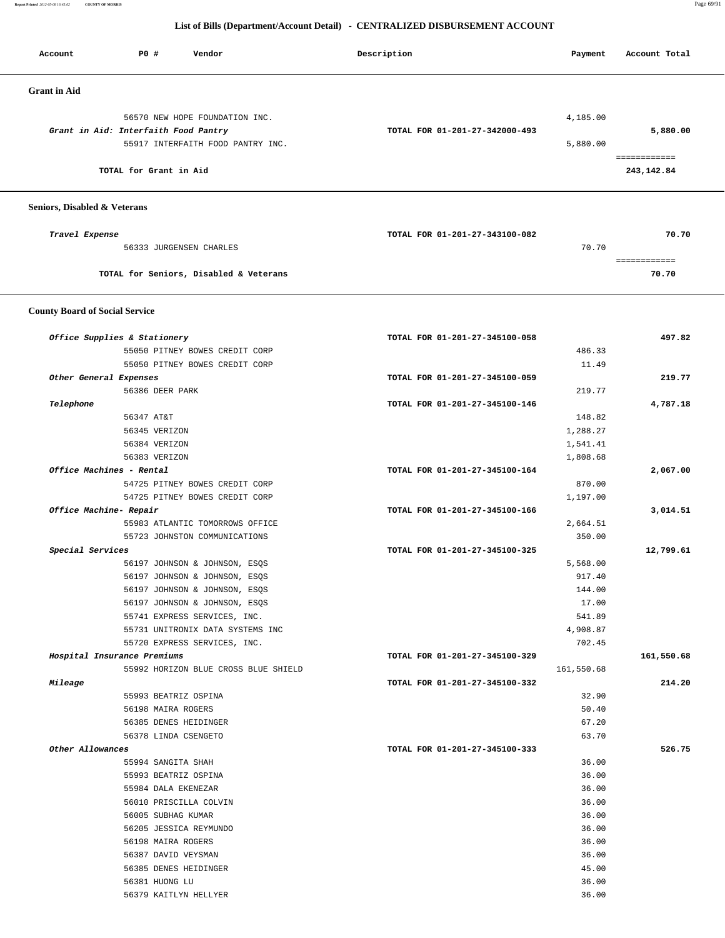**Report Printed** *2012-05-08 16:45:02* **COUNTY OF MORRIS** Page 69/91

### **List of Bills (Department/Account Detail) - CENTRALIZED DISBURSEMENT ACCOUNT**

| Account             | PO#                                  | Vendor                            | Description                    | Payment  | Account Total |
|---------------------|--------------------------------------|-----------------------------------|--------------------------------|----------|---------------|
| <b>Grant</b> in Aid |                                      |                                   |                                |          |               |
|                     |                                      | 56570 NEW HOPE FOUNDATION INC.    |                                | 4,185.00 |               |
|                     | Grant in Aid: Interfaith Food Pantry |                                   | TOTAL FOR 01-201-27-342000-493 |          | 5,880.00      |
|                     |                                      | 55917 INTERFAITH FOOD PANTRY INC. |                                | 5,880.00 |               |
|                     |                                      |                                   |                                |          | eessessesses  |
|                     | TOTAL for Grant in Aid               |                                   |                                |          | 243,142.84    |
|                     |                                      |                                   |                                |          |               |
|                     |                                      |                                   |                                |          |               |

### **Seniors, Disabled & Veterans**

| Travel Expense                         | TOTAL FOR 01-201-27-343100-082 | 70.70 |
|----------------------------------------|--------------------------------|-------|
| 56333 JURGENSEN CHARLES                | 70.70                          |       |
|                                        |                                |       |
| TOTAL for Seniors, Disabled & Veterans |                                | 70.70 |
|                                        |                                |       |

### **County Board of Social Service**

|                             | Office Supplies & Stationery         | TOTAL FOR 01-201-27-345100-058 |            | 497.82     |
|-----------------------------|--------------------------------------|--------------------------------|------------|------------|
|                             | 55050 PITNEY BOWES CREDIT CORP       |                                | 486.33     |            |
|                             | 55050 PITNEY BOWES CREDIT CORP       |                                | 11.49      |            |
| Other General Expenses      |                                      | TOTAL FOR 01-201-27-345100-059 |            | 219.77     |
|                             | 56386 DEER PARK                      |                                | 219.77     |            |
| Telephone                   |                                      | TOTAL FOR 01-201-27-345100-146 |            | 4,787.18   |
|                             | 56347 AT&T                           |                                | 148.82     |            |
|                             | 56345 VERIZON                        |                                | 1,288.27   |            |
|                             | 56384 VERIZON                        |                                | 1,541.41   |            |
|                             | 56383 VERIZON                        |                                | 1,808.68   |            |
| Office Machines - Rental    |                                      | TOTAL FOR 01-201-27-345100-164 |            | 2,067.00   |
|                             | 54725 PITNEY BOWES CREDIT CORP       |                                | 870.00     |            |
|                             | 54725 PITNEY BOWES CREDIT CORP       |                                | 1,197.00   |            |
| Office Machine- Repair      |                                      | TOTAL FOR 01-201-27-345100-166 |            | 3,014.51   |
|                             | 55983 ATLANTIC TOMORROWS OFFICE      |                                | 2,664.51   |            |
|                             | 55723 JOHNSTON COMMUNICATIONS        |                                | 350.00     |            |
| Special Services            |                                      | TOTAL FOR 01-201-27-345100-325 |            | 12,799.61  |
|                             | 56197 JOHNSON & JOHNSON, ESQS        |                                | 5,568.00   |            |
|                             | 56197 JOHNSON & JOHNSON, ESQS        |                                | 917.40     |            |
|                             | 56197 JOHNSON & JOHNSON, ESQS        |                                | 144.00     |            |
|                             | 56197 JOHNSON & JOHNSON, ESQS        |                                | 17.00      |            |
|                             | 55741 EXPRESS SERVICES, INC.         |                                | 541.89     |            |
|                             | 55731 UNITRONIX DATA SYSTEMS INC     |                                | 4,908.87   |            |
|                             | 55720 EXPRESS SERVICES, INC.         |                                | 702.45     |            |
| Hospital Insurance Premiums |                                      | TOTAL FOR 01-201-27-345100-329 |            | 161,550.68 |
|                             | 55992 HORIZON BLUE CROSS BLUE SHIELD |                                | 161,550.68 |            |
| Mileage                     |                                      | TOTAL FOR 01-201-27-345100-332 |            | 214.20     |
|                             | 55993 BEATRIZ OSPINA                 |                                | 32.90      |            |
|                             | 56198 MAIRA ROGERS                   |                                | 50.40      |            |
|                             | 56385 DENES HEIDINGER                |                                | 67.20      |            |
|                             | 56378 LINDA CSENGETO                 |                                | 63.70      |            |
| Other Allowances            |                                      | TOTAL FOR 01-201-27-345100-333 |            | 526.75     |
|                             | 55994 SANGITA SHAH                   |                                | 36.00      |            |
|                             | 55993 BEATRIZ OSPINA                 |                                | 36.00      |            |
|                             | 55984 DALA EKENEZAR                  |                                | 36.00      |            |
|                             | 56010 PRISCILLA COLVIN               |                                | 36.00      |            |
|                             | 56005 SUBHAG KUMAR                   |                                | 36.00      |            |
|                             | 56205 JESSICA REYMUNDO               |                                | 36.00      |            |
|                             | 56198 MAIRA ROGERS                   |                                | 36.00      |            |
|                             | 56387 DAVID VEYSMAN                  |                                | 36.00      |            |
|                             | 56385 DENES HEIDINGER                |                                | 45.00      |            |
|                             | 56381 HUONG LU                       |                                | 36.00      |            |
|                             | 56379 KAITLYN HELLYER                |                                | 36.00      |            |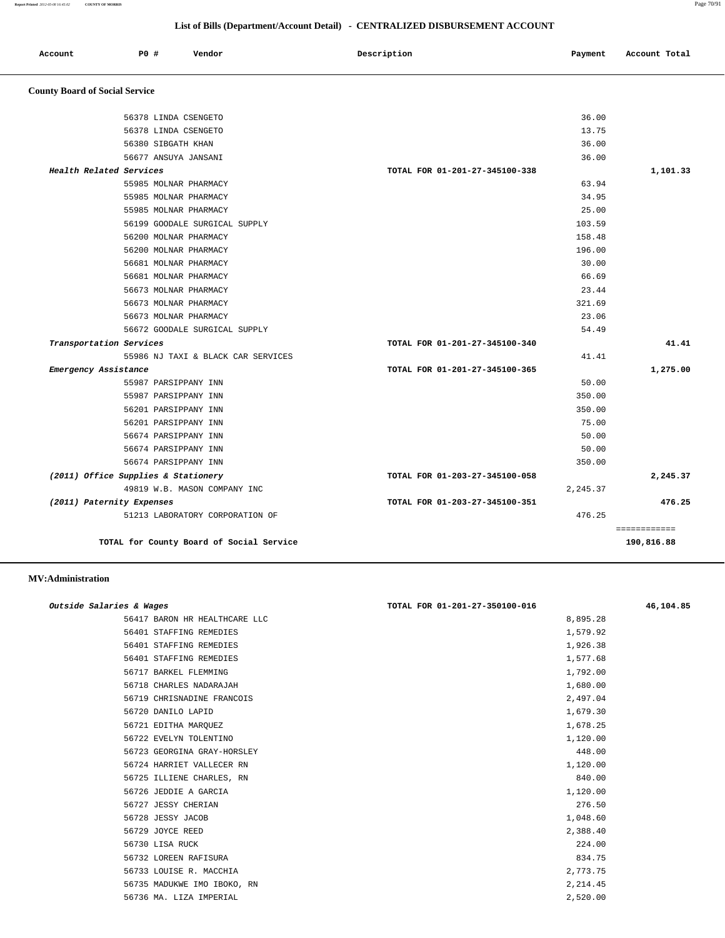| Account                               | <b>PO #</b>          | Vendor | Description | Payment | Account Total |
|---------------------------------------|----------------------|--------|-------------|---------|---------------|
| <b>County Board of Social Service</b> |                      |        |             |         |               |
|                                       | 56378 LINDA CSENGETO |        |             | 36.00   |               |

| 56378 LINDA CSENGETO                | 13.75                          |              |
|-------------------------------------|--------------------------------|--------------|
| 56380 SIBGATH KHAN                  | 36.00                          |              |
| 56677 ANSUYA JANSANI                | 36.00                          |              |
| Health Related Services             | TOTAL FOR 01-201-27-345100-338 | 1,101.33     |
| 55985 MOLNAR PHARMACY               | 63.94                          |              |
| 55985 MOLNAR PHARMACY               | 34.95                          |              |
| 55985 MOLNAR PHARMACY               | 25.00                          |              |
| 56199 GOODALE SURGICAL SUPPLY       | 103.59                         |              |
| 56200 MOLNAR PHARMACY               | 158.48                         |              |
| 56200 MOLNAR PHARMACY               | 196.00                         |              |
| 56681 MOLNAR PHARMACY               | 30.00                          |              |
| 56681 MOLNAR PHARMACY               | 66.69                          |              |
| 56673 MOLNAR PHARMACY               | 23.44                          |              |
| 56673 MOLNAR PHARMACY               | 321.69                         |              |
| 56673 MOLNAR PHARMACY               | 23.06                          |              |
| 56672 GOODALE SURGICAL SUPPLY       | 54.49                          |              |
| Transportation Services             | TOTAL FOR 01-201-27-345100-340 | 41.41        |
| 55986 NJ TAXI & BLACK CAR SERVICES  | 41.41                          |              |
| Emergency Assistance                | TOTAL FOR 01-201-27-345100-365 | 1,275.00     |
| 55987 PARSIPPANY INN                | 50.00                          |              |
| 55987 PARSIPPANY INN                | 350.00                         |              |
| 56201 PARSIPPANY INN                | 350.00                         |              |
| 56201 PARSIPPANY INN                | 75.00                          |              |
| 56674 PARSIPPANY INN                | 50.00                          |              |
| 56674 PARSIPPANY INN                | 50.00                          |              |
| 56674 PARSIPPANY INN                | 350.00                         |              |
| (2011) Office Supplies & Stationery | TOTAL FOR 01-203-27-345100-058 | 2,245.37     |
| 49819 W.B. MASON COMPANY INC        | 2,245.37                       |              |
| (2011) Paternity Expenses           | TOTAL FOR 01-203-27-345100-351 | 476.25       |
| 51213 LABORATORY CORPORATION OF     | 476.25                         |              |
|                                     |                                | ============ |
|                                     |                                |              |

#### **MV:Administration**

| Outside Salaries & Wages |                               | TOTAL FOR 01-201-27-350100-016 | 46,104.85 |
|--------------------------|-------------------------------|--------------------------------|-----------|
|                          | 56417 BARON HR HEALTHCARE LLC | 8,895.28                       |           |
|                          | 56401 STAFFING REMEDIES       | 1,579.92                       |           |
|                          | 56401 STAFFING REMEDIES       | 1,926.38                       |           |
|                          | 56401 STAFFING REMEDIES       | 1,577.68                       |           |
|                          | 56717 BARKEL FLEMMING         | 1,792.00                       |           |
|                          | 56718 CHARLES NADARAJAH       | 1,680.00                       |           |
|                          | 56719 CHRISNADINE FRANCOIS    | 2,497.04                       |           |
|                          | 56720 DANILO LAPID            | 1,679.30                       |           |
|                          | 56721 EDITHA MARQUEZ          | 1,678.25                       |           |
|                          | 56722 EVELYN TOLENTINO        | 1,120.00                       |           |
|                          | 56723 GEORGINA GRAY-HORSLEY   | 448.00                         |           |
|                          | 56724 HARRIET VALLECER RN     | 1,120.00                       |           |
|                          | 56725 ILLIENE CHARLES, RN     | 840.00                         |           |
|                          | 56726 JEDDIE A GARCIA         | 1,120.00                       |           |
|                          | 56727 JESSY CHERIAN           | 276.50                         |           |
|                          | 56728 JESSY JACOB             | 1,048.60                       |           |
|                          | 56729 JOYCE REED              | 2,388.40                       |           |
|                          | 56730 LISA RUCK               | 224.00                         |           |
|                          | 56732 LOREEN RAFISURA         | 834.75                         |           |
|                          | 56733 LOUISE R. MACCHIA       | 2,773.75                       |           |
|                          | 56735 MADUKWE IMO IBOKO, RN   | 2,214.45                       |           |
|                          | 56736 MA. LIZA IMPERIAL       | 2,520.00                       |           |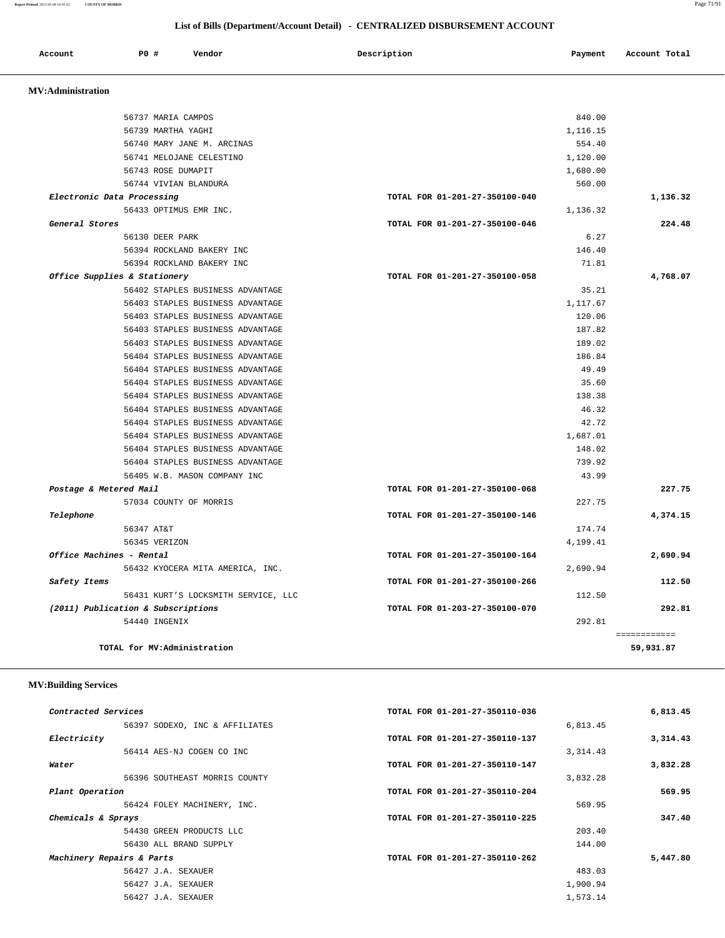**Report Printed** *2012-05-08 16:45:02* **COUNTY OF MORRIS** Page 71/91

# **List of Bills (Department/Account Detail) - CENTRALIZED DISBURSEMENT ACCOUNT**

| Account                  | P0 #                               | Vendor                              | Description                    | Payment  | Account Total |
|--------------------------|------------------------------------|-------------------------------------|--------------------------------|----------|---------------|
| <b>MV:Administration</b> |                                    |                                     |                                |          |               |
|                          | 56737 MARIA CAMPOS                 |                                     |                                | 840.00   |               |
|                          | 56739 MARTHA YAGHI                 |                                     |                                | 1,116.15 |               |
|                          |                                    | 56740 MARY JANE M. ARCINAS          |                                | 554.40   |               |
|                          |                                    | 56741 MELOJANE CELESTINO            |                                | 1,120.00 |               |
|                          | 56743 ROSE DUMAPIT                 |                                     |                                | 1,680.00 |               |
|                          | 56744 VIVIAN BLANDURA              |                                     |                                | 560.00   |               |
|                          | Electronic Data Processing         |                                     | TOTAL FOR 01-201-27-350100-040 |          | 1,136.32      |
|                          | 56433 OPTIMUS EMR INC.             |                                     |                                | 1,136.32 |               |
| General Stores           |                                    |                                     | TOTAL FOR 01-201-27-350100-046 |          | 224.48        |
|                          | 56130 DEER PARK                    |                                     |                                | 6.27     |               |
|                          |                                    | 56394 ROCKLAND BAKERY INC           |                                | 146.40   |               |
|                          |                                    | 56394 ROCKLAND BAKERY INC           |                                | 71.81    |               |
|                          | Office Supplies & Stationery       |                                     | TOTAL FOR 01-201-27-350100-058 |          | 4,768.07      |
|                          |                                    | 56402 STAPLES BUSINESS ADVANTAGE    |                                | 35.21    |               |
|                          |                                    | 56403 STAPLES BUSINESS ADVANTAGE    |                                | 1,117.67 |               |
|                          |                                    | 56403 STAPLES BUSINESS ADVANTAGE    |                                | 120.06   |               |
|                          |                                    | 56403 STAPLES BUSINESS ADVANTAGE    |                                | 187.82   |               |
|                          |                                    | 56403 STAPLES BUSINESS ADVANTAGE    |                                | 189.02   |               |
|                          |                                    | 56404 STAPLES BUSINESS ADVANTAGE    |                                | 186.84   |               |
|                          |                                    | 56404 STAPLES BUSINESS ADVANTAGE    |                                | 49.49    |               |
|                          |                                    | 56404 STAPLES BUSINESS ADVANTAGE    |                                | 35.60    |               |
|                          |                                    | 56404 STAPLES BUSINESS ADVANTAGE    |                                | 138.38   |               |
|                          |                                    | 56404 STAPLES BUSINESS ADVANTAGE    |                                | 46.32    |               |
|                          |                                    | 56404 STAPLES BUSINESS ADVANTAGE    |                                | 42.72    |               |
|                          |                                    | 56404 STAPLES BUSINESS ADVANTAGE    |                                | 1,687.01 |               |
|                          |                                    | 56404 STAPLES BUSINESS ADVANTAGE    |                                | 148.02   |               |
|                          |                                    | 56404 STAPLES BUSINESS ADVANTAGE    |                                | 739.92   |               |
|                          |                                    | 56405 W.B. MASON COMPANY INC        |                                | 43.99    |               |
| Postage & Metered Mail   |                                    |                                     | TOTAL FOR 01-201-27-350100-068 |          | 227.75        |
|                          | 57034 COUNTY OF MORRIS             |                                     |                                | 227.75   |               |
| Telephone                |                                    |                                     | TOTAL FOR 01-201-27-350100-146 |          | 4,374.15      |
|                          | 56347 AT&T                         |                                     |                                | 174.74   |               |
|                          | 56345 VERIZON                      |                                     |                                | 4,199.41 |               |
| Office Machines - Rental |                                    |                                     | TOTAL FOR 01-201-27-350100-164 |          | 2,690.94      |
|                          |                                    | 56432 KYOCERA MITA AMERICA, INC.    |                                | 2,690.94 |               |
| Safety Items             |                                    |                                     | TOTAL FOR 01-201-27-350100-266 |          | 112.50        |
|                          |                                    | 56431 KURT'S LOCKSMITH SERVICE, LLC |                                | 112.50   |               |
|                          | (2011) Publication & Subscriptions |                                     | TOTAL FOR 01-203-27-350100-070 |          | 292.81        |
|                          | 54440 INGENIX                      |                                     |                                | 292.81   | ============  |

# **MV:Building Services**

| Contracted Services            | TOTAL FOR 01-201-27-350110-036 | 6,813.45 |
|--------------------------------|--------------------------------|----------|
| 56397 SODEXO, INC & AFFILIATES | 6,813.45                       |          |
| Electricity                    | TOTAL FOR 01-201-27-350110-137 | 3,314.43 |
| 56414 AES-NJ COGEN CO INC      | 3, 314.43                      |          |
| Water                          | TOTAL FOR 01-201-27-350110-147 | 3,832.28 |
| 56396 SOUTHEAST MORRIS COUNTY  | 3,832.28                       |          |
| Plant Operation                | TOTAL FOR 01-201-27-350110-204 | 569.95   |
| 56424 FOLEY MACHINERY, INC.    | 569.95                         |          |
| Chemicals & Sprays             | TOTAL FOR 01-201-27-350110-225 | 347.40   |
| 54430 GREEN PRODUCTS LLC       | 203.40                         |          |
| 56430 ALL BRAND SUPPLY         | 144.00                         |          |
| Machinery Repairs & Parts      | TOTAL FOR 01-201-27-350110-262 | 5,447.80 |
| 56427 J.A. SEXAUER             | 483.03                         |          |
| 56427 J.A. SEXAUER             | 1,900.94                       |          |
| 56427 J.A. SEXAUER             | 1,573.14                       |          |
|                                |                                |          |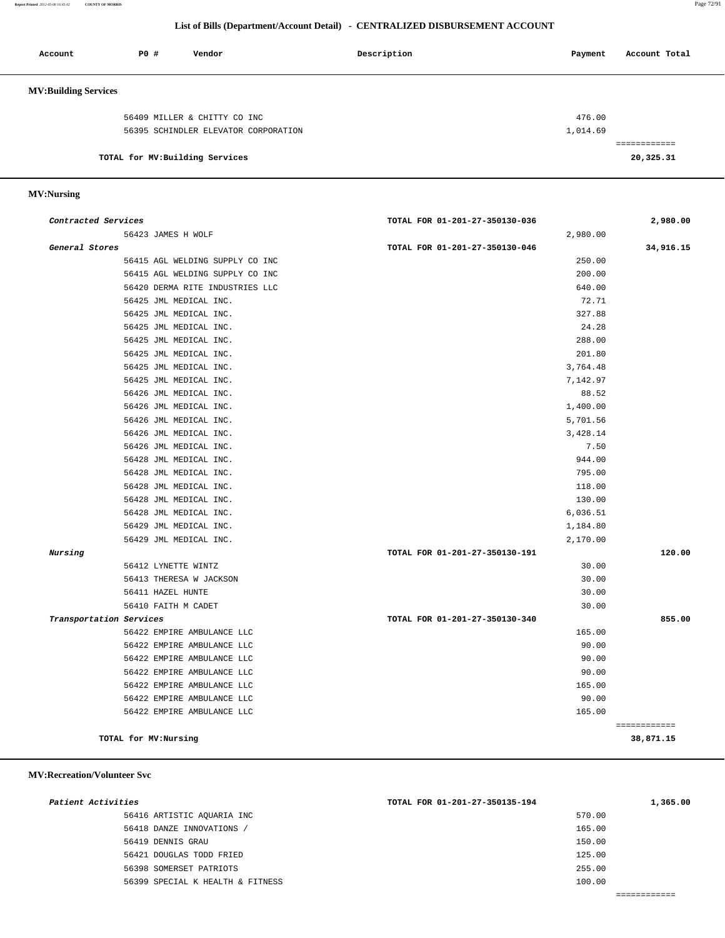**Report Printed** *2012-05-08 16:45:02* **COUNTY OF MORRIS** Page 72/91

### **List of Bills (Department/Account Detail) - CENTRALIZED DISBURSEMENT ACCOUNT**

| Account                     | P0#                             | Vendor                               | Description | Payment  | Account Total |
|-----------------------------|---------------------------------|--------------------------------------|-------------|----------|---------------|
| <b>MV:Building Services</b> |                                 |                                      |             |          |               |
|                             |                                 | 56409 MILLER & CHITTY CO INC         |             | 476.00   |               |
|                             |                                 | 56395 SCHINDLER ELEVATOR CORPORATION |             | 1,014.69 |               |
|                             |                                 |                                      |             |          |               |
|                             | TOTAL for MV: Building Services |                                      |             |          | 20,325.31     |

### **MV:Nursing**

| Contracted Services             | TOTAL FOR 01-201-27-350130-036 | 2,980.00                  |
|---------------------------------|--------------------------------|---------------------------|
| 56423 JAMES H WOLF              | 2,980.00                       |                           |
| General Stores                  | TOTAL FOR 01-201-27-350130-046 | 34,916.15                 |
| 56415 AGL WELDING SUPPLY CO INC | 250.00                         |                           |
| 56415 AGL WELDING SUPPLY CO INC | 200.00                         |                           |
| 56420 DERMA RITE INDUSTRIES LLC | 640.00                         |                           |
| 56425 JML MEDICAL INC.          | 72.71                          |                           |
| 56425 JML MEDICAL INC.          | 327.88                         |                           |
| 56425 JML MEDICAL INC.          | 24.28                          |                           |
| 56425 JML MEDICAL INC.          | 288.00                         |                           |
| 56425 JML MEDICAL INC.          | 201.80                         |                           |
| 56425 JML MEDICAL INC.          | 3,764.48                       |                           |
| 56425 JML MEDICAL INC.          | 7,142.97                       |                           |
| 56426 JML MEDICAL INC.          | 88.52                          |                           |
| 56426 JML MEDICAL INC.          | 1,400.00                       |                           |
| 56426 JML MEDICAL INC.          | 5,701.56                       |                           |
| 56426 JML MEDICAL INC.          | 3,428.14                       |                           |
| 56426 JML MEDICAL INC.          | 7.50                           |                           |
| 56428 JML MEDICAL INC.          | 944.00                         |                           |
| 56428 JML MEDICAL INC.          | 795.00                         |                           |
| 56428 JML MEDICAL INC.          | 118.00                         |                           |
| 56428 JML MEDICAL INC.          | 130.00                         |                           |
| 56428 JML MEDICAL INC.          | 6,036.51                       |                           |
| 56429 JML MEDICAL INC.          | 1,184.80                       |                           |
| 56429 JML MEDICAL INC.          | 2,170.00                       |                           |
| Nursing                         | TOTAL FOR 01-201-27-350130-191 | 120.00                    |
| 56412 LYNETTE WINTZ             | 30.00                          |                           |
| 56413 THERESA W JACKSON         | 30.00                          |                           |
| 56411 HAZEL HUNTE               | 30.00                          |                           |
| 56410 FAITH M CADET             | 30.00                          |                           |
| Transportation Services         | TOTAL FOR 01-201-27-350130-340 | 855.00                    |
| 56422 EMPIRE AMBULANCE LLC      | 165.00                         |                           |
| 56422 EMPIRE AMBULANCE LLC      | 90.00                          |                           |
| 56422 EMPIRE AMBULANCE LLC      | 90.00                          |                           |
| 56422 EMPIRE AMBULANCE LLC      | 90.00                          |                           |
| 56422 EMPIRE AMBULANCE LLC      | 165.00                         |                           |
| 56422 EMPIRE AMBULANCE LLC      | 90.00                          |                           |
| 56422 EMPIRE AMBULANCE LLC      | 165.00                         |                           |
| TOTAL for MV:Nursing            |                                | ============<br>38,871.15 |
|                                 |                                |                           |

### **MV:Recreation/Volunteer Svc**

| Patient Activities               | TOTAL FOR 01-201-27-350135-194 | 1,365.00 |
|----------------------------------|--------------------------------|----------|
| 56416 ARTISTIC AQUARIA INC       | 570.00                         |          |
| 56418 DANZE INNOVATIONS /        | 165.00                         |          |
| 56419 DENNIS GRAU                | 150.00                         |          |
| 56421 DOUGLAS TODD FRIED         | 125.00                         |          |
| 56398 SOMERSET PATRIOTS          | 255.00                         |          |
| 56399 SPECIAL K HEALTH & FITNESS | 100.00                         |          |
|                                  |                                |          |

============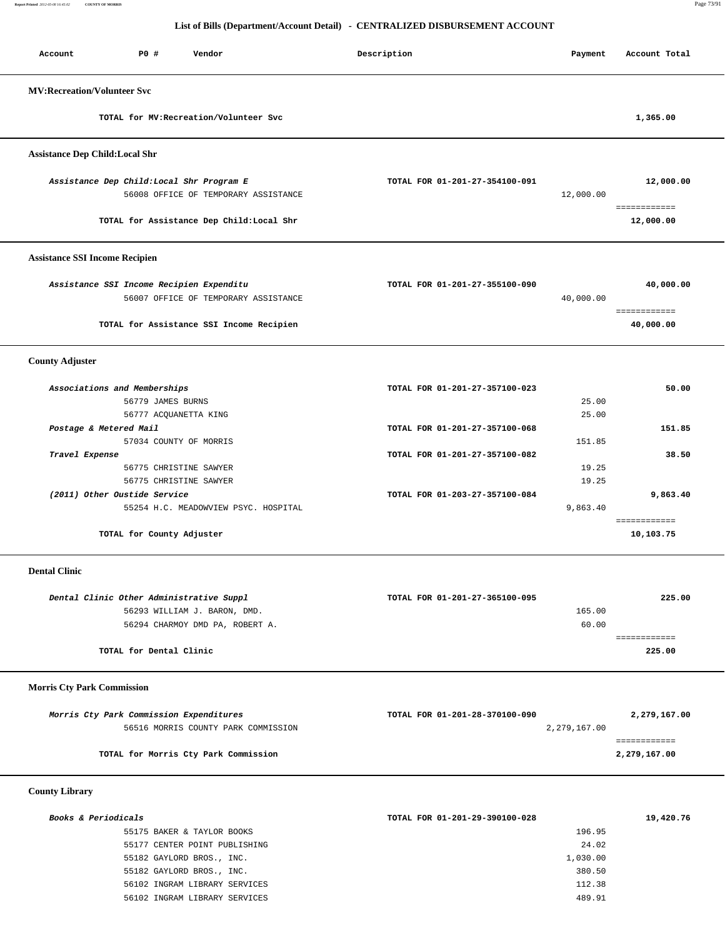**Report Printed** *2012-05-08 16:45:02* **COUNTY OF MORRIS** Page 73/91

### **List of Bills (Department/Account Detail) - CENTRALIZED DISBURSEMENT ACCOUNT**

| <b>PO #</b><br>Vendor<br>Account                                                                                                             | Description                    | Payment                               | Account Total                |
|----------------------------------------------------------------------------------------------------------------------------------------------|--------------------------------|---------------------------------------|------------------------------|
| <b>MV:Recreation/Volunteer Svc</b>                                                                                                           |                                |                                       |                              |
| TOTAL for MV: Recreation/Volunteer Svc                                                                                                       |                                |                                       | 1,365.00                     |
| <b>Assistance Dep Child:Local Shr</b>                                                                                                        |                                |                                       |                              |
| Assistance Dep Child: Local Shr Program E<br>56008 OFFICE OF TEMPORARY ASSISTANCE                                                            | TOTAL FOR 01-201-27-354100-091 | 12,000.00                             | 12,000.00                    |
| TOTAL for Assistance Dep Child: Local Shr                                                                                                    |                                |                                       | ============<br>12,000.00    |
| <b>Assistance SSI Income Recipien</b>                                                                                                        |                                |                                       |                              |
| Assistance SSI Income Recipien Expenditu<br>56007 OFFICE OF TEMPORARY ASSISTANCE                                                             | TOTAL FOR 01-201-27-355100-090 | 40,000.00                             | 40,000.00                    |
| TOTAL for Assistance SSI Income Recipien                                                                                                     |                                |                                       | ============<br>40,000.00    |
| <b>County Adjuster</b>                                                                                                                       |                                |                                       |                              |
| Associations and Memberships<br>56779 JAMES BURNS                                                                                            | TOTAL FOR 01-201-27-357100-023 | 25.00                                 | 50.00                        |
| 56777 ACQUANETTA KING<br>Postage & Metered Mail<br>57034 COUNTY OF MORRIS                                                                    | TOTAL FOR 01-201-27-357100-068 | 25.00<br>151.85                       | 151.85                       |
| Travel Expense<br>56775 CHRISTINE SAWYER<br>56775 CHRISTINE SAWYER                                                                           | TOTAL FOR 01-201-27-357100-082 | 19.25<br>19.25                        | 38.50                        |
| (2011) Other Oustide Service<br>55254 H.C. MEADOWVIEW PSYC. HOSPITAL                                                                         | TOTAL FOR 01-203-27-357100-084 | 9,863.40                              | 9,863.40                     |
| TOTAL for County Adjuster                                                                                                                    |                                |                                       | ============<br>10,103.75    |
| <b>Dental Clinic</b>                                                                                                                         |                                |                                       |                              |
| Dental Clinic Other Administrative Suppl<br>56293 WILLIAM J. BARON, DMD.<br>56294 CHARMOY DMD PA, ROBERT A.                                  | TOTAL FOR 01-201-27-365100-095 | 165.00<br>60.00                       | 225.00<br>============       |
| TOTAL for Dental Clinic                                                                                                                      |                                |                                       | 225.00                       |
| <b>Morris Cty Park Commission</b>                                                                                                            |                                |                                       |                              |
| Morris Cty Park Commission Expenditures<br>56516 MORRIS COUNTY PARK COMMISSION                                                               | TOTAL FOR 01-201-28-370100-090 | 2,279,167.00                          | 2,279,167.00                 |
| TOTAL for Morris Cty Park Commission                                                                                                         |                                |                                       | ============<br>2,279,167.00 |
| <b>County Library</b>                                                                                                                        |                                |                                       |                              |
| Books & Periodicals<br>55175 BAKER & TAYLOR BOOKS<br>55177 CENTER POINT PUBLISHING<br>55182 GAYLORD BROS., INC.<br>55182 GAYLORD BROS., INC. | TOTAL FOR 01-201-29-390100-028 | 196.95<br>24.02<br>1,030.00<br>380.50 | 19,420.76                    |

 56102 INGRAM LIBRARY SERVICES 112.38 56102 INGRAM LIBRARY SERVICES 489.91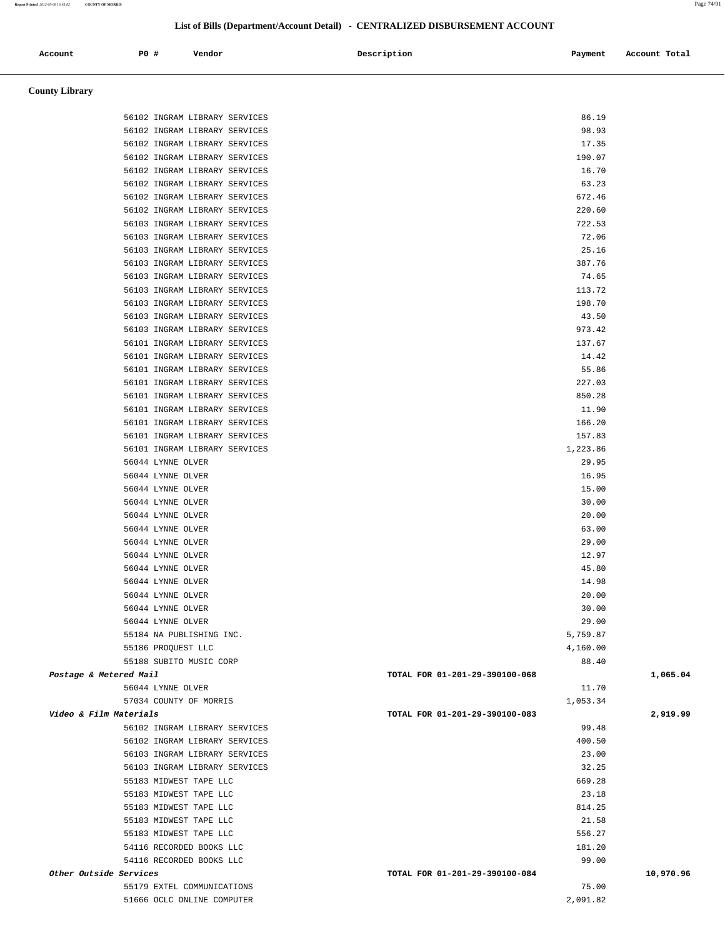| Account               | PO#<br>Vendor                 | Description | Account Total<br>Payment |
|-----------------------|-------------------------------|-------------|--------------------------|
| <b>County Library</b> |                               |             |                          |
|                       | 56102 INGRAM LIBRARY SERVICES |             | 86.19                    |
|                       | 56102 INGRAM LIBRARY SERVICES |             | 98.93                    |
|                       | 56102 INGRAM LIBRARY SERVICES |             | 17.35                    |

| 56102 INGRAM LIBRARY SERVICES | 190.07                                     |           |
|-------------------------------|--------------------------------------------|-----------|
| 56102 INGRAM LIBRARY SERVICES | 16.70                                      |           |
| 56102 INGRAM LIBRARY SERVICES | 63.23                                      |           |
| 56102 INGRAM LIBRARY SERVICES | 672.46                                     |           |
| 56102 INGRAM LIBRARY SERVICES | 220.60                                     |           |
| 56103 INGRAM LIBRARY SERVICES | 722.53                                     |           |
| 56103 INGRAM LIBRARY SERVICES | 72.06                                      |           |
| 56103 INGRAM LIBRARY SERVICES | 25.16                                      |           |
| 56103 INGRAM LIBRARY SERVICES | 387.76                                     |           |
| 56103 INGRAM LIBRARY SERVICES | 74.65                                      |           |
| 56103 INGRAM LIBRARY SERVICES | 113.72                                     |           |
| 56103 INGRAM LIBRARY SERVICES | 198.70                                     |           |
| 56103 INGRAM LIBRARY SERVICES | 43.50                                      |           |
| 56103 INGRAM LIBRARY SERVICES | 973.42                                     |           |
| 56101 INGRAM LIBRARY SERVICES | 137.67                                     |           |
| 56101 INGRAM LIBRARY SERVICES | 14.42                                      |           |
| 56101 INGRAM LIBRARY SERVICES | 55.86                                      |           |
| 56101 INGRAM LIBRARY SERVICES | 227.03                                     |           |
| 56101 INGRAM LIBRARY SERVICES | 850.28                                     |           |
| 56101 INGRAM LIBRARY SERVICES | 11.90                                      |           |
| 56101 INGRAM LIBRARY SERVICES | 166.20                                     |           |
| 56101 INGRAM LIBRARY SERVICES | 157.83                                     |           |
| 56101 INGRAM LIBRARY SERVICES | 1,223.86                                   |           |
| 56044 LYNNE OLVER             | 29.95                                      |           |
| 56044 LYNNE OLVER             | 16.95                                      |           |
| 56044 LYNNE OLVER             | 15.00                                      |           |
| 56044 LYNNE OLVER             | 30.00                                      |           |
| 56044 LYNNE OLVER             | 20.00                                      |           |
| 56044 LYNNE OLVER             | 63.00                                      |           |
| 56044 LYNNE OLVER             | 29.00                                      |           |
| 56044 LYNNE OLVER             | 12.97                                      |           |
| 56044 LYNNE OLVER             | 45.80                                      |           |
| 56044 LYNNE OLVER             | 14.98                                      |           |
| 56044 LYNNE OLVER             | 20.00                                      |           |
| 56044 LYNNE OLVER             | 30.00                                      |           |
| 56044 LYNNE OLVER             | 29.00                                      |           |
| 55184 NA PUBLISHING INC.      | 5,759.87                                   |           |
| 55186 PROQUEST LLC            | 4,160.00                                   |           |
| 55188 SUBITO MUSIC CORP       | 88.40                                      |           |
| Postage & Metered Mail        | TOTAL FOR 01-201-29-390100-068             | 1,065.04  |
| 56044 LYNNE OLVER             | 11.70                                      |           |
| 57034 COUNTY OF MORRIS        |                                            |           |
| Video & Film Materials        | 1,053.34<br>TOTAL FOR 01-201-29-390100-083 | 2,919.99  |
|                               |                                            |           |
| 56102 INGRAM LIBRARY SERVICES | 99.48                                      |           |
| 56102 INGRAM LIBRARY SERVICES | 400.50                                     |           |
| 56103 INGRAM LIBRARY SERVICES | 23.00                                      |           |
| 56103 INGRAM LIBRARY SERVICES | 32.25                                      |           |
| 55183 MIDWEST TAPE LLC        | 669.28                                     |           |
| 55183 MIDWEST TAPE LLC        | 23.18                                      |           |
| 55183 MIDWEST TAPE LLC        | 814.25                                     |           |
| 55183 MIDWEST TAPE LLC        | 21.58                                      |           |
| 55183 MIDWEST TAPE LLC        | 556.27                                     |           |
| 54116 RECORDED BOOKS LLC      | 181.20                                     |           |
| 54116 RECORDED BOOKS LLC      | 99.00                                      |           |
| Other Outside Services        | TOTAL FOR 01-201-29-390100-084             | 10,970.96 |
| 55179 EXTEL COMMUNICATIONS    | 75.00                                      |           |
| 51666 OCLC ONLINE COMPUTER    | 2,091.82                                   |           |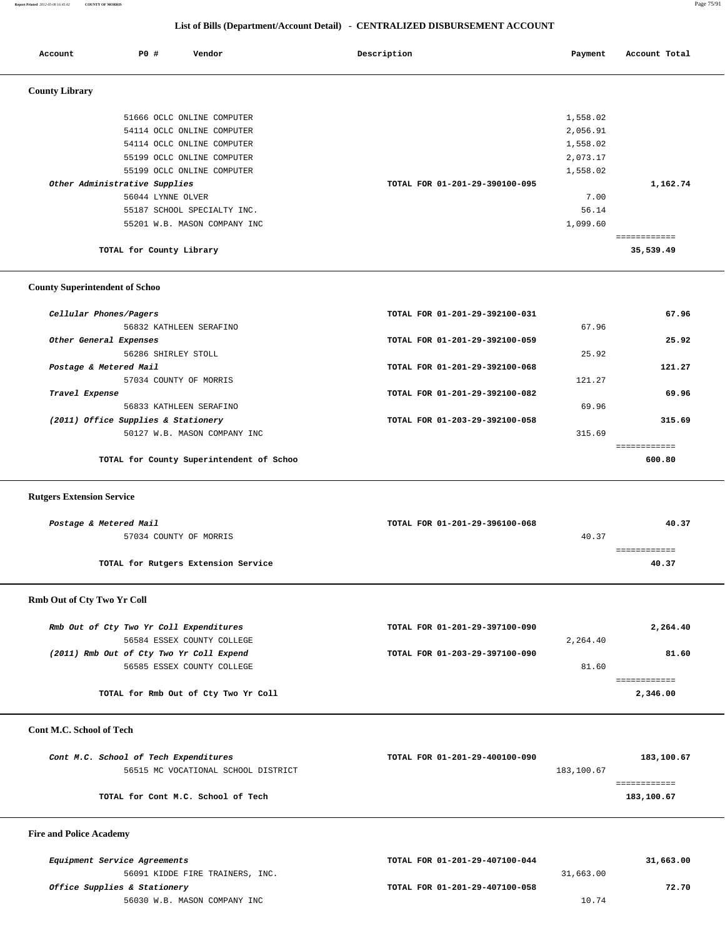**Report Printed** *2012-05-08 16:45:02* **COUNTY OF MORRIS** Page 75/91

### **List of Bills (Department/Account Detail) - CENTRALIZED DISBURSEMENT ACCOUNT**

| Account                       | P0 #                     | Vendor                       |  | Description                    | Payment  | Account Total |
|-------------------------------|--------------------------|------------------------------|--|--------------------------------|----------|---------------|
| <b>County Library</b>         |                          |                              |  |                                |          |               |
|                               |                          | 51666 OCLC ONLINE COMPUTER   |  |                                | 1,558.02 |               |
|                               |                          | 54114 OCLC ONLINE COMPUTER   |  |                                | 2,056.91 |               |
|                               |                          | 54114 OCLC ONLINE COMPUTER   |  |                                | 1,558.02 |               |
|                               |                          | 55199 OCLC ONLINE COMPUTER   |  |                                | 2,073.17 |               |
|                               |                          | 55199 OCLC ONLINE COMPUTER   |  |                                | 1,558.02 |               |
| Other Administrative Supplies |                          |                              |  | TOTAL FOR 01-201-29-390100-095 |          | 1,162.74      |
|                               |                          | 56044 LYNNE OLVER            |  |                                | 7.00     |               |
|                               |                          | 55187 SCHOOL SPECIALTY INC.  |  |                                | 56.14    |               |
|                               |                          | 55201 W.B. MASON COMPANY INC |  |                                | 1,099.60 |               |
|                               |                          |                              |  |                                |          | ============  |
|                               | TOTAL for County Library |                              |  |                                |          | 35,539.49     |

#### **County Superintendent of Schoo**

| Cellular Phones/Pagers                   | TOTAL FOR 01-201-29-392100-031 |        | 67.96  |
|------------------------------------------|--------------------------------|--------|--------|
| 56832 KATHLEEN SERAFINO                  |                                | 67.96  |        |
| Other General Expenses                   | TOTAL FOR 01-201-29-392100-059 |        | 25.92  |
| 56286 SHIRLEY STOLL                      |                                | 25.92  |        |
| Postage & Metered Mail                   | TOTAL FOR 01-201-29-392100-068 |        | 121.27 |
| 57034 COUNTY OF MORRIS                   |                                | 121.27 |        |
| Travel Expense                           | TOTAL FOR 01-201-29-392100-082 |        | 69.96  |
| 56833 KATHLEEN SERAFINO                  |                                | 69.96  |        |
| (2011) Office Supplies & Stationery      | TOTAL FOR 01-203-29-392100-058 |        | 315.69 |
| 50127 W.B. MASON COMPANY INC             |                                | 315.69 |        |
|                                          |                                |        |        |
| TOTAL for County Superintendent of Schoo |                                |        | 600.80 |

#### **Rutgers Extension Service**

| Postage & Metered Mail              | TOTAL FOR 01-201-29-396100-068 | 40.37 |
|-------------------------------------|--------------------------------|-------|
| 57034 COUNTY OF MORRIS              |                                | 40.37 |
|                                     |                                |       |
| TOTAL for Rutgers Extension Service |                                | 40.37 |

# **Rmb Out of Cty Two Yr Coll**

| Rmb Out of Cty Two Yr Coll Expenditures  | TOTAL FOR 01-201-29-397100-090 |          | 2,264.40 |
|------------------------------------------|--------------------------------|----------|----------|
| 56584 ESSEX COUNTY COLLEGE               |                                | 2,264.40 |          |
| (2011) Rmb Out of Cty Two Yr Coll Expend | TOTAL FOR 01-203-29-397100-090 |          | 81.60    |
| 56585 ESSEX COUNTY COLLEGE               |                                | 81.60    |          |
|                                          |                                |          |          |
| TOTAL for Rmb Out of Cty Two Yr Coll     |                                |          | 2,346.00 |

### **Cont M.C. School of Tech**

| Cont M.C. School of Tech Expenditures | TOTAL FOR 01-201-29-400100-090 | 183,100.67 |
|---------------------------------------|--------------------------------|------------|
| 56515 MC VOCATIONAL SCHOOL DISTRICT   | 183,100.67                     |            |
|                                       |                                |            |
| TOTAL for Cont M.C. School of Tech    |                                | 183,100.67 |
|                                       |                                |            |

# **Fire and Police Academy**

| <i>Equipment Service Agreements</i> | TOTAL FOR 01-201-29-407100-044 |           |
|-------------------------------------|--------------------------------|-----------|
| 56091 KIDDE FIRE TRAINERS, INC.     |                                | 31,663.00 |
| Office Supplies & Stationery        | TOTAL FOR 01-201-29-407100-058 |           |
| 56030 W.B. MASON COMPANY INC        |                                | 10.74     |

| <i>Equipment Service Agreements</i> | TOTAL FOR 01-201-29-407100-044 |           | 31,663.00 |
|-------------------------------------|--------------------------------|-----------|-----------|
| 56091 KIDDE FIRE TRAINERS, INC.     |                                | 31,663.00 |           |
| Office Supplies & Stationery        | TOTAL FOR 01-201-29-407100-058 |           | 72.70     |
| 56030 W.B. MASON COMPANY INC        |                                | 10.74     |           |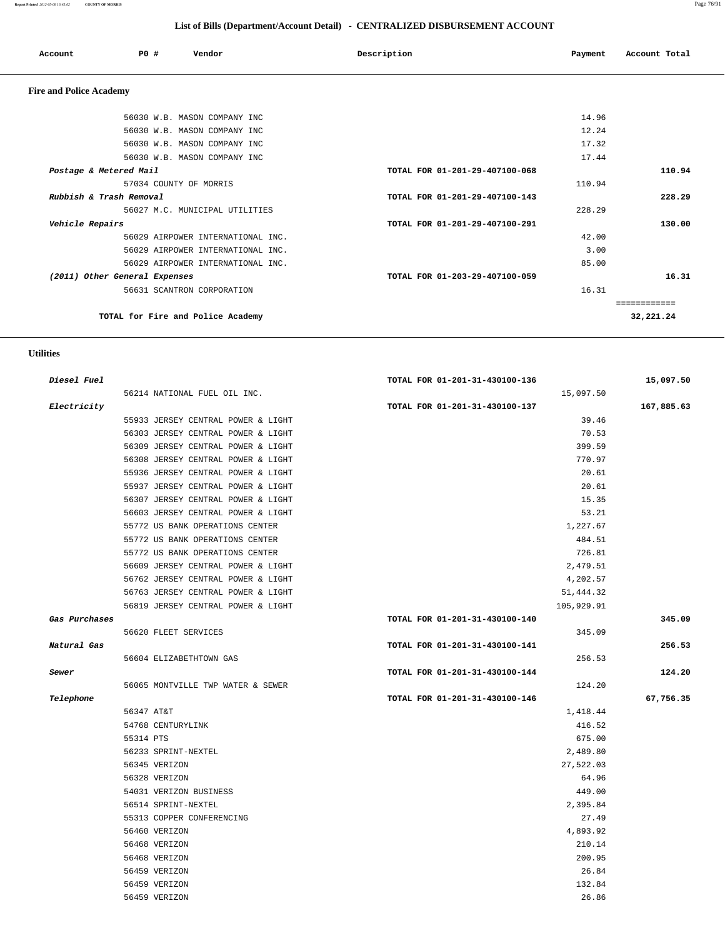**Report Printed** 2012-05-08 16:45:02 **COUNTY OF MORRIS** Page 76/91

### **List of Bills (Department/Account Detail) - CENTRALIZED DISBURSEMENT ACCOUNT**

| Account | PO# | Vendor | Description | Payment | Account Total |
|---------|-----|--------|-------------|---------|---------------|
| $-1$    |     |        |             |         |               |

### **Fire and Police Academy**

|                               | 56030 W.B. MASON COMPANY INC      |                                | 14.96  |             |
|-------------------------------|-----------------------------------|--------------------------------|--------|-------------|
|                               | 56030 W.B. MASON COMPANY INC      |                                | 12.24  |             |
|                               | 56030 W.B. MASON COMPANY INC      |                                | 17.32  |             |
|                               | 56030 W.B. MASON COMPANY INC      |                                | 17.44  |             |
| Postage & Metered Mail        |                                   | TOTAL FOR 01-201-29-407100-068 |        | 110.94      |
|                               | 57034 COUNTY OF MORRIS            |                                | 110.94 |             |
| Rubbish & Trash Removal       |                                   | TOTAL FOR 01-201-29-407100-143 |        | 228.29      |
|                               | 56027 M.C. MUNICIPAL UTILITIES    |                                | 228.29 |             |
| Vehicle Repairs               |                                   | TOTAL FOR 01-201-29-407100-291 |        | 130.00      |
|                               | 56029 AIRPOWER INTERNATIONAL INC. |                                | 42.00  |             |
|                               | 56029 AIRPOWER INTERNATIONAL INC. |                                | 3.00   |             |
|                               | 56029 AIRPOWER INTERNATIONAL INC. |                                | 85.00  |             |
| (2011) Other General Expenses |                                   | TOTAL FOR 01-203-29-407100-059 |        | 16.31       |
|                               | 56631 SCANTRON CORPORATION        |                                | 16.31  |             |
|                               |                                   |                                |        | ----------- |
|                               |                                   |                                |        |             |

 **Utilities** 

| Diesel Fuel   |                                    | TOTAL FOR 01-201-31-430100-136 | 15,097.50  |
|---------------|------------------------------------|--------------------------------|------------|
|               | 56214 NATIONAL FUEL OIL INC.       | 15,097.50                      |            |
| Electricity   |                                    | TOTAL FOR 01-201-31-430100-137 | 167,885.63 |
|               | 55933 JERSEY CENTRAL POWER & LIGHT | 39.46                          |            |
|               | 56303 JERSEY CENTRAL POWER & LIGHT | 70.53                          |            |
|               | 56309 JERSEY CENTRAL POWER & LIGHT | 399.59                         |            |
|               | 56308 JERSEY CENTRAL POWER & LIGHT | 770.97                         |            |
|               | 55936 JERSEY CENTRAL POWER & LIGHT | 20.61                          |            |
|               | 55937 JERSEY CENTRAL POWER & LIGHT | 20.61                          |            |
|               | 56307 JERSEY CENTRAL POWER & LIGHT | 15.35                          |            |
|               | 56603 JERSEY CENTRAL POWER & LIGHT | 53.21                          |            |
|               | 55772 US BANK OPERATIONS CENTER    | 1,227.67                       |            |
|               | 55772 US BANK OPERATIONS CENTER    | 484.51                         |            |
|               | 55772 US BANK OPERATIONS CENTER    | 726.81                         |            |
|               | 56609 JERSEY CENTRAL POWER & LIGHT | 2,479.51                       |            |
|               | 56762 JERSEY CENTRAL POWER & LIGHT | 4,202.57                       |            |
|               | 56763 JERSEY CENTRAL POWER & LIGHT | 51,444.32                      |            |
|               | 56819 JERSEY CENTRAL POWER & LIGHT | 105,929.91                     |            |
| Gas Purchases |                                    | TOTAL FOR 01-201-31-430100-140 | 345.09     |
|               | 56620 FLEET SERVICES               | 345.09                         |            |
| Natural Gas   |                                    | TOTAL FOR 01-201-31-430100-141 | 256.53     |
|               | 56604 ELIZABETHTOWN GAS            | 256.53                         |            |
| Sewer         |                                    | TOTAL FOR 01-201-31-430100-144 | 124.20     |
|               | 56065 MONTVILLE TWP WATER & SEWER  | 124.20                         |            |
| Telephone     |                                    | TOTAL FOR 01-201-31-430100-146 | 67,756.35  |
|               | 56347 AT&T                         | 1,418.44                       |            |
|               | 54768 CENTURYLINK                  | 416.52                         |            |
|               | 55314 PTS                          | 675.00                         |            |
|               | 56233 SPRINT-NEXTEL                | 2,489.80                       |            |
|               | 56345 VERIZON                      | 27,522.03                      |            |
|               | 56328 VERIZON                      | 64.96                          |            |
|               | 54031 VERIZON BUSINESS             | 449.00                         |            |
|               | 56514 SPRINT-NEXTEL                | 2,395.84                       |            |
|               | 55313 COPPER CONFERENCING          | 27.49                          |            |
|               | 56460 VERIZON                      | 4,893.92                       |            |
|               | 56468 VERIZON                      | 210.14                         |            |
|               | 56468 VERIZON                      | 200.95                         |            |
|               | 56459 VERIZON                      | 26.84                          |            |
|               |                                    |                                |            |
|               | 56459 VERIZON                      | 132.84                         |            |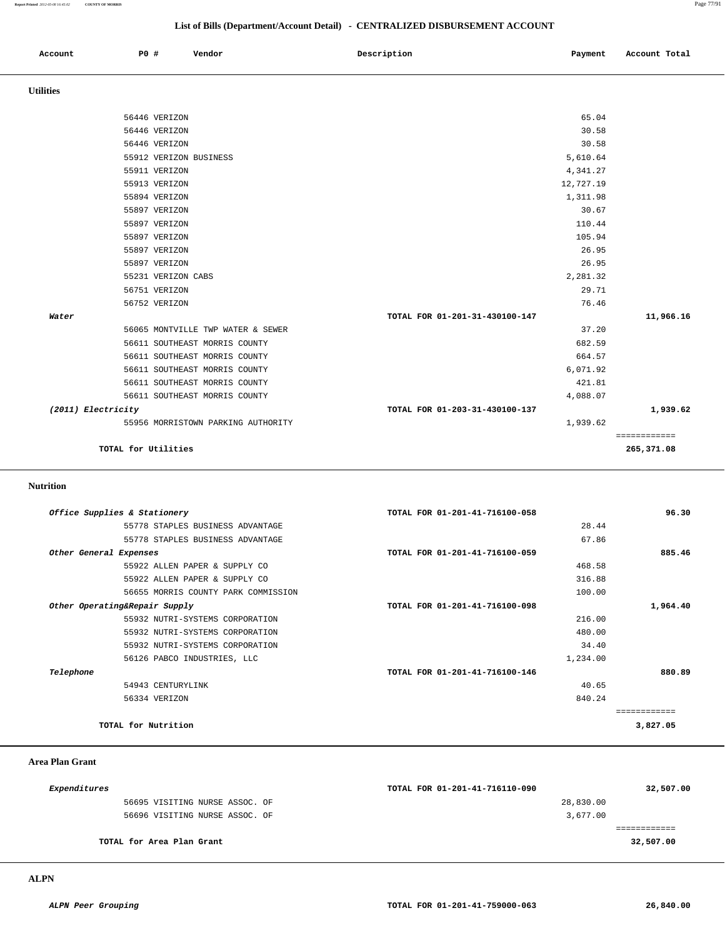**Report Printed** *2012-05-08 16:45:02* **COUNTY OF MORRIS** Page 77/91

### **List of Bills (Department/Account Detail) - CENTRALIZED DISBURSEMENT ACCOUNT**

| Account          | PO# | Vendor | Description | Payment | Account Total |
|------------------|-----|--------|-------------|---------|---------------|
| <b>Utilities</b> |     |        |             |         |               |

|                     | 56446 VERIZON                      | 65.04                          |              |
|---------------------|------------------------------------|--------------------------------|--------------|
|                     | 56446 VERIZON                      | 30.58                          |              |
|                     | 56446 VERIZON                      | 30.58                          |              |
|                     | 55912 VERIZON BUSINESS             | 5,610.64                       |              |
|                     | 55911 VERIZON                      | 4,341.27                       |              |
|                     | 55913 VERIZON                      | 12,727.19                      |              |
|                     | 55894 VERIZON                      | 1,311.98                       |              |
|                     | 55897 VERIZON                      | 30.67                          |              |
|                     | 55897 VERIZON                      | 110.44                         |              |
|                     | 55897 VERIZON                      | 105.94                         |              |
|                     | 55897 VERIZON                      | 26.95                          |              |
|                     | 55897 VERIZON                      | 26.95                          |              |
|                     | 55231 VERIZON CABS                 | 2,281.32                       |              |
|                     | 56751 VERIZON                      | 29.71                          |              |
|                     | 56752 VERIZON                      | 76.46                          |              |
| Water               |                                    | TOTAL FOR 01-201-31-430100-147 | 11,966.16    |
|                     | 56065 MONTVILLE TWP WATER & SEWER  | 37.20                          |              |
|                     | 56611 SOUTHEAST MORRIS COUNTY      | 682.59                         |              |
|                     | 56611 SOUTHEAST MORRIS COUNTY      | 664.57                         |              |
|                     | 56611 SOUTHEAST MORRIS COUNTY      | 6,071.92                       |              |
|                     | 56611 SOUTHEAST MORRIS COUNTY      | 421.81                         |              |
|                     | 56611 SOUTHEAST MORRIS COUNTY      | 4,088.07                       |              |
| (2011) Electricity  |                                    | TOTAL FOR 01-203-31-430100-137 | 1,939.62     |
|                     | 55956 MORRISTOWN PARKING AUTHORITY | 1,939.62                       |              |
|                     |                                    |                                | ============ |
| TOTAL for Utilities |                                    |                                | 265,371.08   |
|                     |                                    |                                |              |

### **Nutrition**

| Office Supplies & Stationery        | TOTAL FOR 01-201-41-716100-058 | 96.30    |
|-------------------------------------|--------------------------------|----------|
| 55778 STAPLES BUSINESS ADVANTAGE    | 28.44                          |          |
| 55778 STAPLES BUSINESS ADVANTAGE    | 67.86                          |          |
| Other General Expenses              | TOTAL FOR 01-201-41-716100-059 | 885.46   |
| 55922 ALLEN PAPER & SUPPLY CO       | 468.58                         |          |
| 55922 ALLEN PAPER & SUPPLY CO       | 316.88                         |          |
| 56655 MORRIS COUNTY PARK COMMISSION | 100.00                         |          |
| Other Operating&Repair Supply       | TOTAL FOR 01-201-41-716100-098 | 1,964.40 |
| 55932 NUTRI-SYSTEMS CORPORATION     | 216.00                         |          |
| 55932 NUTRI-SYSTEMS CORPORATION     | 480.00                         |          |
| 55932 NUTRI-SYSTEMS CORPORATION     | 34.40                          |          |
| 56126 PABCO INDUSTRIES, LLC         | 1,234.00                       |          |
| Telephone                           | TOTAL FOR 01-201-41-716100-146 | 880.89   |
| 54943 CENTURYLINK                   | 40.65                          |          |
| 56334 VERIZON                       | 840.24                         |          |
|                                     |                                |          |
| TOTAL for Nutrition                 |                                | 3,827.05 |
|                                     |                                |          |

### **Area Plan Grant**

| <i>Expenditures</i>            | TOTAL FOR 01-201-41-716110-090 | 32,507.00 |
|--------------------------------|--------------------------------|-----------|
| 56695 VISITING NURSE ASSOC. OF | 28,830.00                      |           |
| 56696 VISITING NURSE ASSOC. OF | 3,677,00                       |           |
|                                |                                |           |
| TOTAL for Area Plan Grant      |                                | 32,507.00 |